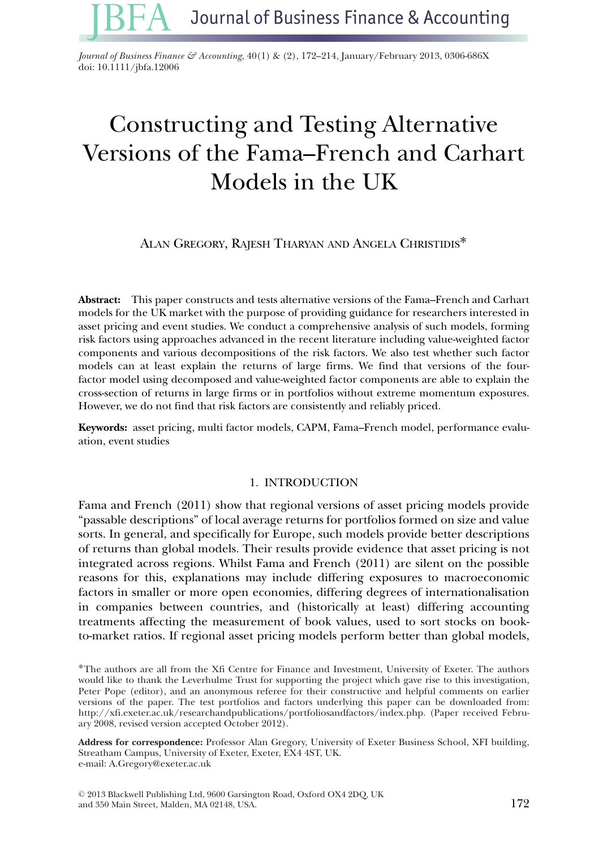*Journal of Business Finance & Accounting*, 40(1) & (2), 172–214, January/February 2013, 0306-686X doi: 10.1111/jbfa.12006

# Constructing and Testing Alternative Versions of the Fama–French and Carhart Models in the UK

ALAN GREGORY, RAJESH THARYAN AND ANGELA CHRISTIDIS<sup>\*</sup>

**Abstract:** This paper constructs and tests alternative versions of the Fama–French and Carhart models for the UK market with the purpose of providing guidance for researchers interested in asset pricing and event studies. We conduct a comprehensive analysis of such models, forming risk factors using approaches advanced in the recent literature including value-weighted factor components and various decompositions of the risk factors. We also test whether such factor models can at least explain the returns of large firms. We find that versions of the fourfactor model using decomposed and value-weighted factor components are able to explain the cross-section of returns in large firms or in portfolios without extreme momentum exposures. However, we do not find that risk factors are consistently and reliably priced.

**Keywords:** asset pricing, multi factor models, CAPM, Fama–French model, performance evaluation, event studies

### 1. INTRODUCTION

Fama and French (2011) show that regional versions of asset pricing models provide "passable descriptions" of local average returns for portfolios formed on size and value sorts. In general, and specifically for Europe, such models provide better descriptions of returns than global models. Their results provide evidence that asset pricing is not integrated across regions. Whilst Fama and French (2011) are silent on the possible reasons for this, explanations may include differing exposures to macroeconomic factors in smaller or more open economies, differing degrees of internationalisation in companies between countries, and (historically at least) differing accounting treatments affecting the measurement of book values, used to sort stocks on bookto-market ratios. If regional asset pricing models perform better than global models,

∗The authors are all from the Xfi Centre for Finance and Investment, University of Exeter. The authors would like to thank the Leverhulme Trust for supporting the project which gave rise to this investigation, Peter Pope (editor), and an anonymous referee for their constructive and helpful comments on earlier versions of the paper. The test portfolios and factors underlying this paper can be downloaded from: http://xfi.exeter.ac.uk/researchandpublications/portfoliosandfactors/index.php. (Paper received February 2008, revised version accepted October 2012).

**Address for correspondence:** Professor Alan Gregory, University of Exeter Business School, XFI building, Streatham Campus, University of Exeter, Exeter, EX4 4ST, UK. e-mail: A.Gregory@exeter.ac.uk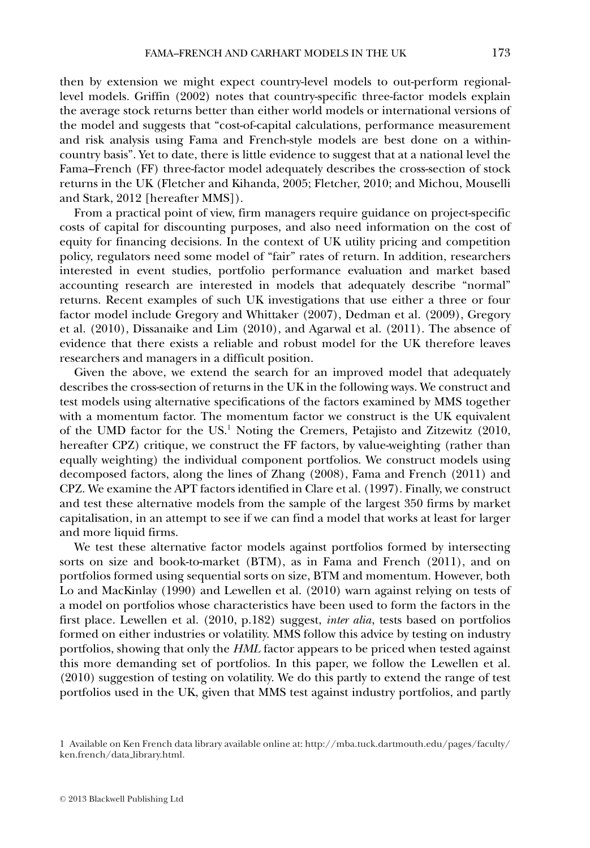then by extension we might expect country-level models to out-perform regionallevel models. Griffin (2002) notes that country-specific three-factor models explain the average stock returns better than either world models or international versions of the model and suggests that "cost-of-capital calculations, performance measurement and risk analysis using Fama and French-style models are best done on a withincountry basis". Yet to date, there is little evidence to suggest that at a national level the Fama–French (FF) three-factor model adequately describes the cross-section of stock returns in the UK (Fletcher and Kihanda, 2005; Fletcher, 2010; and Michou, Mouselli and Stark, 2012 [hereafter MMS]).

From a practical point of view, firm managers require guidance on project-specific costs of capital for discounting purposes, and also need information on the cost of equity for financing decisions. In the context of UK utility pricing and competition policy, regulators need some model of "fair" rates of return. In addition, researchers interested in event studies, portfolio performance evaluation and market based accounting research are interested in models that adequately describe "normal" returns. Recent examples of such UK investigations that use either a three or four factor model include Gregory and Whittaker (2007), Dedman et al. (2009), Gregory et al. (2010), Dissanaike and Lim (2010), and Agarwal et al. (2011). The absence of evidence that there exists a reliable and robust model for the UK therefore leaves researchers and managers in a difficult position.

Given the above, we extend the search for an improved model that adequately describes the cross-section of returns in the UK in the following ways. We construct and test models using alternative specifications of the factors examined by MMS together with a momentum factor. The momentum factor we construct is the UK equivalent of the UMD factor for the US.1 Noting the Cremers, Petajisto and Zitzewitz (2010, hereafter CPZ) critique, we construct the FF factors, by value-weighting (rather than equally weighting) the individual component portfolios. We construct models using decomposed factors, along the lines of Zhang (2008), Fama and French (2011) and CPZ. We examine the APT factors identified in Clare et al. (1997). Finally, we construct and test these alternative models from the sample of the largest 350 firms by market capitalisation, in an attempt to see if we can find a model that works at least for larger and more liquid firms.

We test these alternative factor models against portfolios formed by intersecting sorts on size and book-to-market (BTM), as in Fama and French (2011), and on portfolios formed using sequential sorts on size, BTM and momentum. However, both Lo and MacKinlay (1990) and Lewellen et al. (2010) warn against relying on tests of a model on portfolios whose characteristics have been used to form the factors in the first place. Lewellen et al. (2010, p.182) suggest, *inter alia*, tests based on portfolios formed on either industries or volatility. MMS follow this advice by testing on industry portfolios, showing that only the *HML* factor appears to be priced when tested against this more demanding set of portfolios. In this paper, we follow the Lewellen et al. (2010) suggestion of testing on volatility. We do this partly to extend the range of test portfolios used in the UK, given that MMS test against industry portfolios, and partly

<sup>1</sup> Available on Ken French data library available online at: http://mba.tuck.dartmouth.edu/pages/faculty/ ken.french/data library.html.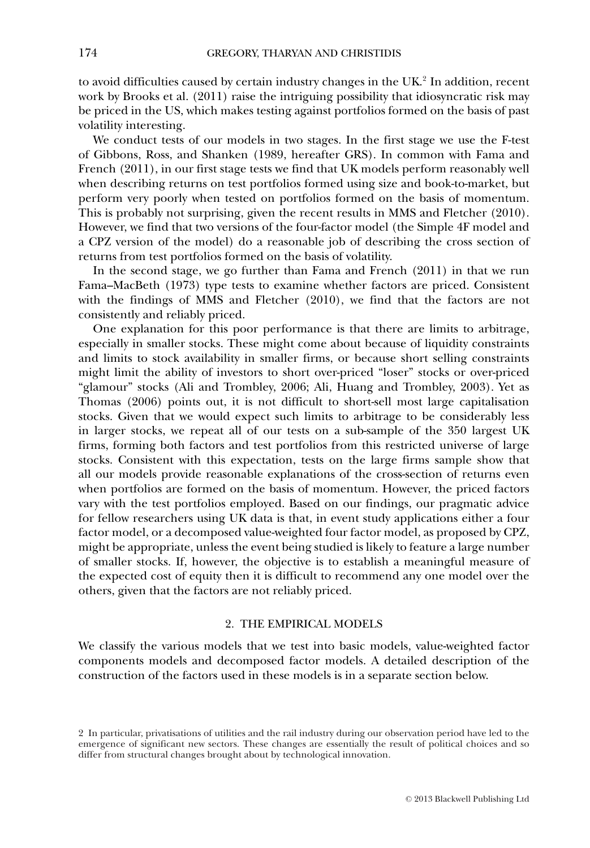to avoid difficulties caused by certain industry changes in the  $UK<sup>2</sup>$  In addition, recent work by Brooks et al. (2011) raise the intriguing possibility that idiosyncratic risk may be priced in the US, which makes testing against portfolios formed on the basis of past volatility interesting.

We conduct tests of our models in two stages. In the first stage we use the F-test of Gibbons, Ross, and Shanken (1989, hereafter GRS). In common with Fama and French (2011), in our first stage tests we find that UK models perform reasonably well when describing returns on test portfolios formed using size and book-to-market, but perform very poorly when tested on portfolios formed on the basis of momentum. This is probably not surprising, given the recent results in MMS and Fletcher (2010). However, we find that two versions of the four-factor model (the Simple 4F model and a CPZ version of the model) do a reasonable job of describing the cross section of returns from test portfolios formed on the basis of volatility.

In the second stage, we go further than Fama and French (2011) in that we run Fama–MacBeth (1973) type tests to examine whether factors are priced. Consistent with the findings of MMS and Fletcher (2010), we find that the factors are not consistently and reliably priced.

One explanation for this poor performance is that there are limits to arbitrage, especially in smaller stocks. These might come about because of liquidity constraints and limits to stock availability in smaller firms, or because short selling constraints might limit the ability of investors to short over-priced "loser" stocks or over-priced "glamour" stocks (Ali and Trombley, 2006; Ali, Huang and Trombley, 2003). Yet as Thomas (2006) points out, it is not difficult to short-sell most large capitalisation stocks. Given that we would expect such limits to arbitrage to be considerably less in larger stocks, we repeat all of our tests on a sub-sample of the 350 largest UK firms, forming both factors and test portfolios from this restricted universe of large stocks. Consistent with this expectation, tests on the large firms sample show that all our models provide reasonable explanations of the cross-section of returns even when portfolios are formed on the basis of momentum. However, the priced factors vary with the test portfolios employed. Based on our findings, our pragmatic advice for fellow researchers using UK data is that, in event study applications either a four factor model, or a decomposed value-weighted four factor model, as proposed by CPZ, might be appropriate, unless the event being studied is likely to feature a large number of smaller stocks. If, however, the objective is to establish a meaningful measure of the expected cost of equity then it is difficult to recommend any one model over the others, given that the factors are not reliably priced.

### 2. THE EMPIRICAL MODELS

We classify the various models that we test into basic models, value-weighted factor components models and decomposed factor models. A detailed description of the construction of the factors used in these models is in a separate section below.

<sup>2</sup> In particular, privatisations of utilities and the rail industry during our observation period have led to the emergence of significant new sectors. These changes are essentially the result of political choices and so differ from structural changes brought about by technological innovation.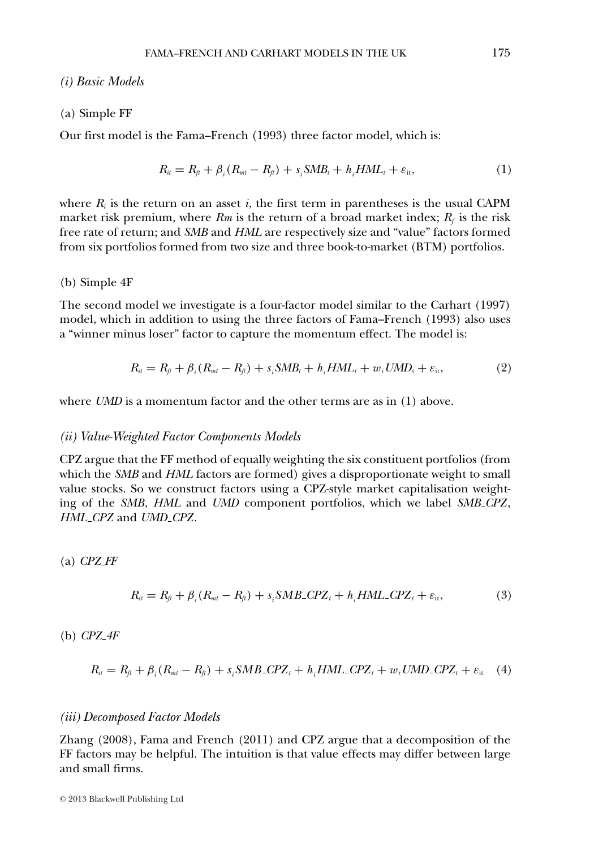### *(i) Basic Models*

### (a) Simple FF

Our first model is the Fama–French (1993) three factor model, which is:

$$
R_{it} = R_{ft} + \beta_i (R_{mt} - R_{ft}) + s_i \text{SMB}_t + h_i \text{HML}_t + \varepsilon_{it}, \tag{1}
$$

where  $R_i$  is the return on an asset  $i$ , the first term in parentheses is the usual CAPM market risk premium, where  $Rm$  is the return of a broad market index;  $R_f$  is the risk free rate of return; and *SMB* and *HML* are respectively size and "value" factors formed from six portfolios formed from two size and three book-to-market (BTM) portfolios.

### (b) Simple 4F

The second model we investigate is a four-factor model similar to the Carhart (1997) model, which in addition to using the three factors of Fama–French (1993) also uses a "winner minus loser" factor to capture the momentum effect. The model is:

$$
R_{ii} = R_{ji} + \beta_i (R_{mi} - R_{ji}) + s_i \text{SMB}_i + h_i \text{HML}_i + w_i \text{UMD}_i + \varepsilon_{it}, \tag{2}
$$

where *UMD* is a momentum factor and the other terms are as in (1) above.

### *(ii) Value-Weighted Factor Components Models*

CPZ argue that the FF method of equally weighting the six constituent portfolios (from which the *SMB* and *HML* factors are formed) gives a disproportionate weight to small value stocks. So we construct factors using a CPZ-style market capitalisation weighting of the *SMB*, *HML* and *UMD* component portfolios, which we label *SMB CPZ*, *HML CPZ* and *UMD CPZ*.

(a) *CPZ FF*

$$
R_{ii} = R_{fi} + \beta_i (R_{mt} - R_{fi}) + s_i SMB\_CPZ_t + h_i HML\_CPZ_t + \varepsilon_{it},
$$
\n(3)

(b) *CPZ 4F*

$$
R_{ii} = R_{fi} + \beta_i (R_{mt} - R_{fi}) + s_i SMB\_CPZ_t + h_i HML\_CPZ_t + w_i UMD\_CPZ_t + \varepsilon_{it} \quad (4)
$$

### *(iii) Decomposed Factor Models*

Zhang (2008), Fama and French (2011) and CPZ argue that a decomposition of the FF factors may be helpful. The intuition is that value effects may differ between large and small firms.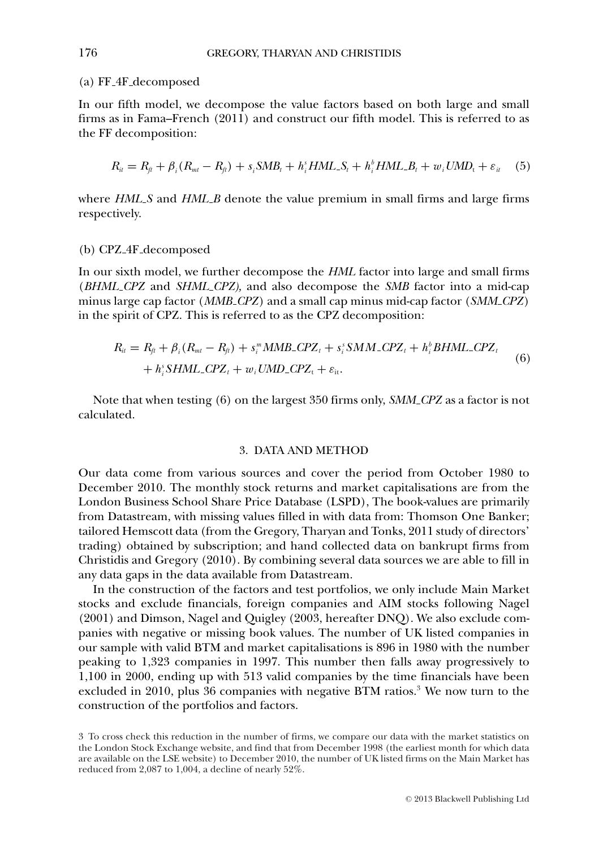### (a) FF 4F decomposed

In our fifth model, we decompose the value factors based on both large and small firms as in Fama–French (2011) and construct our fifth model. This is referred to as the FF decomposition:

$$
R_{ii} = R_{fi} + \beta_i (R_{mt} - R_{fi}) + s_i SMB_t + h_i^s HML\_S_t + h_i^b HML\_B_t + w_i UMD_t + \varepsilon_{it} \quad (5)
$$

where *HML S* and *HML B* denote the value premium in small firms and large firms respectively.

### (b) CPZ 4F decomposed

In our sixth model, we further decompose the *HML* factor into large and small firms (*BHML CPZ* and *SHML CPZ),* and also decompose the *SMB* factor into a mid-cap minus large cap factor (*MMB CPZ*) and a small cap minus mid-cap factor (*SMM CPZ*) in the spirit of CPZ. This is referred to as the CPZ decomposition:

$$
R_{it} = R_{ft} + \beta_i (R_{mt} - R_{ft}) + s_i^m \text{MMB\_CPZ}_t + s_i^s \text{SMM\_CPZ}_t + h_i^b \text{BHML\_CPZ}_t + h_i^s \text{SHML\_CPZ}_t + w_i \text{UMD\_CPZ}_t + \varepsilon_{it}.
$$
\n
$$
(6)
$$

Note that when testing (6) on the largest 350 firms only, *SMM CPZ* as a factor is not calculated.

### 3. DATA AND METHOD

Our data come from various sources and cover the period from October 1980 to December 2010. The monthly stock returns and market capitalisations are from the London Business School Share Price Database (LSPD), The book-values are primarily from Datastream, with missing values filled in with data from: Thomson One Banker; tailored Hemscott data (from the Gregory, Tharyan and Tonks, 2011 study of directors' trading) obtained by subscription; and hand collected data on bankrupt firms from Christidis and Gregory (2010). By combining several data sources we are able to fill in any data gaps in the data available from Datastream.

In the construction of the factors and test portfolios, we only include Main Market stocks and exclude financials, foreign companies and AIM stocks following Nagel (2001) and Dimson, Nagel and Quigley (2003, hereafter DNQ). We also exclude companies with negative or missing book values. The number of UK listed companies in our sample with valid BTM and market capitalisations is 896 in 1980 with the number peaking to 1,323 companies in 1997. This number then falls away progressively to 1,100 in 2000, ending up with 513 valid companies by the time financials have been excluded in 2010, plus 36 companies with negative BTM ratios.<sup>3</sup> We now turn to the construction of the portfolios and factors.

<sup>3</sup> To cross check this reduction in the number of firms, we compare our data with the market statistics on the London Stock Exchange website, and find that from December 1998 (the earliest month for which data are available on the LSE website) to December 2010, the number of UK listed firms on the Main Market has reduced from 2,087 to 1,004, a decline of nearly 52%.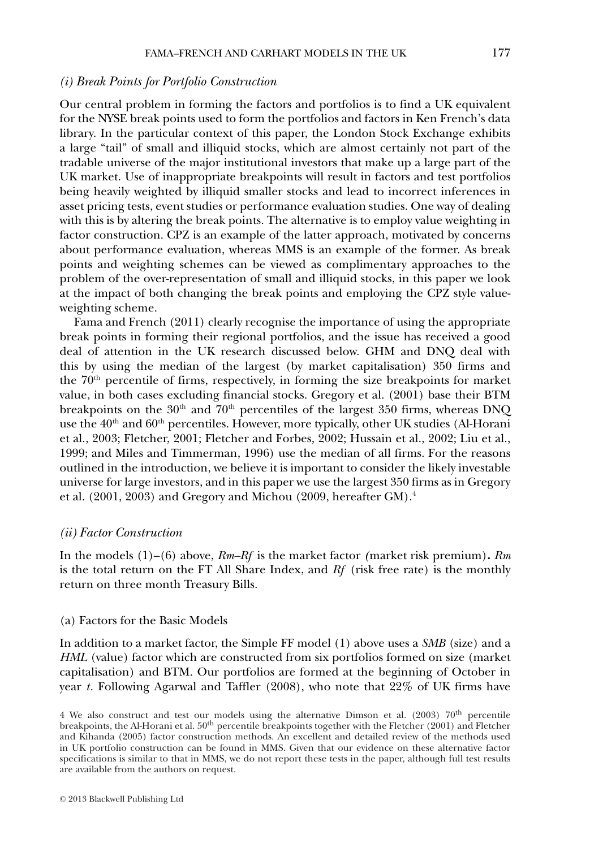### *(i) Break Points for Portfolio Construction*

Our central problem in forming the factors and portfolios is to find a UK equivalent for the NYSE break points used to form the portfolios and factors in Ken French's data library. In the particular context of this paper, the London Stock Exchange exhibits a large "tail" of small and illiquid stocks, which are almost certainly not part of the tradable universe of the major institutional investors that make up a large part of the UK market. Use of inappropriate breakpoints will result in factors and test portfolios being heavily weighted by illiquid smaller stocks and lead to incorrect inferences in asset pricing tests, event studies or performance evaluation studies. One way of dealing with this is by altering the break points. The alternative is to employ value weighting in factor construction. CPZ is an example of the latter approach, motivated by concerns about performance evaluation, whereas MMS is an example of the former. As break points and weighting schemes can be viewed as complimentary approaches to the problem of the over-representation of small and illiquid stocks, in this paper we look at the impact of both changing the break points and employing the CPZ style valueweighting scheme.

Fama and French (2011) clearly recognise the importance of using the appropriate break points in forming their regional portfolios, and the issue has received a good deal of attention in the UK research discussed below. GHM and DNQ deal with this by using the median of the largest (by market capitalisation) 350 firms and the  $70<sup>th</sup>$  percentile of firms, respectively, in forming the size breakpoints for market value, in both cases excluding financial stocks. Gregory et al. (2001) base their BTM breakpoints on the  $30<sup>th</sup>$  and  $70<sup>th</sup>$  percentiles of the largest 350 firms, whereas DNQ use the  $40<sup>th</sup>$  and  $60<sup>th</sup>$  percentiles. However, more typically, other UK studies (Al-Horani et al., 2003; Fletcher, 2001; Fletcher and Forbes, 2002; Hussain et al., 2002; Liu et al., 1999; and Miles and Timmerman, 1996) use the median of all firms. For the reasons outlined in the introduction, we believe it is important to consider the likely investable universe for large investors, and in this paper we use the largest 350 firms as in Gregory et al. (2001, 2003) and Gregory and Michou (2009, hereafter GM).4

### *(ii) Factor Construction*

In the models (1)–(6) above, *Rm–Rf* is the market factor *(*market risk premium)**.** *Rm* is the total return on the FT All Share Index, and *Rf* (risk free rate) is the monthly return on three month Treasury Bills.

### (a) Factors for the Basic Models

In addition to a market factor, the Simple FF model (1) above uses a *SMB* (size) and a *HML* (value) factor which are constructed from six portfolios formed on size (market capitalisation) and BTM. Our portfolios are formed at the beginning of October in year *t*. Following Agarwal and Taffler (2008), who note that 22% of UK firms have

<sup>4</sup> We also construct and test our models using the alternative Dimson et al. (2003)  $70<sup>th</sup>$  percentile breakpoints, the Al-Horani et al.  $50<sup>th</sup>$  percentile breakpoints together with the Fletcher (2001) and Fletcher and Kihanda (2005) factor construction methods. An excellent and detailed review of the methods used in UK portfolio construction can be found in MMS. Given that our evidence on these alternative factor specifications is similar to that in MMS, we do not report these tests in the paper, although full test results are available from the authors on request.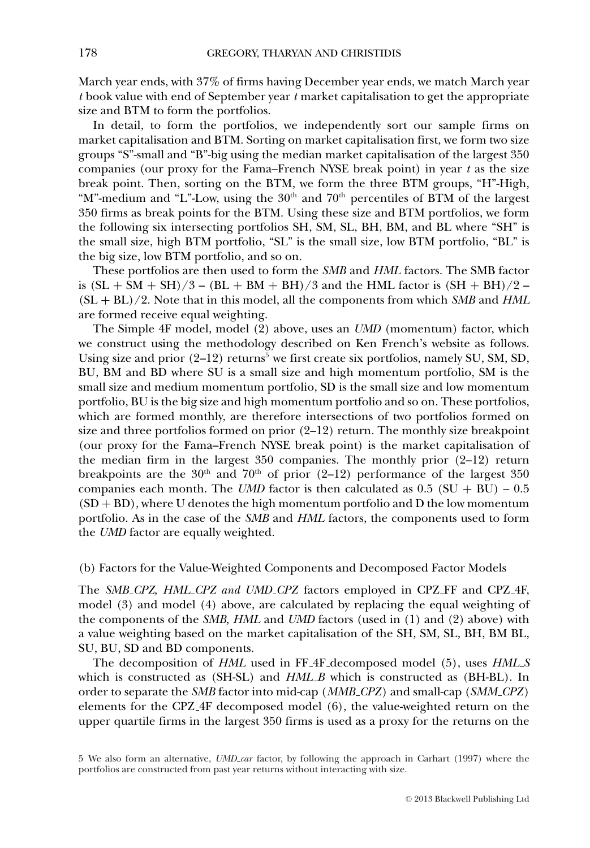March year ends, with 37% of firms having December year ends, we match March year *t* book value with end of September year *t* market capitalisation to get the appropriate size and BTM to form the portfolios.

In detail, to form the portfolios, we independently sort our sample firms on market capitalisation and BTM. Sorting on market capitalisation first, we form two size groups "S"-small and "B"-big using the median market capitalisation of the largest 350 companies (our proxy for the Fama–French NYSE break point) in year *t* as the size break point. Then, sorting on the BTM, we form the three BTM groups, "H"-High, "M"-medium and "L"-Low, using the 30<sup>th</sup> and 70<sup>th</sup> percentiles of BTM of the largest 350 firms as break points for the BTM. Using these size and BTM portfolios, we form the following six intersecting portfolios SH, SM, SL, BH, BM, and BL where "SH" is the small size, high BTM portfolio, "SL" is the small size, low BTM portfolio, "BL" is the big size, low BTM portfolio, and so on.

These portfolios are then used to form the *SMB* and *HML* factors. The SMB factor is  $(SL + SM + SH)/3 - (BL + BM + BH)/3$  and the HML factor is  $(SH + BH)/2 -$ (SL + BL)/2. Note that in this model, all the components from which *SMB* and *HML* are formed receive equal weighting.

The Simple 4F model, model (2) above, uses an *UMD* (momentum) factor, which we construct using the methodology described on Ken French's website as follows. Using size and prior  $(2-12)$  returns<sup>5</sup> we first create six portfolios, namely SU, SM, SD, BU, BM and BD where SU is a small size and high momentum portfolio, SM is the small size and medium momentum portfolio, SD is the small size and low momentum portfolio, BU is the big size and high momentum portfolio and so on. These portfolios, which are formed monthly, are therefore intersections of two portfolios formed on size and three portfolios formed on prior  $(2-12)$  return. The monthly size breakpoint (our proxy for the Fama–French NYSE break point) is the market capitalisation of the median firm in the largest  $350$  companies. The monthly prior  $(2-12)$  return breakpoints are the  $30<sup>th</sup>$  and  $70<sup>th</sup>$  of prior (2-12) performance of the largest 350 companies each month. The *UMD* factor is then calculated as  $0.5$  (SU + BU) –  $0.5$  $(SD + BD)$ , where U denotes the high momentum portfolio and D the low momentum portfolio. As in the case of the *SMB* and *HML* factors, the components used to form the *UMD* factor are equally weighted.

(b) Factors for the Value-Weighted Components and Decomposed Factor Models

The *SMB CPZ, HML CPZ and UMD CPZ* factors employed in CPZ FF and CPZ 4F, model (3) and model (4) above, are calculated by replacing the equal weighting of the components of the *SMB, HML* and *UMD* factors (used in (1) and (2) above) with a value weighting based on the market capitalisation of the SH, SM, SL, BH, BM BL, SU, BU, SD and BD components.

The decomposition of *HML* used in FF 4F decomposed model (5), uses *HML S* which is constructed as (SH-SL) and *HML B* which is constructed as (BH-BL). In order to separate the *SMB* factor into mid-cap (*MMB CPZ*) and small-cap (*SMM CPZ*) elements for the CPZ 4F decomposed model (6), the value-weighted return on the upper quartile firms in the largest 350 firms is used as a proxy for the returns on the

<sup>5</sup> We also form an alternative, *UMD car* factor, by following the approach in Carhart (1997) where the portfolios are constructed from past year returns without interacting with size.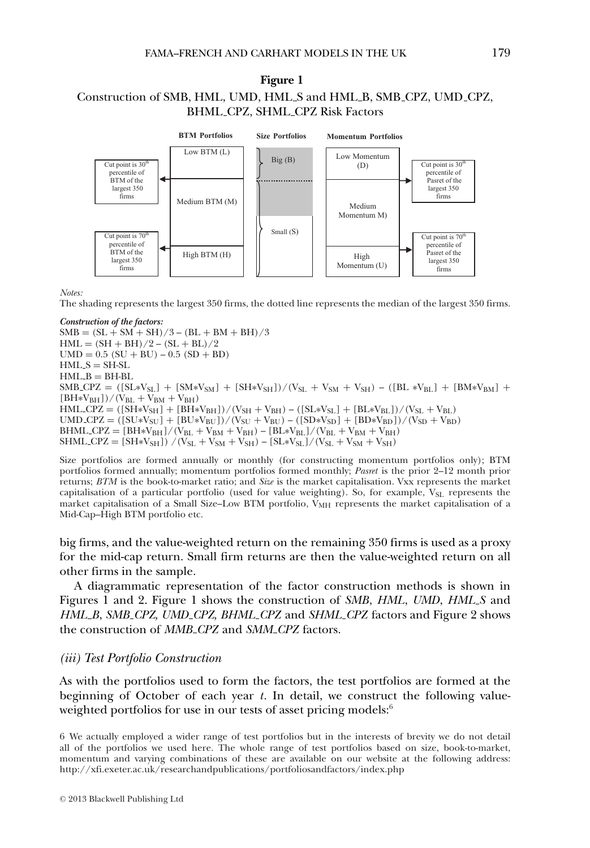### **Figure 1**

### Construction of SMB, HML, UMD, HML S and HML B, SMB CPZ, UMD CPZ, BHML CPZ, SHML CPZ Risk Factors



*Notes:*

The shading represents the largest 350 firms, the dotted line represents the median of the largest 350 firms.

*Construction of the factors:*  $SMB = (SL + SM + SH)/3 - (BL + BM + BH)/3$  $HML = (SH + BH)/2 - (SL + BL)/2$  $UMD = 0.5$   $(SU + BU) - 0.5$   $(SD + BD)$  $HML S = SH-SL$  $HMI$ ,  $B = BH-BL$  $SMB_CPZ = ([SL*V_{SL}] + [SM*V_{SM}] + [SH*V_{SH}])/(V_{SL} + V_{SM} + V_{SH}) - ([BL*V_{BL}] + [BM*V_{BM}] +$  $(BH*V_{BH}]/(V_{BL} + V_{BM} + V_{BH})$  $HML$  CPZ =  $([SH*V<sub>SH</sub>] + [BH*V<sub>BH</sub>])/(V<sub>SH</sub> + V<sub>BH</sub>) - ([SL*V<sub>SL</sub>] + [BL*V<sub>BL</sub>])/(V<sub>SL</sub> + V<sub>BL</sub>)$ UMD CPZ =  $([SU*V_{SU}] + [BU*V_{BU}])/(V_{SU} + V_{BU}) - ([SD*V_{SD}] + [BD*V_{BD}])/(V_{SD} + V_{BD})$  $BHML$  CPZ =  $[BH*V_{BH}]/(V_{BL} + V_{BM} + V_{BH}) - [BL*V_{BL}]/(V_{BL} + V_{BM} + V_{BH})$ SHML\_CPZ =  $[SH*V_{SH}]$ ) /(V<sub>SL</sub> + V<sub>SM</sub> + V<sub>SH</sub>) –  $[SL*V_{SL}]$ /(V<sub>SL</sub> + V<sub>SM</sub> + V<sub>SH</sub>)

Size portfolios are formed annually or monthly (for constructing momentum portfolios only); BTM portfolios formed annually; momentum portfolios formed monthly; *Pasret* is the prior 2–12 month prior returns; *BTM* is the book-to-market ratio; and *Size* is the market capitalisation. Vxx represents the market capitalisation of a particular portfolio (used for value weighting). So, for example, V<sub>SL</sub> represents the market capitalisation of a Small Size–Low BTM portfolio,  $\bar{V}_{MH}$  represents the market capitalisation of a Mid-Cap–High BTM portfolio etc.

big firms, and the value-weighted return on the remaining 350 firms is used as a proxy for the mid-cap return. Small firm returns are then the value-weighted return on all other firms in the sample.

A diagrammatic representation of the factor construction methods is shown in Figures 1 and 2. Figure 1 shows the construction of *SMB*, *HML*, *UMD*, *HML S* and *HML B*, *SMB CPZ, UMD CPZ, BHML CPZ* and *SHML CPZ* factors and Figure 2 shows the construction of *MMB CPZ* and *SMM CPZ* factors.

### *(iii) Test Portfolio Construction*

As with the portfolios used to form the factors, the test portfolios are formed at the beginning of October of each year *t*. In detail, we construct the following valueweighted portfolios for use in our tests of asset pricing models:<sup>6</sup>

<sup>6</sup> We actually employed a wider range of test portfolios but in the interests of brevity we do not detail all of the portfolios we used here. The whole range of test portfolios based on size, book-to-market, momentum and varying combinations of these are available on our website at the following address: http://xfi.exeter.ac.uk/researchandpublications/portfoliosandfactors/index.php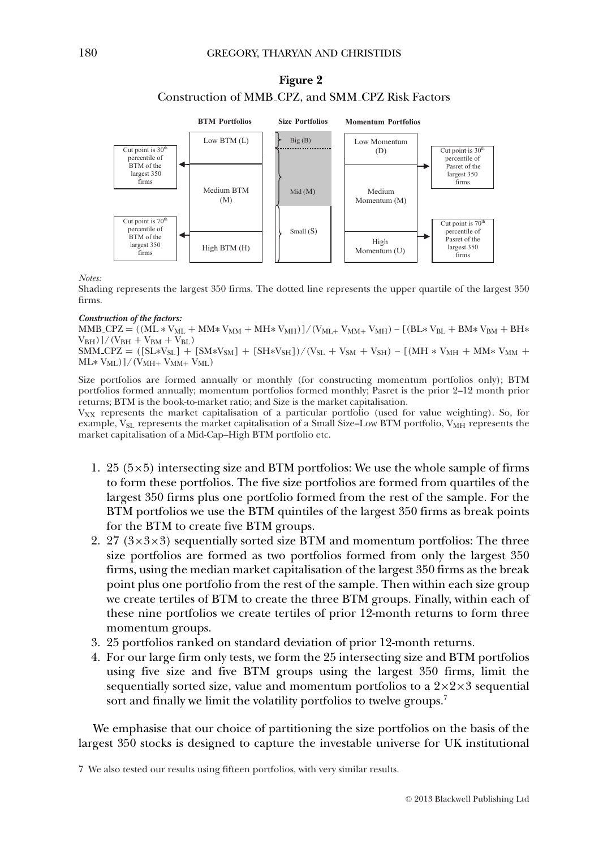### **Figure 2** Construction of MMB CPZ, and SMM CPZ Risk Factors



*Notes:*

Shading represents the largest 350 firms. The dotted line represents the upper quartile of the largest 350 firms.

#### *Construction of the factors:*

 $MMB_CPZ = ((M\dot{L} * V_{ML} + MM * V_{MM} + MH * V_{MH}))/(V_{ML+} V_{MM+} V_{MH}) - [(BL*V_{BL} + BM*V_{BM} + BH*V_{HM} + V_{MH} V_{MH} + V_{MH} V_{MH} + V_{MH} V_{MH} + V_{MH} V_{MH} + V_{MH} V_{MH} + V_{HH} V_{MH} + V_{HH} V_{HH} + V_{HH} V_{HH} + V_{HH} V_{HH} + V_{HH} V_{HH} + V_{HH} V_{HH} + V_{HH} V_{HH} + V_{HH} V_{HH} + V_{HH} V_{HH} + V_{HH} V_{HH} + V_{HH} V_{HH} + V_{HH} V_{$  $V_{BH})$ ]/( $V_{BH} + V_{BM} + V_{BL}$ )  $\overline{SMM\_CPZ} = ([SL*V_{SL}] + [SM*V_{SM}] + [SH*V_{SH}])/(V_{SL} + V_{SM} + V_{SH}) - [(MH*V_{MH} + MM*V_{MM} + W_{MH} + MW*V_{MM} + V_{MH} + MW*V_{MM} + W_{MH} + MW*V_{MM} + W_{MH} + MW*V_{MM} + W_{MH} + MW*V_{MM} + W_{HH} + MW*V_{MM} + W_{HH} + MW*V_{MM} + W_{HH} + MW*V_{MM} + W_{HH} + MW*V_{MM} + W_{HH} + MW*V_{MM} + W_{HH} + MW*V_{MM} + W_{HH} + MW*V_{MM} + W_{HH} + MW*V_{$  $ML* V_{ML})$ ]/( $V_{MH+} V_{MM+} V_{ML}$ )

Size portfolios are formed annually or monthly (for constructing momentum portfolios only); BTM portfolios formed annually; momentum portfolios formed monthly; Pasret is the prior 2–12 month prior returns; BTM is the book-to-market ratio; and Size is the market capitalisation.

VXX represents the market capitalisation of a particular portfolio (used for value weighting). So, for example,  $V_{\text{SL}}$  represents the market capitalisation of a Small Size–Low BTM portfolio,  $V_{\text{MH}}$  represents the market capitalisation of a Mid-Cap–High BTM portfolio etc.

- 1. 25 ( $5\times5$ ) intersecting size and BTM portfolios: We use the whole sample of firms to form these portfolios. The five size portfolios are formed from quartiles of the largest 350 firms plus one portfolio formed from the rest of the sample. For the BTM portfolios we use the BTM quintiles of the largest 350 firms as break points for the BTM to create five BTM groups.
- 2. 27  $(3\times3\times3)$  sequentially sorted size BTM and momentum portfolios: The three size portfolios are formed as two portfolios formed from only the largest 350 firms, using the median market capitalisation of the largest 350 firms as the break point plus one portfolio from the rest of the sample. Then within each size group we create tertiles of BTM to create the three BTM groups. Finally, within each of these nine portfolios we create tertiles of prior 12-month returns to form three momentum groups.
- 3. 25 portfolios ranked on standard deviation of prior 12-month returns.
- 4. For our large firm only tests, we form the 25 intersecting size and BTM portfolios using five size and five BTM groups using the largest 350 firms, limit the sequentially sorted size, value and momentum portfolios to a  $2\times2\times3$  sequential sort and finally we limit the volatility portfolios to twelve groups.<sup>7</sup>

We emphasise that our choice of partitioning the size portfolios on the basis of the largest 350 stocks is designed to capture the investable universe for UK institutional

<sup>7</sup> We also tested our results using fifteen portfolios, with very similar results.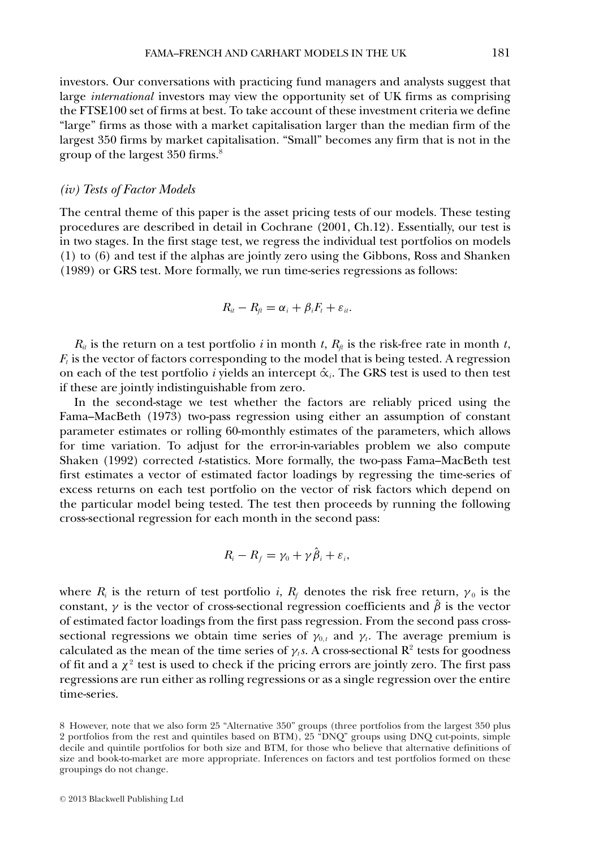investors. Our conversations with practicing fund managers and analysts suggest that large *international* investors may view the opportunity set of UK firms as comprising the FTSE100 set of firms at best. To take account of these investment criteria we define "large" firms as those with a market capitalisation larger than the median firm of the largest 350 firms by market capitalisation. "Small" becomes any firm that is not in the group of the largest 350 firms.8

### *(iv) Tests of Factor Models*

The central theme of this paper is the asset pricing tests of our models. These testing procedures are described in detail in Cochrane (2001, Ch.12). Essentially, our test is in two stages. In the first stage test, we regress the individual test portfolios on models (1) to (6) and test if the alphas are jointly zero using the Gibbons, Ross and Shanken (1989) or GRS test. More formally, we run time-series regressions as follows:

$$
R_{it}-R_{ft}=\alpha_i+\beta_iF_t+\varepsilon_{it}.
$$

 $R_{it}$  is the return on a test portfolio *i* in month *t*,  $R_{it}$  is the risk-free rate in month *t*,  $F_t$  is the vector of factors corresponding to the model that is being tested. A regression on each of the test portfolio *i* yields an intercept  $\hat{\alpha}_i$ . The GRS test is used to then test if these are jointly indistinguishable from zero.

In the second-stage we test whether the factors are reliably priced using the Fama–MacBeth (1973) two-pass regression using either an assumption of constant parameter estimates or rolling 60-monthly estimates of the parameters, which allows for time variation. To adjust for the error-in-variables problem we also compute Shaken (1992) corrected *t*-statistics. More formally, the two-pass Fama–MacBeth test first estimates a vector of estimated factor loadings by regressing the time-series of excess returns on each test portfolio on the vector of risk factors which depend on the particular model being tested. The test then proceeds by running the following cross-sectional regression for each month in the second pass:

$$
R_i - R_f = \gamma_0 + \gamma \hat{\beta}_i + \varepsilon_i,
$$

where  $R_i$  is the return of test portfolio *i*,  $R_f$  denotes the risk free return,  $\gamma_0$  is the constant,  $\gamma$  is the vector of cross-sectional regression coefficients and  $\hat{\beta}$  is the vector of estimated factor loadings from the first pass regression. From the second pass crosssectional regressions we obtain time series of  $\gamma_{0,t}$  and  $\gamma_t$ . The average premium is calculated as the mean of the time series of  $\gamma$ <sub>*t*</sub>s. A cross-sectional R<sup>2</sup> tests for goodness of fit and a  $\chi^2$  test is used to check if the pricing errors are jointly zero. The first pass regressions are run either as rolling regressions or as a single regression over the entire time-series.

<sup>8</sup> However, note that we also form 25 "Alternative 350" groups (three portfolios from the largest 350 plus 2 portfolios from the rest and quintiles based on BTM), 25 "DNQ" groups using DNQ cut-points, simple decile and quintile portfolios for both size and BTM, for those who believe that alternative definitions of size and book-to-market are more appropriate. Inferences on factors and test portfolios formed on these groupings do not change.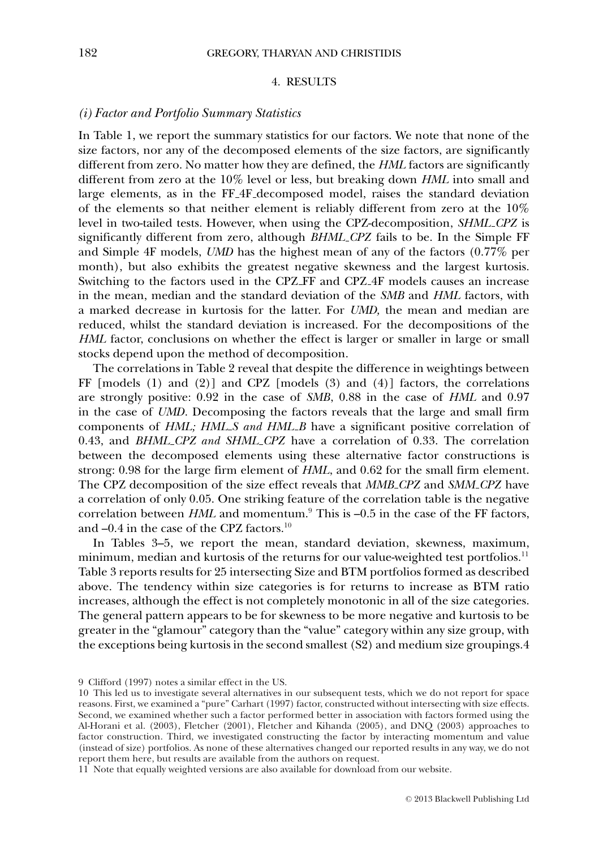### 4. RESULTS

### *(i) Factor and Portfolio Summary Statistics*

In Table 1, we report the summary statistics for our factors. We note that none of the size factors, nor any of the decomposed elements of the size factors, are significantly different from zero. No matter how they are defined, the *HML* factors are significantly different from zero at the 10% level or less, but breaking down *HML* into small and large elements, as in the FF 4F decomposed model, raises the standard deviation of the elements so that neither element is reliably different from zero at the 10% level in two-tailed tests. However, when using the CPZ-decomposition, *SHML CPZ* is significantly different from zero, although *BHML CPZ* fails to be. In the Simple FF and Simple 4F models, *UMD* has the highest mean of any of the factors (0.77% per month), but also exhibits the greatest negative skewness and the largest kurtosis. Switching to the factors used in the CPZ FF and CPZ 4F models causes an increase in the mean, median and the standard deviation of the *SMB* and *HML* factors, with a marked decrease in kurtosis for the latter. For *UMD,* the mean and median are reduced, whilst the standard deviation is increased. For the decompositions of the *HML* factor, conclusions on whether the effect is larger or smaller in large or small stocks depend upon the method of decomposition.

The correlations in Table 2 reveal that despite the difference in weightings between FF  $[$ models  $(1)$  and  $(2)$  $]$  and  $CPZ$   $[$ models  $(3)$  and  $(4)$  $]$  factors, the correlations are strongly positive: 0.92 in the case of *SMB*, 0.88 in the case of *HML* and 0.97 in the case of *UMD*. Decomposing the factors reveals that the large and small firm components of *HML; HML\_S and HML\_B* have a significant positive correlation of 0.43, and *BHML CPZ and SHML CPZ* have a correlation of 0.33. The correlation between the decomposed elements using these alternative factor constructions is strong: 0.98 for the large firm element of *HML*, and 0.62 for the small firm element. The CPZ decomposition of the size effect reveals that *MMB CPZ* and *SMM CPZ* have a correlation of only 0.05. One striking feature of the correlation table is the negative correlation between *HML* and momentum.<sup>9</sup> This is -0.5 in the case of the FF factors, and –0.4 in the case of the CPZ factors.<sup>10</sup>

In Tables 3–5, we report the mean, standard deviation, skewness, maximum, minimum, median and kurtosis of the returns for our value-weighted test portfolios.<sup>11</sup> Table 3 reports results for 25 intersecting Size and BTM portfolios formed as described above. The tendency within size categories is for returns to increase as BTM ratio increases, although the effect is not completely monotonic in all of the size categories. The general pattern appears to be for skewness to be more negative and kurtosis to be greater in the "glamour" category than the "value" category within any size group, with the exceptions being kurtosis in the second smallest (S2) and medium size groupings.4

11 Note that equally weighted versions are also available for download from our website.

<sup>9</sup> Clifford (1997) notes a similar effect in the US.

<sup>10</sup> This led us to investigate several alternatives in our subsequent tests, which we do not report for space reasons. First, we examined a "pure" Carhart (1997) factor, constructed without intersecting with size effects. Second, we examined whether such a factor performed better in association with factors formed using the Al-Horani et al. (2003), Fletcher (2001), Fletcher and Kihanda (2005), and DNQ (2003) approaches to factor construction. Third, we investigated constructing the factor by interacting momentum and value (instead of size) portfolios. As none of these alternatives changed our reported results in any way, we do not report them here, but results are available from the authors on request.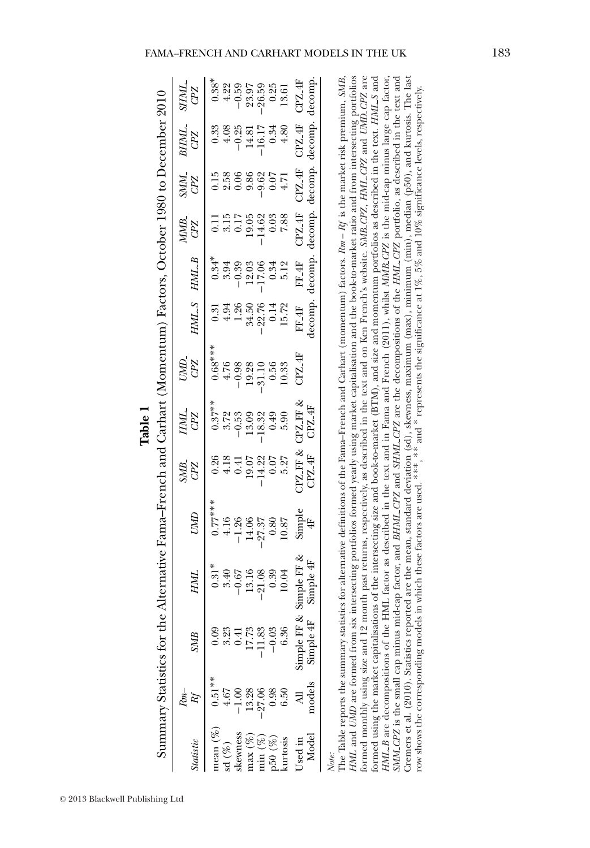| Table |  |
|-------|--|
|       |  |

Summary Statistics for the Alternative Fama–French and Carhart (Momentum) Factors, October 1980 to December 2010

| $CPZ$ -4F<br>decomp<br>$0.38$<br>$0.39$<br>$0.59$<br>$0.59$<br>$0.59$<br>$0.59$<br>$0.59$<br>$0.59$<br>$0.59$<br>$0.59$<br>$0.59$<br>SHML.<br>CPZ<br>$\begin{array}{c} \text{CPZ-4F}\\ \text{decomp.} \end{array}$<br>$\begin{array}{r} 0.33 \\ + 0.25 \\ - 0.25 \\ 14.81 \\ - 16.17 \\ 4.80 \\ \end{array}$<br>$\frac{B H M L}{C P Z}$<br>$\frac{CPZ-4F}{\text{decomp}}$ .<br>$\frac{GML}{GPL}$<br>decomp.<br>$\mbox{C}\mbox{P}\mbox{Z}_-\mbox{4}\mbox{F}$<br>$\begin{array}{r} 0.11 \\ 3.15 \\ 0.17 \\ 19.05 \\ -14.62 \\ 0.38 \\ \end{array}$<br>$\frac{MMB}{CPZ}$<br>$\begin{array}{c} 0.34^{*} \\ 3.94 \\ -0.39 \\ -12.03 \\ -17.06 \\ 6.34 \\ \text{F} \cdot 12 \\ \text{F} \cdot 12 \\ \text{F} \cdot 12 \\ \text{F} \cdot 14 \\ \text{F} \cdot 14 \\ \text{F} \cdot 14 \\ \text{decomp.} \end{array}$<br>HMLB<br>$\mbox{FF-4F}$ decomp.<br><b>HMLS</b><br>$\begin{array}{c} 0.31 \\ 4.94 \\ 1.26 \\ 34.50 \\ -22.74 \\ 0.14 \\ 15.72 \end{array}$<br>$\begin{array}{r} 0.68**\\ + .76\\ + .79\\ - 9.38\\ - 0.32\\ 0.56\\ - 0.53\\ 0.53\\ 0.33\\ 0.33\\ 0.33\\ 0.33\\ 0.33\\ 0.33\\ 0.33\\ 0.33\\ 0.33\\ 0.33\\ 0.33\\ 0.33\\ 0.33\\ 0.33\\ 0.33\\ 0.33\\ 0.33\\ 0.33\\ 0.33\\ 0.33\\ 0.33\\ 0.33\\ 0.33\\ 0.33\\ 0.33\\ 0.33\\ 0.33\\ $<br>CPZ.4F<br>UMD.<br>CPZ<br>$\begin{array}{c} 0.37^{**} \\ -3.72 \\ -0.53 \\ -18.9 \\ -18.32 \\ 0.49 \\ -18.32 \\ \hline \end{array}$<br>HML.<br>GPZ<br>$\frac{1}{C}$ PZ_FF &<br>$\begin{array}{c} 0.26 \\ 0.41 \\ 0.91 \\ 1.42 \\ 0.07 \\ -1.43 \\ 0.07 \\ 0.57 \\ \end{array}$<br>$\frac{\text{SMB}}{\text{GPE}}$<br>$\begin{array}{l} 0.77^{***} \\ 4.16 \\ \bf{-1.26} \\ -1.26 \\ \bf{-27.37} \\ 0.80 \\ \bf{10.87} \\ \bf{5} \\ \rm{simple} \\ \end{array}$<br><b>UMD</b><br>$\begin{array}{c} \mbox{Simple FF} \; \& \\ \mbox{Simple} \; \rm{4F} \end{array}$<br>$\begin{array}{c} 0.31^* \\ 0.40 \\ -0.67 \\ -0.08 \\ -1.08 \\ -0.03 \\ 0.04 \\ 10.04 \end{array}$<br>HML<br>Simple 4F<br>Simple FF.<br>$\begin{array}{r} 17.73 \\ -11.83 \\ -0.03 \\ \hline 6.36 \end{array}$<br>0.41<br><b>SMB</b><br>$0.51***$<br>models<br>$0.38$<br>$6.50$<br>$4.67$<br>13.28<br>27.06<br>$-1.00$<br>$\begin{array}{l} \text{nean } (\%) \\ \text{sd } (\%) \end{array}$<br>kewness<br>$\begin{array}{l} \mathsf{max}\ (\%) \\ \mathsf{min}\ (\%) \\ \mathsf{p50}\ (\%) \\ \mathsf{kurtosis} \end{array}$<br>Model<br>Jsed in<br><i><b>Statistic</b></i> |  | iummary Statistics for the Alternative Fama-French and Carhart (Momentum) Factors, October 1980 to December 2010 |  |  |  |  |  |
|------------------------------------------------------------------------------------------------------------------------------------------------------------------------------------------------------------------------------------------------------------------------------------------------------------------------------------------------------------------------------------------------------------------------------------------------------------------------------------------------------------------------------------------------------------------------------------------------------------------------------------------------------------------------------------------------------------------------------------------------------------------------------------------------------------------------------------------------------------------------------------------------------------------------------------------------------------------------------------------------------------------------------------------------------------------------------------------------------------------------------------------------------------------------------------------------------------------------------------------------------------------------------------------------------------------------------------------------------------------------------------------------------------------------------------------------------------------------------------------------------------------------------------------------------------------------------------------------------------------------------------------------------------------------------------------------------------------------------------------------------------------------------------------------------------------------------------------------------------------------------------------------------------------------------------------------------------------------------------------------------------------------------------------------------------------------------------------------------------------------------------------------------------------------------------------------------------------------------------------------------------------------------------------------------------------------------------------------------------------------------------------------------|--|------------------------------------------------------------------------------------------------------------------|--|--|--|--|--|
|                                                                                                                                                                                                                                                                                                                                                                                                                                                                                                                                                                                                                                                                                                                                                                                                                                                                                                                                                                                                                                                                                                                                                                                                                                                                                                                                                                                                                                                                                                                                                                                                                                                                                                                                                                                                                                                                                                                                                                                                                                                                                                                                                                                                                                                                                                                                                                                                      |  |                                                                                                                  |  |  |  |  |  |
|                                                                                                                                                                                                                                                                                                                                                                                                                                                                                                                                                                                                                                                                                                                                                                                                                                                                                                                                                                                                                                                                                                                                                                                                                                                                                                                                                                                                                                                                                                                                                                                                                                                                                                                                                                                                                                                                                                                                                                                                                                                                                                                                                                                                                                                                                                                                                                                                      |  |                                                                                                                  |  |  |  |  |  |
|                                                                                                                                                                                                                                                                                                                                                                                                                                                                                                                                                                                                                                                                                                                                                                                                                                                                                                                                                                                                                                                                                                                                                                                                                                                                                                                                                                                                                                                                                                                                                                                                                                                                                                                                                                                                                                                                                                                                                                                                                                                                                                                                                                                                                                                                                                                                                                                                      |  |                                                                                                                  |  |  |  |  |  |
|                                                                                                                                                                                                                                                                                                                                                                                                                                                                                                                                                                                                                                                                                                                                                                                                                                                                                                                                                                                                                                                                                                                                                                                                                                                                                                                                                                                                                                                                                                                                                                                                                                                                                                                                                                                                                                                                                                                                                                                                                                                                                                                                                                                                                                                                                                                                                                                                      |  |                                                                                                                  |  |  |  |  |  |
|                                                                                                                                                                                                                                                                                                                                                                                                                                                                                                                                                                                                                                                                                                                                                                                                                                                                                                                                                                                                                                                                                                                                                                                                                                                                                                                                                                                                                                                                                                                                                                                                                                                                                                                                                                                                                                                                                                                                                                                                                                                                                                                                                                                                                                                                                                                                                                                                      |  |                                                                                                                  |  |  |  |  |  |
|                                                                                                                                                                                                                                                                                                                                                                                                                                                                                                                                                                                                                                                                                                                                                                                                                                                                                                                                                                                                                                                                                                                                                                                                                                                                                                                                                                                                                                                                                                                                                                                                                                                                                                                                                                                                                                                                                                                                                                                                                                                                                                                                                                                                                                                                                                                                                                                                      |  |                                                                                                                  |  |  |  |  |  |
|                                                                                                                                                                                                                                                                                                                                                                                                                                                                                                                                                                                                                                                                                                                                                                                                                                                                                                                                                                                                                                                                                                                                                                                                                                                                                                                                                                                                                                                                                                                                                                                                                                                                                                                                                                                                                                                                                                                                                                                                                                                                                                                                                                                                                                                                                                                                                                                                      |  |                                                                                                                  |  |  |  |  |  |
|                                                                                                                                                                                                                                                                                                                                                                                                                                                                                                                                                                                                                                                                                                                                                                                                                                                                                                                                                                                                                                                                                                                                                                                                                                                                                                                                                                                                                                                                                                                                                                                                                                                                                                                                                                                                                                                                                                                                                                                                                                                                                                                                                                                                                                                                                                                                                                                                      |  |                                                                                                                  |  |  |  |  |  |
|                                                                                                                                                                                                                                                                                                                                                                                                                                                                                                                                                                                                                                                                                                                                                                                                                                                                                                                                                                                                                                                                                                                                                                                                                                                                                                                                                                                                                                                                                                                                                                                                                                                                                                                                                                                                                                                                                                                                                                                                                                                                                                                                                                                                                                                                                                                                                                                                      |  |                                                                                                                  |  |  |  |  |  |
|                                                                                                                                                                                                                                                                                                                                                                                                                                                                                                                                                                                                                                                                                                                                                                                                                                                                                                                                                                                                                                                                                                                                                                                                                                                                                                                                                                                                                                                                                                                                                                                                                                                                                                                                                                                                                                                                                                                                                                                                                                                                                                                                                                                                                                                                                                                                                                                                      |  |                                                                                                                  |  |  |  |  |  |
|                                                                                                                                                                                                                                                                                                                                                                                                                                                                                                                                                                                                                                                                                                                                                                                                                                                                                                                                                                                                                                                                                                                                                                                                                                                                                                                                                                                                                                                                                                                                                                                                                                                                                                                                                                                                                                                                                                                                                                                                                                                                                                                                                                                                                                                                                                                                                                                                      |  |                                                                                                                  |  |  |  |  |  |

HML and UMD are formed from six intersecting portfolios formed yearly using market capitalisation and the book-to-market ratio and from intersecting portfolios formed monthly using size and 12 month past returns, respectively, as described in the text and on Ken French's website. SMB.CPZ, HML.CPZ and UMD.CPZ are formed using the market capitalisations of the intersecting size and book-to-market (BTM), and size and momentum portfolios as described in the text. HML-S and The Table reports the summary statistics for alternative definitions of the Fama–French and Carhart (momentum) factors.  $Rm - M$  is the market risk premium, SMB, SMM\_CPZ is the small cap minus mid-cap factor, and BHML\_CPZ and SHML\_CPZ are the decompositions of the HML\_CPZ portfolio, as described in the text and Cremers et al. (2010). Statistics reported are the mean, standard deviation (sd), skewness, maximum (max), minimum (min), median (p50), and kurtosis. The last Cremers et al. (2010). Statistics reported are the mean, standard deviation (sd), skewness, maximum (max), minimum (min), median (p50), and kurtosis. The last The Table reports the summary statistics for alternative definitions of the Fama–French and Carhart (momentum) factors. *Rm* – *Rf* is the market risk premium, *SMB*, *HML* and *UMD* are formed from six intersecting portfolios formed yearly using market capitalisation and the book-to-market ratio and from intersecting portfolios formed monthly using size and 12 month past returns, respectively, as described in the text and on Ken French's website. *SMB CPZ*, *HML CPZ* and *UMD CPZ* are formed using the market capitalisations of the intersecting size and book-to-market (BTM), and size and momentum portfolios as described in the text. *HML S* and are decompositions of the HML factor as described in the text and in Fama and French (2011), whilst *MMB CPZ* is the mid-cap minus large cap factor, *SMM CPZ* is the small cap minus mid-cap factor, and *BHML CPZ* and *SHML CPZ* are the decompositions of the *HML CPZ* portfolio, as described in the text and cow shows the corresponding models in which these factors are used. \*\*\*, \*\* and \* represents the significance at 1%, 5% and 10% significance levels, respectively. row shows the corresponding models in which these factors are used. ∗∗∗, ∗∗ and ∗ represents the significance at 1%, 5% and 10% significance levels, respectively. *HML B*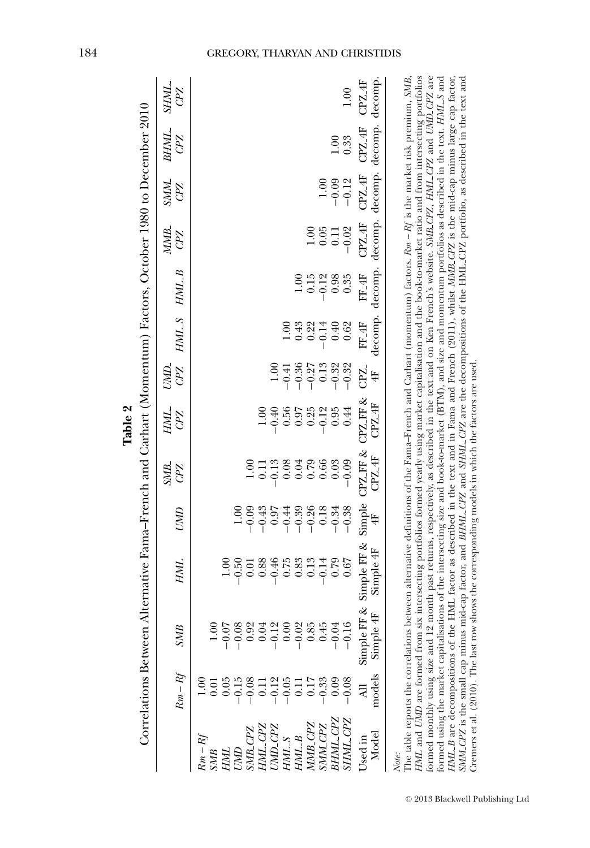|                                                                              |                                          |                            |                                                                                                                                                                                                                                                                                                                                                                                                                                                                                                                                                                                                                                                                                                                                                                |                    |                               | Table 2              |                     |                   |                 |                           |                          |                                                             |                    |
|------------------------------------------------------------------------------|------------------------------------------|----------------------------|----------------------------------------------------------------------------------------------------------------------------------------------------------------------------------------------------------------------------------------------------------------------------------------------------------------------------------------------------------------------------------------------------------------------------------------------------------------------------------------------------------------------------------------------------------------------------------------------------------------------------------------------------------------------------------------------------------------------------------------------------------------|--------------------|-------------------------------|----------------------|---------------------|-------------------|-----------------|---------------------------|--------------------------|-------------------------------------------------------------|--------------------|
|                                                                              |                                          |                            | Correlations Between Alternative Fama-French and Carhart (Momentum) Factors, October 1980 to December 2010                                                                                                                                                                                                                                                                                                                                                                                                                                                                                                                                                                                                                                                     |                    |                               |                      |                     |                   |                 |                           |                          |                                                             |                    |
|                                                                              | $Rm-Rf$                                  | SMB                        | HML                                                                                                                                                                                                                                                                                                                                                                                                                                                                                                                                                                                                                                                                                                                                                            | UMD                | SM <sub>B</sub><br><b>GPZ</b> | HML.<br>CPZ          | CPZ<br>UMD.         |                   | HML_S HML_B     | MMB.<br><b>GPZ</b>        | <b>NNN</b><br><b>CPZ</b> | BHML.<br>CPZ                                                | <b>SHML</b><br>CPZ |
| $Rm-Rl$<br><b>UND</b><br>HML<br><b>SMB</b>                                   | $-0.15$<br>$\frac{8}{1}$<br>0.05<br>0.01 | $-0.08$<br>0.01<br>$-0.07$ | $-0.50$                                                                                                                                                                                                                                                                                                                                                                                                                                                                                                                                                                                                                                                                                                                                                        | 1.00               |                               |                      |                     |                   |                 |                           |                          |                                                             |                    |
| HML_CPZ<br>SMB <sub>-CPZ</sub>                                               | $-0.08$<br>0.11                          | 0.92<br>0.04               | 0.88<br>0.01                                                                                                                                                                                                                                                                                                                                                                                                                                                                                                                                                                                                                                                                                                                                                   | $-0.43$<br>$-0.09$ | 00.1<br>$\Xi$                 | $\frac{0}{1.00}$     |                     |                   |                 |                           |                          |                                                             |                    |
| UMD <sub>-</sub> CPZ<br>HML_S                                                | $-0.05$<br>$-0.12$                       | $-0.12$<br>0.00            | $-0.46$<br>0.75                                                                                                                                                                                                                                                                                                                                                                                                                                                                                                                                                                                                                                                                                                                                                | 0.97<br>$-0.44$    | 0.08<br>$-0.13$               | 0.56<br>$-0.40$      | 1.00<br>$-0.41$     |                   |                 |                           |                          |                                                             |                    |
| HML_B                                                                        | $\overline{0}$                           | $-0.02$                    | 0.83                                                                                                                                                                                                                                                                                                                                                                                                                                                                                                                                                                                                                                                                                                                                                           | $-0.39$            | 0.04                          | 0.97                 | $-0.36$             | 0.43              | 1.00            |                           |                          |                                                             |                    |
| MMB_CPZ<br>SMM_CPZ                                                           | $-0.33$<br>0.17                          | 0.85<br>0.45               | 0.13<br>$-0.14$                                                                                                                                                                                                                                                                                                                                                                                                                                                                                                                                                                                                                                                                                                                                                | $-0.26$<br>0.18    | 0.79<br>0.66                  | $\frac{0.25}{-0.12}$ | $-0.27$<br>$0.13\,$ | 0.22<br>$-0.14$   | 0.15<br>$-0.12$ | 0.05<br>$\frac{0}{1}$     | 1.00                     |                                                             |                    |
| BHML_CPZ<br>SHML_CPZ                                                         | $-0.08$<br>0.09                          | $-0.16$<br>$-0.04$         | 0.79<br>0.67                                                                                                                                                                                                                                                                                                                                                                                                                                                                                                                                                                                                                                                                                                                                                   | $-0.34$<br>$-0.38$ | $-0.09$<br>0.03               | 0.95<br>0.44         | $-0.32$<br>$-0.32$  | 0.40<br>0.62      | 0.98<br>0.35    | $-0.02$<br>$\overline{0}$ | $-0.09$<br>$-0.12$       | 0.33<br>1.00                                                | 1.00               |
| Model<br>Used in                                                             | models<br>₹                              | Simple 4F<br>Simple FI     | F & Simple FF & Simple CPZ FF & CPZ FF & CPZ.<br>Simple 4F                                                                                                                                                                                                                                                                                                                                                                                                                                                                                                                                                                                                                                                                                                     | $\ddot{\ddagger}$  | CPZ-4F                        | CPZ_4F               | $\ddot{\ddagger}$   | FF <sub>-4F</sub> | FF_4F           | CPZ <sub>-4F</sub>        | $CPZ_4F$                 | decomp. decomp. decomp. decomp. decomp. decomp.<br>$CPZ-4F$ | $CPZ_4F$           |
| HML_B are decompositions of the<br>formed monthly using size and 12<br>Note: |                                          |                            | month past returns, respectively, as described in the text and on Ken French's website. SMB_CPZ, HML_CPZ and UMD_CPZ are<br>HML factor as described in the text and in Fama and French (2011), whilst MMB_CPZ is the mid-cap minus large cap factor,<br>HML and UMD are formed from six intersecting portfolios formed yearly using market capitalisation and the book-to-market ratio and from intersecting portfolios<br>formed using the market capitalisations of the intersecting size and book-to-market (BTM), and size and momentum portfolios as described in the text. HML.S and<br>The table reports the correlations between alternative definitions of the Fama-French and Carbart (momentum) factors. $Rm - Rf$ is the market risk premium, SMB, |                    |                               |                      |                     |                   |                 |                           |                          |                                                             |                    |
|                                                                              |                                          |                            |                                                                                                                                                                                                                                                                                                                                                                                                                                                                                                                                                                                                                                                                                                                                                                |                    |                               |                      |                     |                   |                 |                           |                          |                                                             |                    |

### GREGORY, THARYAN AND CHRISTIDIS

*SMM CPZ* is the small cap minus mid-cap factor, and *BHML CPZ* and *SHML CPZ* are the decompositions of the HML CPZ portfolio, as described in the text and

Cremers et al. (2010). The last row shows the corresponding models in which the factors are used.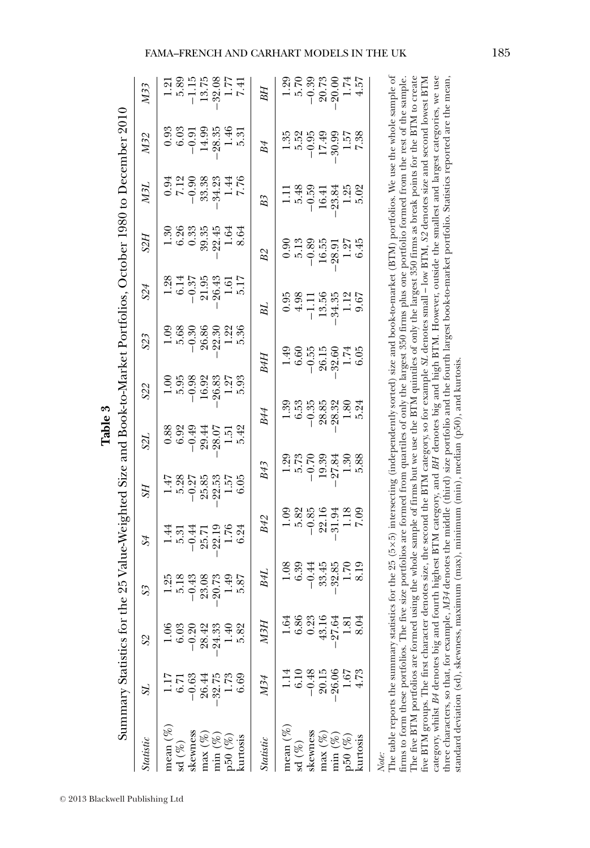| $\mathbf \zeta$<br>l<br>b<br>Į<br>$\sqrt{2}$<br>$\frac{1}{2}$<br>l<br>֧֧֧֧֧֚֚֚֚֚֚֚֚֚֚֚֚֚֚֚֚֚֚֚֚֚֚֚֚֚֚֚֚֚֝֝֝֓֝֓֝֓֝<br>$\frac{1}{2}$<br>֚֚<br>$\frac{1}{2}$<br>ī<br>-<br>3<br>3<br>.<br>7<br>J<br>֚֡<br>l<br>こうさつごう こうこう<br>$-1 - 1$<br>I |
|-----------------------------------------------------------------------------------------------------------------------------------------------------------------------------------------------------------------------------------------|
|                                                                                                                                                                                                                                         |

|                  |                                                                                      |                  | 1.20                                                                                                                                                                                                                                                                                                                                                                                                                                                                                                                                                                                                                                                                                                                                                                                                                                                                                                                                                                                                                                                                                                         |
|------------------|--------------------------------------------------------------------------------------|------------------|--------------------------------------------------------------------------------------------------------------------------------------------------------------------------------------------------------------------------------------------------------------------------------------------------------------------------------------------------------------------------------------------------------------------------------------------------------------------------------------------------------------------------------------------------------------------------------------------------------------------------------------------------------------------------------------------------------------------------------------------------------------------------------------------------------------------------------------------------------------------------------------------------------------------------------------------------------------------------------------------------------------------------------------------------------------------------------------------------------------|
| M33              | $-1.15$<br>5.89<br>13.75<br>$-32.08$<br>1.77<br>7.41<br>$\frac{1}{2}$                | BН               | $-0.39$<br>20.73<br>5.70<br>$-20.00$<br>4.57<br>1.74                                                                                                                                                                                                                                                                                                                                                                                                                                                                                                                                                                                                                                                                                                                                                                                                                                                                                                                                                                                                                                                         |
| M32              | 1.46<br>28.35<br>6.03<br>14.99<br>0.93<br>$-0.91$<br>5.31                            | B4               | 1.35<br>5.52<br>$-0.95$<br>7.38<br>.30.99<br>1.57<br>17.49                                                                                                                                                                                                                                                                                                                                                                                                                                                                                                                                                                                                                                                                                                                                                                                                                                                                                                                                                                                                                                                   |
| <b>ZEN</b>       | $7.12$<br>7.76<br>33.38<br>34.23<br>1.44<br>$-0.90$<br>0.94                          | B <sub>3</sub>   | 5.48<br>$-0.59$<br>5.02<br>1.25<br>$-23.84$<br>16.41                                                                                                                                                                                                                                                                                                                                                                                                                                                                                                                                                                                                                                                                                                                                                                                                                                                                                                                                                                                                                                                         |
| S2Н              | 6.26<br>0.33<br>39.35<br>$-22.45$<br>1.30<br>1.64<br>8.64                            | <b>B2</b>        | 5.13<br>$-0.89$<br>16.55<br>6.45<br>0.90<br>1.27<br>$-28.91$                                                                                                                                                                                                                                                                                                                                                                                                                                                                                                                                                                                                                                                                                                                                                                                                                                                                                                                                                                                                                                                 |
| S24              | 26.43<br>5.17<br>1.28<br>$-0.37$<br>21.95<br>6.14<br>1.61                            | ВL               | 0.95<br>4.98<br>34.35<br>1.12<br>13.56<br>9.67<br>$\frac{111}{1}$                                                                                                                                                                                                                                                                                                                                                                                                                                                                                                                                                                                                                                                                                                                                                                                                                                                                                                                                                                                                                                            |
| S23              | 5.68<br>26.86<br>5.36<br>1.22<br>$-0.30$<br>22.30                                    | B4H              | $-0.55$<br>26.15<br>6.05<br>1.49<br>6.60<br>$-32.60$<br>$\frac{1}{2}$                                                                                                                                                                                                                                                                                                                                                                                                                                                                                                                                                                                                                                                                                                                                                                                                                                                                                                                                                                                                                                        |
| S22              | 5.95<br>$-0.98$<br>26.83<br>1.27<br>5.93<br>16.92                                    |                  | 28.32<br>$-0.35$<br>28.85<br>6.53<br>5.24<br>$\frac{0.80}{1}$                                                                                                                                                                                                                                                                                                                                                                                                                                                                                                                                                                                                                                                                                                                                                                                                                                                                                                                                                                                                                                                |
| <b>S2L</b>       | 5.42<br>0.88<br>6.92<br>$-0.49$<br>29.44<br>28.07<br>1.51                            | B44              |                                                                                                                                                                                                                                                                                                                                                                                                                                                                                                                                                                                                                                                                                                                                                                                                                                                                                                                                                                                                                                                                                                              |
| SН               | 5.28<br>$-0.27$<br>$-22.53$<br>1.57<br>25.85                                         | B43              | 5.88<br>5.73<br>$-0.70$<br>19.39<br>.27.84<br>1.30<br>1.29                                                                                                                                                                                                                                                                                                                                                                                                                                                                                                                                                                                                                                                                                                                                                                                                                                                                                                                                                                                                                                                   |
| S <sub>4</sub>   | 1.76<br>$-0.44$<br>22.19<br>$\pm$<br>6.24<br>5.31<br>25.71                           | <b>B42</b>       | 5.82<br>$-0.85$<br>1.18<br>22.16<br>$-31.94$<br><b>50.7</b><br>1.09                                                                                                                                                                                                                                                                                                                                                                                                                                                                                                                                                                                                                                                                                                                                                                                                                                                                                                                                                                                                                                          |
| S <sub>3</sub>   | 23.08<br>20.73<br>5.87<br>1.25<br>5.18<br>$-0.43$<br>1.49                            | B4L              | M34 denotes the middle (third) size portfolio and the fourth largest book-to-market portfolio. Statistics reported are the mean,<br>1.08<br>6.39<br>33.45<br>$-32.85$<br>8.19<br>$-0.44$<br>1.70                                                                                                                                                                                                                                                                                                                                                                                                                                                                                                                                                                                                                                                                                                                                                                                                                                                                                                             |
| S2               | 5.82<br>28.42<br>$-24.33$<br>6.03<br>$-0.20$<br>$\frac{40}{1}$                       | МЗН              | 6.86<br>43.16<br>1.64<br>0.23<br>$-27.64$<br>1.81                                                                                                                                                                                                                                                                                                                                                                                                                                                                                                                                                                                                                                                                                                                                                                                                                                                                                                                                                                                                                                                            |
| S1               | $-32.75$<br>1.73<br>6.69<br>$-0.63$<br>26.44<br>5.7                                  | M34              | $-0.48$<br>$-26.06$<br>20.15<br>1.67<br>6.10<br>4.73                                                                                                                                                                                                                                                                                                                                                                                                                                                                                                                                                                                                                                                                                                                                                                                                                                                                                                                                                                                                                                                         |
| <b>Statistic</b> | mean $(\%)$<br>skewness<br>$\max(\%$<br>$\min (\%$<br>50(%)<br>curtosis<br>sd $(\%)$ | <b>Statistic</b> | The table reports the summary statistics for the 25 (5×5) intersecting (independently sorted) size and book-to-market (BTM) portfolios. We use the whole sample of<br>The five BTM portfolios are formed using the whole sample of firms but we use the BTM quintiles of only the largest 350 firms as break points for the BTM to create<br>category, whilst B4 denotes big and fourth highest BTM category, and BH denotes big and high BTM. However, outside the smallest and largest categories, we use<br>firms to form these portfolios. The five size portfolios are formed from quartiles of only the largest 350 firms plus one portfolio formed from the rest of the sample.<br>five BTM groups. The first character denotes size, the second the BTM category, so for example SL denotes small – low BTM, S2 denotes size and second lowest BTM<br>standard deviation (sd), skewness, maximum (max), minimum (min), median (p50), and kurtosis<br>three characters, so that, for example,<br>mean $(\%)$<br>skewness<br>$max(\%)$<br>$min(\%$<br>50(%<br>curtosis<br>$\mathrm{sd}\ (\%)$<br>Note: |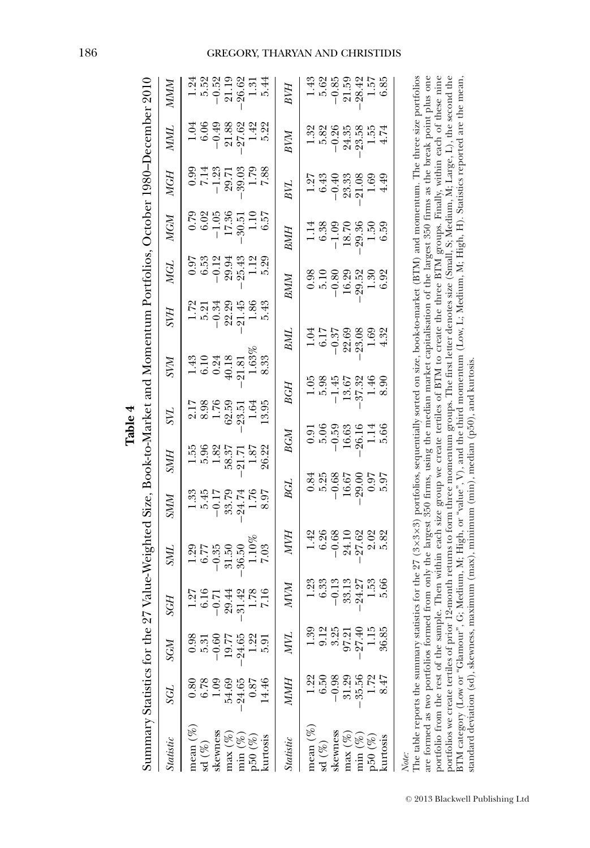| Summary Statistics for the 2                                                                                                                                                                                                                                                                                                                                                                                                                                                                                                                            |                   |          |                     | 7 Value-Weighted Size, Book-to-Market and Momentum Portfolios, October 1980–December 2010                                     |             |                   |                     |          |                 |                  |                       |                     |            |                        |
|---------------------------------------------------------------------------------------------------------------------------------------------------------------------------------------------------------------------------------------------------------------------------------------------------------------------------------------------------------------------------------------------------------------------------------------------------------------------------------------------------------------------------------------------------------|-------------------|----------|---------------------|-------------------------------------------------------------------------------------------------------------------------------|-------------|-------------------|---------------------|----------|-----------------|------------------|-----------------------|---------------------|------------|------------------------|
| <b>Statistic</b>                                                                                                                                                                                                                                                                                                                                                                                                                                                                                                                                        | ТЭS               | SGM      | SGН                 | <b>TNU</b>                                                                                                                    | <b>NINS</b> | <b>SMH</b>        | ZК                  | ZУМ      | SVН             | <b>MGL</b>       | MGM                   | <b>MGH</b>          | <b>NNI</b> | NWW                    |
| mean $(\%)$                                                                                                                                                                                                                                                                                                                                                                                                                                                                                                                                             | $0.\overline{8}0$ | 0.98     |                     | 1.29                                                                                                                          | 1.33        | 1.55              |                     | 1.43     | 1.72            | 6.07             | 67.0                  | 0.99                | 1.04       | 1.24                   |
| $\mathrm{sd}\ (\%)$                                                                                                                                                                                                                                                                                                                                                                                                                                                                                                                                     | 6.78              | 5.31     | $\frac{1.27}{6.16}$ | 6.77                                                                                                                          | 5.45        | 5.96              | 8.98                | 6.10     | 5.21            | 6.53             | 6.02                  | 7.14                | 6.06       | 5.52                   |
| skewness                                                                                                                                                                                                                                                                                                                                                                                                                                                                                                                                                | 1.09              | $-0.60$  | $-0.71$             | $-0.35$                                                                                                                       | $-0.17$     | 1.82              | 1.76                | 0.24     | $-0.34$         | $-0.12$          |                       |                     | $-0.49$    | $-0.52$                |
| $max(\%)$                                                                                                                                                                                                                                                                                                                                                                                                                                                                                                                                               | 54.69             | 19.77    |                     | 31.50                                                                                                                         | 33.79       | 58.37             |                     | 40.18    |                 | 29.94            | $\frac{-1.05}{17.36}$ | $\frac{-33}{29.03}$ |            |                        |
| $min(\%)$                                                                                                                                                                                                                                                                                                                                                                                                                                                                                                                                               | $-24.65$          | $-24.65$ | 29.44<br>31.42      | 36.50                                                                                                                         | $-24.74$    | 21.71             | $62.59$<br>$-23.51$ | 21.81    | 22.29<br>-21.45 | $-25.43$         |                       |                     | 21.88      | 21.19                  |
| p50(%)                                                                                                                                                                                                                                                                                                                                                                                                                                                                                                                                                  | 0.87              | 1.22     | $1.78$<br>7.16      | $1.10\%$                                                                                                                      | 1.76        | 1.87              | 1.64                | 1.63%    | 1.86            | 1.12             | $\frac{1.10}{6.57}$   | 1.79                | 1.42       | 1.31                   |
| kurtosis                                                                                                                                                                                                                                                                                                                                                                                                                                                                                                                                                | 14.46             |          |                     | 7.03                                                                                                                          | 8.97        | 26.22             | 13.95               | 8.33     |                 | 5.29             |                       | 7.88                | 5.22       | 5.44                   |
| <b>Statistic</b>                                                                                                                                                                                                                                                                                                                                                                                                                                                                                                                                        | NWH               | MИ       | NИM                 | NИ                                                                                                                            | <b>BGL</b>  | BGM               |                     | BGH      | BML             | <b>BMM</b>       | BMH                   | BИ                  | BVM        | BVН                    |
| mean $(\%)$                                                                                                                                                                                                                                                                                                                                                                                                                                                                                                                                             |                   | .<br>39  | 1.23                | 1.42                                                                                                                          | 0.84        | $\overline{6}\,0$ |                     | 1.05     | 1.04            | 0.98             | 1.14                  | 1.27                | 1.32       | 1.43                   |
| $\mathrm{sd}\ (\%)$                                                                                                                                                                                                                                                                                                                                                                                                                                                                                                                                     | $6.50\,$          | 9.12     | 6.33                | 6.26                                                                                                                          | 5.25        | 5.06              |                     | 5.98     | 6.17            | 5.10             | 6.38                  | 6.43                | 5.82       | 5.62                   |
| skewness                                                                                                                                                                                                                                                                                                                                                                                                                                                                                                                                                | $-0.98$           | 3.25     | $-0.13$             | $-0.68$                                                                                                                       | $-0.68$     | $-0.59$           |                     | $-1.45$  | $-0.37$         | $-0.80$          | $-1.09$               | $-0.40$             | $-0.26$    | $-0.85$                |
| $\max(\%$                                                                                                                                                                                                                                                                                                                                                                                                                                                                                                                                               | 31.29             | 97.21    | 33.13               | 24.10                                                                                                                         | 16.67       | 16.63             |                     | 13.67    | 22.69           | 16.29            | 18.70                 | 23.33               | 24.35      |                        |
| $\min(\%$                                                                                                                                                                                                                                                                                                                                                                                                                                                                                                                                               | $-35.56$          | $-27.40$ |                     | 27.62                                                                                                                         | .29.00      | 26.16<br>1.14     |                     | $-37.32$ | 23.08           |                  | 29.36                 | $-21.08$            | $-23.58$   | 21.59<br>28.42<br>1.57 |
| p50(%)                                                                                                                                                                                                                                                                                                                                                                                                                                                                                                                                                  | 1.72              |          | $-24.27$<br>1.53    | 2.02                                                                                                                          | 6.07        |                   |                     | 1.46     | 1.69            | $-29.52$<br>1.30 | 1.50                  | 1.69                | 1.55       |                        |
| kurtosis                                                                                                                                                                                                                                                                                                                                                                                                                                                                                                                                                | $\frac{4}{3}$     | 36.85    | 5.66                | 5.82                                                                                                                          | 56.         | 5.66              |                     | 8.90     | 4.32            |                  | 6.59                  | 4.49                |            | 6.85                   |
| The table reports the summary statistics for the 27 (3×3×3) portfolios, sequentially sorted on size, book-to-market (BTM) and momentum. The three size portfolios<br>portfolio from the rest of the sample. Then within each size group we create tertiles of BTM to create three BTM groups. Finally, within each of these nine<br>are formed as two portfolios formed from only the largest 350 firms, using the median market capitalisation of the largest 350 firms as the break point plus one<br>portfolios we create tertiles of prior<br>Note: |                   |          |                     | 12-month returns to form three momentum groups. The first letter denotes size (Small, S; Medium, M; Large, L), the second the |             |                   |                     |          |                 |                  |                       |                     |            |                        |
| BTM category (Low or "Glamour", (                                                                                                                                                                                                                                                                                                                                                                                                                                                                                                                       |                   |          |                     | 3; Medium, M; High, or "value", V), and the third momentum (Low, L; Medium, M; High, H). Statistics reported are the mean     |             |                   |                     |          |                 |                  |                       |                     |            |                        |

| ω       |   |
|---------|---|
| J.<br>د |   |
| ÷,      |   |
| Б<br>۳  | l |
|         |   |

### GREGORY, THARYAN AND CHRISTIDIS

standard deviation (sd), skewness, maximum (max), minimum (min), median (p50), and kurtosis.

standard deviation (sd), skewness, maximum (max), minimum (min), median (p50), and kurtosis.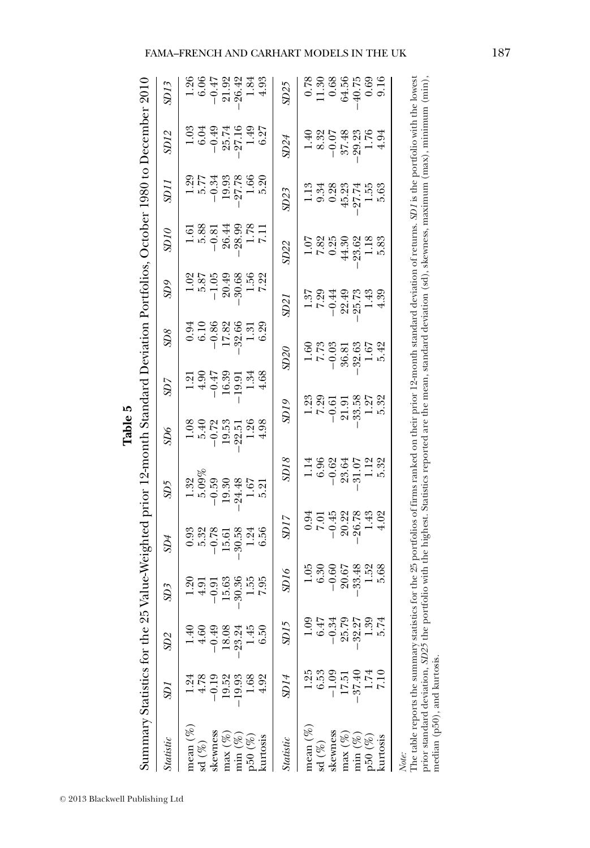Summary Statistics for the 25 Value-Weighted prior 12-month Standard Deviation Portfolios, October 1980 to December 2010 Summary Statistics for the Value-Weighted prior 12-month Standard Deviation Portfolios, October 1980 to December 2010 **Table 5**

| <b>Statistic</b>     | SDI                                                                                                                                                                                                                                                                                                                                                                           | SD2            | SD3                                                                        | $\mathfrak{D}4$                                                                   | SD5                                                                                                          | $\mathfrak{D}6$                                                                          | SU                                                                     | $\mathbb{S}^{0}$                                                                        | $\mathfrak{D}9$                                                                                          | 9IGS                                                                             | <i>SDI1</i>                                                                                                              | <b>SD12</b>                                                                                                                                                                                                                                                                                                                                    | SD13                                                                                                                                                                                                                                                                                                                             |
|----------------------|-------------------------------------------------------------------------------------------------------------------------------------------------------------------------------------------------------------------------------------------------------------------------------------------------------------------------------------------------------------------------------|----------------|----------------------------------------------------------------------------|-----------------------------------------------------------------------------------|--------------------------------------------------------------------------------------------------------------|------------------------------------------------------------------------------------------|------------------------------------------------------------------------|-----------------------------------------------------------------------------------------|----------------------------------------------------------------------------------------------------------|----------------------------------------------------------------------------------|--------------------------------------------------------------------------------------------------------------------------|------------------------------------------------------------------------------------------------------------------------------------------------------------------------------------------------------------------------------------------------------------------------------------------------------------------------------------------------|----------------------------------------------------------------------------------------------------------------------------------------------------------------------------------------------------------------------------------------------------------------------------------------------------------------------------------|
| mean $(\%)$          |                                                                                                                                                                                                                                                                                                                                                                               | $\frac{40}{1}$ |                                                                            |                                                                                   |                                                                                                              |                                                                                          |                                                                        |                                                                                         |                                                                                                          |                                                                                  |                                                                                                                          |                                                                                                                                                                                                                                                                                                                                                |                                                                                                                                                                                                                                                                                                                                  |
| $\mathrm{sd} \ (\%)$ | 4.78                                                                                                                                                                                                                                                                                                                                                                          | 4.60           | $\begin{array}{r} 1.20 \\ 4.91 \\ -0.91 \\ 15.63 \\ -30.36 \\ \end{array}$ | $0.388$<br>$-0.503$<br>$-0.503$<br>$-0.503$                                       | $\begin{array}{r} 1.32 \\ 1.39 \\ 5.099 \\ -0.59 \\ -24.49 \\ -4.67 \\ -1.67 \\ 5.21 \\ 5.21 \\ \end{array}$ | $\begin{array}{r} 1.08 \\ 5.40 \\ -0.72 \\ -0.53 \\ -22.51 \\ -2.54 \\ 4.98 \end{array}$ | $1.21$<br>$+ 0.47$<br>$- 0.47$<br>$1.59$<br>$1.34$<br>$1.34$<br>$1.34$ | $\begin{array}{c} 0.94 \\ 6.10 \\ -0.86 \\ 17.82 \\ -32.66 \\ 1.31 \\ 0.39 \end{array}$ | $\begin{array}{r} 0.02 \\ -0.87 \\ -0.04 \\ -0.05 \\ -0.08 \\ 0.08 \end{array}$                          | $\begin{array}{r} 1.61 \\ 5.88 \\ -0.81 \\ 26.44 \\ 1.78 \\ 1.78 \\ \end{array}$ | $\begin{array}{r} 1.29 \\ 5.77 \\ -0.34 \\ -2.78 \\ 1.66 \\ -2.78 \\ 6.8 \\ 1.60 \\ -2.7 \\ 1.60 \\ 5.20 \\ \end{array}$ | $\begin{array}{r} 1.03 \\ 6.04 \\ -0.49 \\ -25.74 \\ 1.49 \\ 1.49 \\ \end{array}$                                                                                                                                                                                                                                                              | $\begin{array}{r} 1.26 \\ 6.06 \\ -0.134 \\ -0.043 \\ -0.043 \\ -0.043 \\ -0.043 \\ -0.043 \\ -0.043 \\ -0.043 \\ -0.043 \\ -0.043 \\ -0.043 \\ -0.043 \\ -0.043 \\ -0.043 \\ -0.043 \\ -0.043 \\ -0.043 \\ -0.043 \\ -0.043 \\ -0.043 \\ -0.043 \\ -0.043 \\ -0.043 \\ -0.043 \\ -0.043 \\ -0.043 \\ -0.043 \\ -0.043 \\ -0.04$ |
| skewness             | $-0.19$                                                                                                                                                                                                                                                                                                                                                                       | $-0.49$        |                                                                            |                                                                                   |                                                                                                              |                                                                                          |                                                                        |                                                                                         |                                                                                                          |                                                                                  |                                                                                                                          |                                                                                                                                                                                                                                                                                                                                                |                                                                                                                                                                                                                                                                                                                                  |
| $max(\%$             | 19.52                                                                                                                                                                                                                                                                                                                                                                         | 18.08          |                                                                            |                                                                                   |                                                                                                              |                                                                                          |                                                                        |                                                                                         |                                                                                                          |                                                                                  |                                                                                                                          |                                                                                                                                                                                                                                                                                                                                                |                                                                                                                                                                                                                                                                                                                                  |
| $\min(\%$            | $-19.93$                                                                                                                                                                                                                                                                                                                                                                      | $-23.24$       |                                                                            |                                                                                   |                                                                                                              |                                                                                          |                                                                        |                                                                                         |                                                                                                          |                                                                                  |                                                                                                                          |                                                                                                                                                                                                                                                                                                                                                |                                                                                                                                                                                                                                                                                                                                  |
| 50(%                 | 1.68                                                                                                                                                                                                                                                                                                                                                                          | 145            |                                                                            | 1.24                                                                              |                                                                                                              |                                                                                          |                                                                        |                                                                                         | $\frac{1.56}{7.22}$                                                                                      |                                                                                  |                                                                                                                          |                                                                                                                                                                                                                                                                                                                                                |                                                                                                                                                                                                                                                                                                                                  |
| kurtosis             | 4.92                                                                                                                                                                                                                                                                                                                                                                          | 6.50           |                                                                            | 6.56                                                                              |                                                                                                              |                                                                                          |                                                                        |                                                                                         |                                                                                                          |                                                                                  |                                                                                                                          |                                                                                                                                                                                                                                                                                                                                                |                                                                                                                                                                                                                                                                                                                                  |
| <b>Statistic</b>     | SDI4                                                                                                                                                                                                                                                                                                                                                                          | SD15           | 016                                                                        | SD17                                                                              | SD <sub>18</sub>                                                                                             | 9IQ                                                                                      |                                                                        | 0508                                                                                    | SD <sub>21</sub>                                                                                         | SD22                                                                             | SD23                                                                                                                     | SD24                                                                                                                                                                                                                                                                                                                                           | SD25                                                                                                                                                                                                                                                                                                                             |
| mean $(\%)$          |                                                                                                                                                                                                                                                                                                                                                                               |                |                                                                            |                                                                                   |                                                                                                              |                                                                                          |                                                                        |                                                                                         |                                                                                                          |                                                                                  |                                                                                                                          |                                                                                                                                                                                                                                                                                                                                                |                                                                                                                                                                                                                                                                                                                                  |
| $\mathrm{sd}\ (\%)$  |                                                                                                                                                                                                                                                                                                                                                                               | 6.47           | $\frac{1.05}{6.30}$                                                        |                                                                                   |                                                                                                              |                                                                                          |                                                                        |                                                                                         |                                                                                                          |                                                                                  |                                                                                                                          |                                                                                                                                                                                                                                                                                                                                                |                                                                                                                                                                                                                                                                                                                                  |
| skewness             | $-1.09$                                                                                                                                                                                                                                                                                                                                                                       | $-0.34$        |                                                                            |                                                                                   |                                                                                                              |                                                                                          |                                                                        |                                                                                         |                                                                                                          |                                                                                  |                                                                                                                          |                                                                                                                                                                                                                                                                                                                                                |                                                                                                                                                                                                                                                                                                                                  |
| $max(\%)$            | 17.51                                                                                                                                                                                                                                                                                                                                                                         | 25.79          | $-0.60$<br>20.67<br>33.48                                                  |                                                                                   |                                                                                                              |                                                                                          |                                                                        |                                                                                         |                                                                                                          |                                                                                  |                                                                                                                          |                                                                                                                                                                                                                                                                                                                                                |                                                                                                                                                                                                                                                                                                                                  |
| $min(\%$             | $-37.40$                                                                                                                                                                                                                                                                                                                                                                      | $-32.27$       |                                                                            |                                                                                   |                                                                                                              |                                                                                          |                                                                        |                                                                                         |                                                                                                          |                                                                                  |                                                                                                                          |                                                                                                                                                                                                                                                                                                                                                |                                                                                                                                                                                                                                                                                                                                  |
| p50(%)               | 1.74                                                                                                                                                                                                                                                                                                                                                                          | $\frac{39}{2}$ | $1.52$<br>$5.68$                                                           | $\begin{array}{r} 0.94 \\ 7.01 \\ -0.45 \\ -2.67 \\ 8.78 \\ -4.32 \\ \end{array}$ | $1.14$<br>$-6.98$<br>$-9.84$<br>$-1.12$<br>$-1.12$<br>$-1.12$<br>$-1.12$<br>$-1.12$                          | $1.23$<br>$7.29$<br>$-0.51$<br>$-0.51$<br>$-0.52$<br>$-0.52$<br>$-0.52$<br>$-0.52$       |                                                                        | $1.60$<br>$7.73$<br>$-0.03$<br>$-8.63$<br>$1.67$<br>$1.67$<br>$5.42$                    | $\begin{array}{r} 1.37 \\ 7.29 \\ -0.44 \\ -2.5 \\ -2.5 \\ -2.5 \\ -2.5 \\ -3.9 \\ -4.39 \\ \end{array}$ | $1.07$<br>$7.89$<br>$6.89$<br>$4.39$<br>$1.18$<br>$1.89$<br>$1.18$<br>$5.83$     | $-3.388377568$<br>$-9.588377568$<br>$-9.577568$                                                                          | $\begin{array}{r} 1.40 \\ 8.32 \\ 8.51 \\ -8.748 \\ -1.59 \\ -1.54 \\ -1.54 \\ -1.54 \\ -1.54 \\ -1.54 \\ -1.54 \\ -1.54 \\ -1.54 \\ -1.54 \\ -1.54 \\ -1.54 \\ -1.54 \\ -1.54 \\ -1.55 \\ -1.55 \\ -1.55 \\ -1.55 \\ -1.55 \\ -1.55 \\ -1.55 \\ -1.55 \\ -1.55 \\ -1.55 \\ -1.55 \\ -1.55 \\ -1.55 \\ -1.55 \\ -1.55 \\ -1.55 \\ -1.55 \\ -1$ | $0.78$<br>11.30<br>10.56<br>64.56<br>40.09<br>9.16                                                                                                                                                                                                                                                                               |
| kurtosis             |                                                                                                                                                                                                                                                                                                                                                                               |                |                                                                            |                                                                                   |                                                                                                              |                                                                                          |                                                                        |                                                                                         |                                                                                                          |                                                                                  |                                                                                                                          |                                                                                                                                                                                                                                                                                                                                                |                                                                                                                                                                                                                                                                                                                                  |
| Note:                | The table reports the summary statistics for the 25 portfolios of firms ranked on their prior 12-month standard deviation of returns. SD1 is the portfolio with the lowest<br>prior standard deviation, SD25 the portfolio with the highest. Statistics reported are the mean, standard deviation (sd), skewness, maximum (max), minimum (min)<br>median (p50), and kurtosis. |                |                                                                            |                                                                                   |                                                                                                              |                                                                                          |                                                                        |                                                                                         |                                                                                                          |                                                                                  |                                                                                                                          |                                                                                                                                                                                                                                                                                                                                                |                                                                                                                                                                                                                                                                                                                                  |
|                      |                                                                                                                                                                                                                                                                                                                                                                               |                |                                                                            |                                                                                   |                                                                                                              |                                                                                          |                                                                        |                                                                                         |                                                                                                          |                                                                                  |                                                                                                                          |                                                                                                                                                                                                                                                                                                                                                |                                                                                                                                                                                                                                                                                                                                  |

### FAMA–FRENCH AND CARHART MODELS IN THE UK 187 l,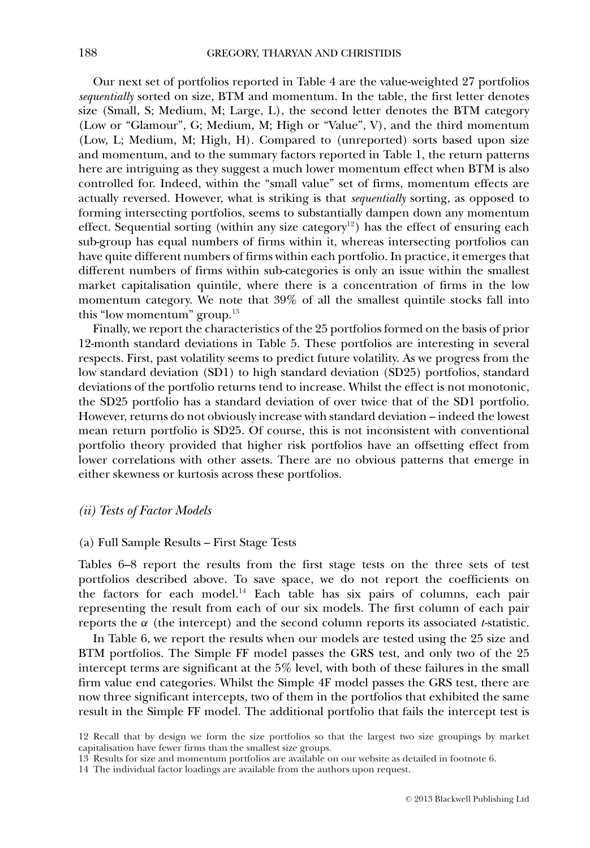Our next set of portfolios reported in Table 4 are the value-weighted 27 portfolios *sequentially* sorted on size, BTM and momentum. In the table, the first letter denotes size (Small, S; Medium, M; Large, L), the second letter denotes the BTM category (Low or "Glamour", G; Medium, M; High or "Value", V), and the third momentum (Low, L; Medium, M; High, H). Compared to (unreported) sorts based upon size and momentum, and to the summary factors reported in Table 1, the return patterns here are intriguing as they suggest a much lower momentum effect when BTM is also controlled for. Indeed, within the "small value" set of firms, momentum effects are actually reversed. However, what is striking is that *sequentially* sorting, as opposed to forming intersecting portfolios, seems to substantially dampen down any momentum effect. Sequential sorting (within any size category<sup>12</sup>) has the effect of ensuring each sub-group has equal numbers of firms within it, whereas intersecting portfolios can have quite different numbers of firms within each portfolio. In practice, it emerges that different numbers of firms within sub-categories is only an issue within the smallest market capitalisation quintile, where there is a concentration of firms in the low momentum category. We note that 39% of all the smallest quintile stocks fall into this "low momentum" group.13

Finally, we report the characteristics of the 25 portfolios formed on the basis of prior 12-month standard deviations in Table 5. These portfolios are interesting in several respects. First, past volatility seems to predict future volatility. As we progress from the low standard deviation (SD1) to high standard deviation (SD25) portfolios, standard deviations of the portfolio returns tend to increase. Whilst the effect is not monotonic, the SD25 portfolio has a standard deviation of over twice that of the SD1 portfolio. However, returns do not obviously increase with standard deviation – indeed the lowest mean return portfolio is SD25. Of course, this is not inconsistent with conventional portfolio theory provided that higher risk portfolios have an offsetting effect from lower correlations with other assets. There are no obvious patterns that emerge in either skewness or kurtosis across these portfolios.

### *(ii) Tests of Factor Models*

### (a) Full Sample Results – First Stage Tests

Tables 6–8 report the results from the first stage tests on the three sets of test portfolios described above. To save space, we do not report the coefficients on the factors for each model.<sup>14</sup> Each table has six pairs of columns, each pair representing the result from each of our six models. The first column of each pair reports the α (the intercept) and the second column reports its associated *t*-statistic.

In Table 6, we report the results when our models are tested using the 25 size and BTM portfolios. The Simple FF model passes the GRS test, and only two of the 25 intercept terms are significant at the 5% level, with both of these failures in the small firm value end categories. Whilst the Simple 4F model passes the GRS test, there are now three significant intercepts, two of them in the portfolios that exhibited the same result in the Simple FF model. The additional portfolio that fails the intercept test is

<sup>12</sup> Recall that by design we form the size portfolios so that the largest two size groupings by market capitalisation have fewer firms than the smallest size groups.

<sup>13</sup> Results for size and momentum portfolios are available on our website as detailed in footnote 6.

<sup>14</sup> The individual factor loadings are available from the authors upon request.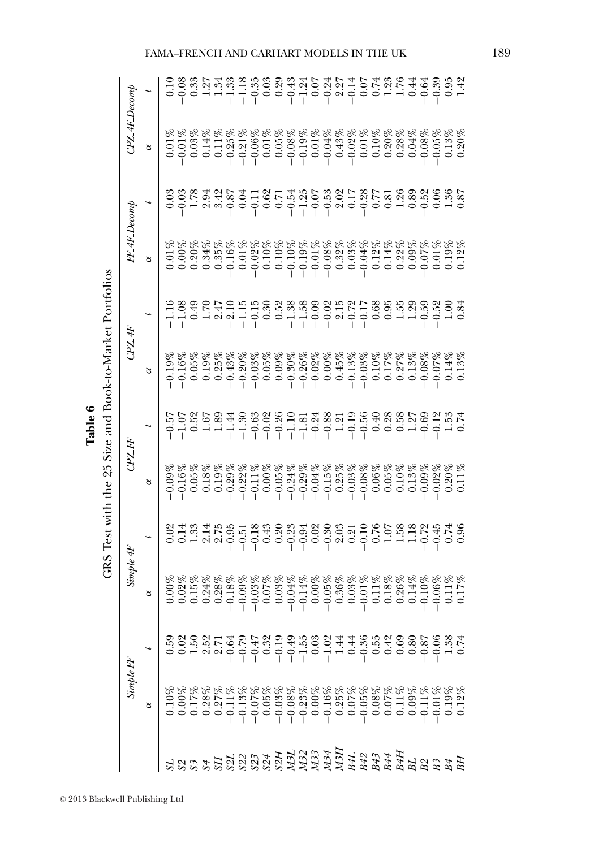|                          | Simple FF | Simple 4F |                                                                                                                                                                                                                                                                                                                                                                                                                              |          | CPZAF    |                                     | CPZAF    |  |
|--------------------------|-----------|-----------|------------------------------------------------------------------------------------------------------------------------------------------------------------------------------------------------------------------------------------------------------------------------------------------------------------------------------------------------------------------------------------------------------------------------------|----------|----------|-------------------------------------|----------|--|
|                          | $\alpha$  | $\alpha$  | $\begin{array}{r} \begin{array}{r} \n \cdot \\ \n \cdot \\ \n \cdot \\ \n \end{array} & \begin{array}{r} \n 0.75 & \text{if} \quad 0.75 & \text{if} \quad 0.75 & \text{if} \quad 0.75 & \text{if} \quad 0.75 & \text{if} \quad 0.75 & \text{if} \quad 0.75 & \text{if} \quad 0.75 & \text{if} \quad 0.75 & \text{if} \quad 0.75 & \text{if} \quad 0.75 & \text{if} \quad 0.75 & \text{if} \quad 0.75 & \text{if} \quad 0.75$ | $\alpha$ | $\alpha$ | $\frac{FF\_4F\cdot Decomp}{\alpha}$ | $\alpha$ |  |
|                          |           |           |                                                                                                                                                                                                                                                                                                                                                                                                                              |          |          |                                     |          |  |
|                          |           |           |                                                                                                                                                                                                                                                                                                                                                                                                                              |          |          |                                     |          |  |
|                          |           |           |                                                                                                                                                                                                                                                                                                                                                                                                                              |          |          |                                     |          |  |
|                          |           |           |                                                                                                                                                                                                                                                                                                                                                                                                                              |          |          |                                     |          |  |
|                          |           |           |                                                                                                                                                                                                                                                                                                                                                                                                                              |          |          |                                     |          |  |
| 533333333322324242444448 |           |           |                                                                                                                                                                                                                                                                                                                                                                                                                              |          |          |                                     |          |  |
|                          |           |           |                                                                                                                                                                                                                                                                                                                                                                                                                              |          |          |                                     |          |  |
|                          |           |           |                                                                                                                                                                                                                                                                                                                                                                                                                              |          |          |                                     |          |  |
|                          |           |           |                                                                                                                                                                                                                                                                                                                                                                                                                              |          |          |                                     |          |  |
|                          |           |           |                                                                                                                                                                                                                                                                                                                                                                                                                              |          |          |                                     |          |  |
|                          |           |           |                                                                                                                                                                                                                                                                                                                                                                                                                              |          |          |                                     |          |  |
|                          |           |           |                                                                                                                                                                                                                                                                                                                                                                                                                              |          |          |                                     |          |  |
|                          |           |           |                                                                                                                                                                                                                                                                                                                                                                                                                              |          |          |                                     |          |  |
|                          |           |           |                                                                                                                                                                                                                                                                                                                                                                                                                              |          |          |                                     |          |  |
|                          |           |           |                                                                                                                                                                                                                                                                                                                                                                                                                              |          |          |                                     |          |  |
|                          |           |           |                                                                                                                                                                                                                                                                                                                                                                                                                              |          |          |                                     |          |  |
|                          |           |           |                                                                                                                                                                                                                                                                                                                                                                                                                              |          |          |                                     |          |  |
|                          |           |           |                                                                                                                                                                                                                                                                                                                                                                                                                              |          |          |                                     |          |  |
|                          |           |           |                                                                                                                                                                                                                                                                                                                                                                                                                              |          |          |                                     |          |  |
|                          |           |           |                                                                                                                                                                                                                                                                                                                                                                                                                              |          |          |                                     |          |  |
|                          |           |           |                                                                                                                                                                                                                                                                                                                                                                                                                              |          |          |                                     |          |  |
|                          |           |           |                                                                                                                                                                                                                                                                                                                                                                                                                              |          |          |                                     |          |  |
|                          |           |           |                                                                                                                                                                                                                                                                                                                                                                                                                              |          |          |                                     |          |  |
|                          |           |           |                                                                                                                                                                                                                                                                                                                                                                                                                              |          |          |                                     |          |  |
|                          |           |           |                                                                                                                                                                                                                                                                                                                                                                                                                              |          |          |                                     |          |  |

<sup>C</sup> 2013 Blackwell Publishing Ltd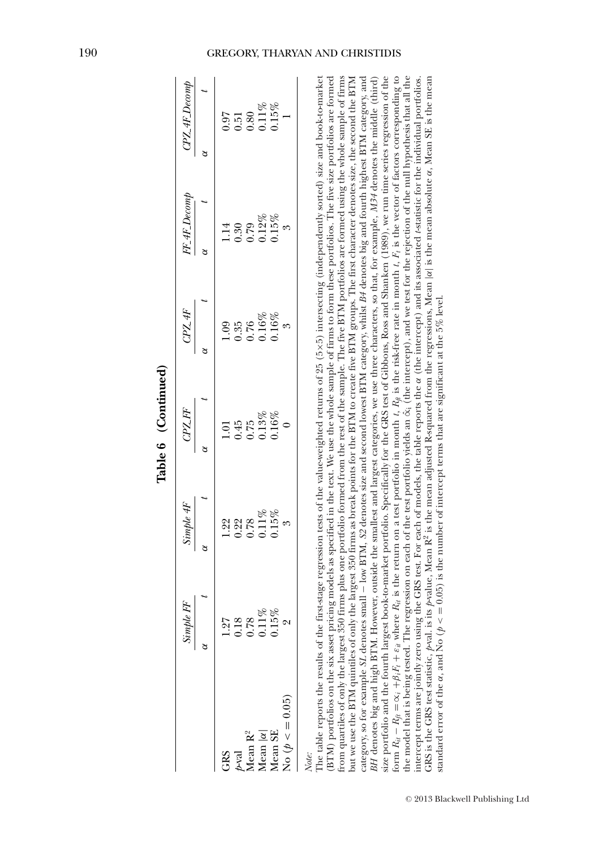|                                                                                        |                                                 |           | Tanne A (Committee)                                                                                                                                                                                                                                                                                                                                                                                                                                                                                                                                                                                                                                                                                                                                                                                                                                                                                                                                                  |               |              |                  |
|----------------------------------------------------------------------------------------|-------------------------------------------------|-----------|----------------------------------------------------------------------------------------------------------------------------------------------------------------------------------------------------------------------------------------------------------------------------------------------------------------------------------------------------------------------------------------------------------------------------------------------------------------------------------------------------------------------------------------------------------------------------------------------------------------------------------------------------------------------------------------------------------------------------------------------------------------------------------------------------------------------------------------------------------------------------------------------------------------------------------------------------------------------|---------------|--------------|------------------|
|                                                                                        | Simple FF                                       | Simple 4F | CPZFF                                                                                                                                                                                                                                                                                                                                                                                                                                                                                                                                                                                                                                                                                                                                                                                                                                                                                                                                                                | CPL4F         | FF_4F_Decomp | $CPZ$ -4F_Decomp |
|                                                                                        |                                                 |           | S                                                                                                                                                                                                                                                                                                                                                                                                                                                                                                                                                                                                                                                                                                                                                                                                                                                                                                                                                                    |               |              | ಠ                |
| GRS                                                                                    | 1.27                                            | 1.22      | $\Xi$                                                                                                                                                                                                                                                                                                                                                                                                                                                                                                                                                                                                                                                                                                                                                                                                                                                                                                                                                                | $\frac{6}{2}$ |              | 10.07            |
| $p$ -val                                                                               | 0.18                                            | 0.22      | 0.45                                                                                                                                                                                                                                                                                                                                                                                                                                                                                                                                                                                                                                                                                                                                                                                                                                                                                                                                                                 | 0.35          | 0.30         | 151              |
| Mean $\mathbf{R}^2$                                                                    | 0.78                                            | 0.78      | 0.75                                                                                                                                                                                                                                                                                                                                                                                                                                                                                                                                                                                                                                                                                                                                                                                                                                                                                                                                                                 | 0.76          | 62.0         | 0.80             |
| Mean $ \alpha $                                                                        |                                                 | $0.11\%$  | 0.13%                                                                                                                                                                                                                                                                                                                                                                                                                                                                                                                                                                                                                                                                                                                                                                                                                                                                                                                                                                | $0.16\%$      | $0.12\%$     | $0.11\%$         |
| Mean SE                                                                                | $\begin{array}{c} 0.11\% \\ 0.15\% \end{array}$ | $0.15\%$  | $0.16\%$                                                                                                                                                                                                                                                                                                                                                                                                                                                                                                                                                                                                                                                                                                                                                                                                                                                                                                                                                             | $0.16\%$      | $0.15\%$     | $0.15\%$         |
| No $(p < 0.05)$                                                                        |                                                 |           |                                                                                                                                                                                                                                                                                                                                                                                                                                                                                                                                                                                                                                                                                                                                                                                                                                                                                                                                                                      |               |              |                  |
| from quartiles of only the largest 350<br>category, so for example SL denotes<br>Note: |                                                 |           | The table reports the results of the first-stage regression tests of the value-weighted returns of 25 (5×5) intersecting (independently sorted) size and book-to-market<br>firms plus one portfolio formed from the rest of the sample. The five BTM portfolios are formed using the whole sample of firms<br>BTM) portfolios on the six asset pricing models as specified in the text. We use the whole sample of firms to form these portfolios. The five size portfolios are formed<br>but we use the BTM quintiles of only the largest 350 firms as break points for the BTM to create five BTM groups. The first character denotes size, the second the BTM<br>small – low BTM, \$2 denotes size and second lowest BTM category, whilst B4 denotes big and fourth highest BTM category, and<br>BH denotes big and high BTM. However, outside the smallest and largest categories, we use three characters, so that, for example, M34 denotes the middle (third) |               |              |                  |

Table 6 (Continued) **Table 6 (Continued)** size portfolio and the fourth largest book-to-market portfolio. Specifically for the GRS test of Gibbons, Ross and Shanken (1989), we run time series regression of the intercept terms are jointly zero using the GRS test. For each of models, the table reports the « (the intercept) and its associated Astatistic for the individual portfolios. GRS is the GRS test statistic, p-val. is its p-value, Mean R<sup>2</sup> is the mean adjusted R-squared from the regressions, Mean |a| is the mean absolute a, Mean SE is the mean size portfolio and the fourth largest book-to-market portfolio. Specifically for the GRS test of Gibbons, Ross and Shanken (1989), we run time series regression of the  $R_{it}$  is the return on a test portfolio in month *t*,  $R_{ft}$  is the risk-free rate in month *t*,  $F_t$  is the vector of factors corresponding to the model that is being tested. The regression on each of the test portfolio yields an ˆ∝i (the intercept), and we test for the rejection of the null hypothesis that all the intercept terms are jointly zero using the GRS test. For each of models, the table reports the α (the intercept) and its associated *t*-statistic for the individual portfolios. GRS is the GRS test statistic, *p*-val. is its *p*-value, Mean R2 is the mean adjusted R-squared from the regressions, Mean |α| is the mean absolute α, Mean SE is the mean standard error of the  $\alpha$ , and No ( $\rho < =0.05$ ) is the number of intercept terms that are significant at the 5% level.  $= 0.05$ ) is the number of intercept terms that are significant at the 5% level.  $R_f = \infty_i + \beta_i F_i + \varepsilon_{it}$  where standard error of the  $\alpha$ , and No ( $p <$ *Rit* − form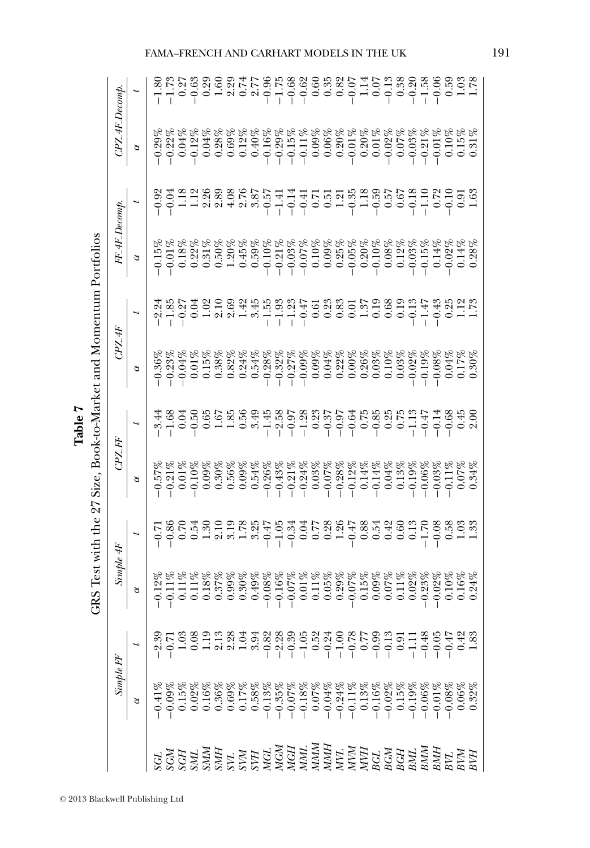|           |                                                                                                                                                                                                                                                                                              | Test with |          | Book-to-Market and |        |                  |                      |  |
|-----------|----------------------------------------------------------------------------------------------------------------------------------------------------------------------------------------------------------------------------------------------------------------------------------------------|-----------|----------|--------------------|--------|------------------|----------------------|--|
| Simple FF |                                                                                                                                                                                                                                                                                              | Simple 4F | CPZ FF   |                    | CPZ 4F | $FF_4F_$ Decomp. | $C\!P\!Z$ -4F_Decomp |  |
| $\alpha$  |                                                                                                                                                                                                                                                                                              | 8         | $\alpha$ |                    | ð      | $\alpha$         | $\alpha$             |  |
|           |                                                                                                                                                                                                                                                                                              |           |          |                    |        |                  |                      |  |
|           |                                                                                                                                                                                                                                                                                              |           |          |                    |        |                  |                      |  |
|           |                                                                                                                                                                                                                                                                                              |           |          |                    |        |                  |                      |  |
|           |                                                                                                                                                                                                                                                                                              |           |          |                    |        |                  |                      |  |
|           |                                                                                                                                                                                                                                                                                              |           |          |                    |        |                  |                      |  |
|           | $2837$<br>$2837$<br>$-23$<br>$-23$<br>$-23$<br>$-23$<br>$-23$<br>$-23$<br>$-23$<br>$-23$<br>$-23$<br>$-23$<br>$-23$<br>$-23$<br>$-23$<br>$-23$<br>$-23$<br>$-23$<br>$-23$<br>$-23$<br>$-23$<br>$-23$<br>$-23$<br>$-23$<br>$-23$<br>$-23$<br>$-23$<br>$-23$<br>$-23$<br>$-23$<br>$-23$<br>$-$ |           |          |                    |        |                  |                      |  |
|           |                                                                                                                                                                                                                                                                                              |           |          |                    |        |                  |                      |  |
|           |                                                                                                                                                                                                                                                                                              |           |          |                    |        |                  |                      |  |
|           |                                                                                                                                                                                                                                                                                              |           |          |                    |        |                  |                      |  |
|           |                                                                                                                                                                                                                                                                                              |           |          |                    |        |                  |                      |  |
|           |                                                                                                                                                                                                                                                                                              |           |          |                    |        |                  |                      |  |
|           |                                                                                                                                                                                                                                                                                              |           |          |                    |        |                  |                      |  |
|           |                                                                                                                                                                                                                                                                                              |           |          |                    |        |                  |                      |  |
|           |                                                                                                                                                                                                                                                                                              |           |          |                    |        |                  |                      |  |
|           |                                                                                                                                                                                                                                                                                              |           |          |                    |        |                  |                      |  |
|           |                                                                                                                                                                                                                                                                                              |           |          |                    |        |                  |                      |  |
|           |                                                                                                                                                                                                                                                                                              |           |          |                    |        |                  |                      |  |
|           |                                                                                                                                                                                                                                                                                              |           |          |                    |        |                  |                      |  |
|           |                                                                                                                                                                                                                                                                                              |           |          |                    |        |                  |                      |  |
|           |                                                                                                                                                                                                                                                                                              |           |          |                    |        |                  |                      |  |
|           |                                                                                                                                                                                                                                                                                              |           |          |                    |        |                  |                      |  |
|           |                                                                                                                                                                                                                                                                                              |           |          |                    |        |                  |                      |  |
|           |                                                                                                                                                                                                                                                                                              |           |          |                    |        |                  |                      |  |
|           |                                                                                                                                                                                                                                                                                              |           |          |                    |        |                  |                      |  |
|           |                                                                                                                                                                                                                                                                                              |           |          |                    |        |                  |                      |  |
|           | 없照 이 이 이 이 이 이 이 그 이 있다.<br>이 이 이 그 이 그 이 이 이 이 그 그 이 이 이 이 있<br>이 이 그 이 그 이 이 이 이 이 그 이 이 이 이 그                                                                                                                                                                                             |           |          |                    |        |                  |                      |  |
|           |                                                                                                                                                                                                                                                                                              |           |          |                    |        |                  |                      |  |

GRS Test with the  $97$  Size Book-to-Market and Momentum Portfolios **Table 7**

<sup>C</sup> 2013 Blackwell Publishing Ltd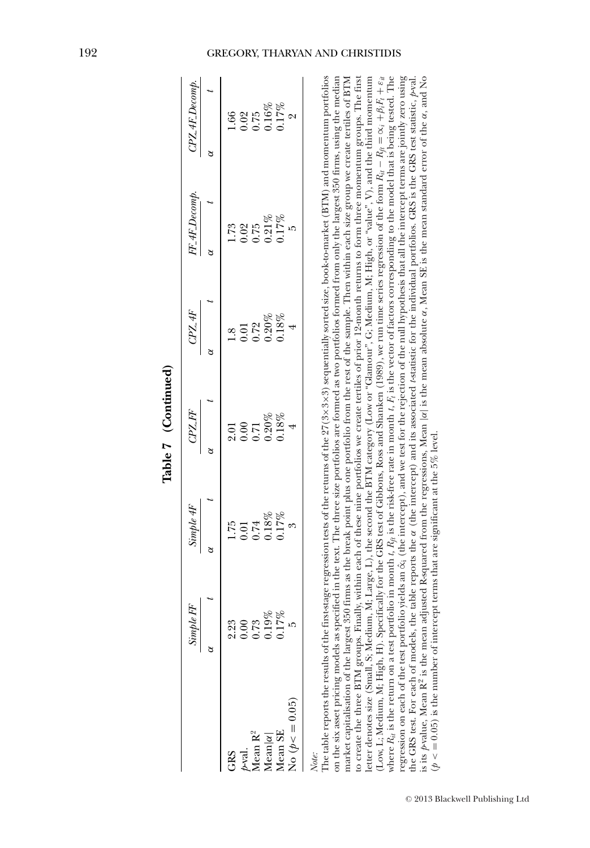|                                                            | EF<br>Simple                                     | Simple4F                                                  |                                                                               |                                         | $F_4F_$ Decom $\mu$                                                                    | $\overline{PZ}$ # $Decom$                                                    |
|------------------------------------------------------------|--------------------------------------------------|-----------------------------------------------------------|-------------------------------------------------------------------------------|-----------------------------------------|----------------------------------------------------------------------------------------|------------------------------------------------------------------------------|
|                                                            |                                                  |                                                           | $C\!P\!Z\!F\!F$                                                               | CPL4F                                   |                                                                                        |                                                                              |
|                                                            |                                                  |                                                           |                                                                               |                                         |                                                                                        |                                                                              |
|                                                            |                                                  |                                                           |                                                                               |                                         |                                                                                        |                                                                              |
|                                                            |                                                  |                                                           |                                                                               |                                         |                                                                                        |                                                                              |
|                                                            | $2.23$<br>$0.00$<br>$0.73$<br>$0.19%$<br>$0.17%$ |                                                           |                                                                               |                                         |                                                                                        |                                                                              |
| GRS<br>p-val.<br>Mean R <sup>2</sup><br>Mean SE<br>Mean SE |                                                  | $1.75$<br>$0.01$<br>$0.74$<br>$0.18\%$<br>$0.17\%$<br>$3$ | $\begin{array}{l} 2.01 \\ 0.00 \\ 0.71 \\ 0.20 \\ 0.318 \\ 1.8\% \end{array}$ | $1.8$<br>0.01<br>0.72<br>0.20%<br>0.18% | $\begin{array}{l} 1.73 \\ 0.01 \\ 0.01 \\ 0.17 \\ 0.01 \\ 0.17 \\ 0.01 \\ \end{array}$ | $1.66$<br>$0.28$<br>$0.16$<br>$0.17$<br>$0.17$<br>$0.17$<br>$0.17$<br>$0.17$ |
| $\log(\phi \leq 0.05)$                                     |                                                  |                                                           |                                                                               |                                         |                                                                                        |                                                                              |

| i      |
|--------|
|        |
|        |
| j      |
| -<br>⋍ |

is its poalue, Mean R<sup>2</sup> is the mean adjusted R-squared from the regressions, Mean |a| is the mean absolute a, Mean SE is the mean standard error of the a, and No CRS<br>
Mean R<sup>2</sup> (1966)<br>
Mean R<sup>2</sup> (1978)<br>
Mean R<sup>2</sup> (1978)<br>
Mean R<sup>2</sup> (1978)<br>
O.178<br>
O.178<br>
O.178<br>
O.178<br>
O.178<br>
O.178<br>
O.178<br>
O.178<br>
O.178<br>
O.178<br>
O.178<br>
O.197<br>
O.198<br>
O.278<br>
O.197<br>
O.27<br>
O.27<br>
O.27<br>
O.27<br>
O.27<br>
O.27<br>
O.2 the GRS test. For each of models, the table reports the α (the intercept) and its associated *t*-statistic for the individual portfolios. GRS is the GRS test statistic, *p*-val. is its *p*-value, Mean R<sup>2</sup> is the mean adjusted R-squared from the regressions, Mean |α| is the mean absolute α, Mean SE is the mean standard error of the α, and No  $p < 0.05$ ) is the number of intercept terms that are significant at the 5% level. ( $p \leq 0.05$ ) is the number of intercept terms that are significant at the 5% level.

### 192 GREGORY, THARYAN AND CHRISTIDIS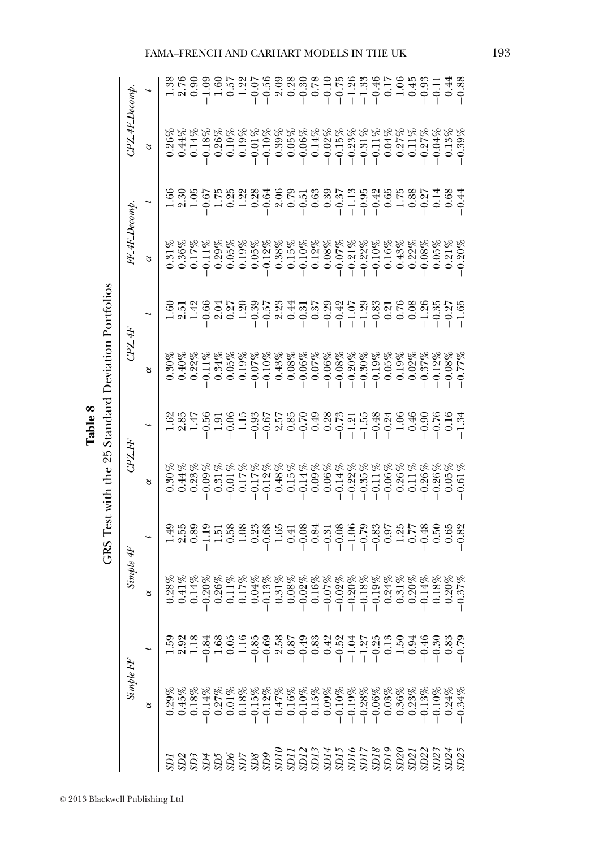| Simple FF | Simple 4F |                                                                                                                                                                                                                                                                                                                                                                                                                                 | CPLFF    |                                                                                                                                                                                                                                                                                              |          |                                                                                                                                                                                                                                                                                                                                                                                                                                    |                                      |                                                                                                                                                                                                                                                                                                                                                                                                 | $CPZ$ 4F $Decomp$ |  |
|-----------|-----------|---------------------------------------------------------------------------------------------------------------------------------------------------------------------------------------------------------------------------------------------------------------------------------------------------------------------------------------------------------------------------------------------------------------------------------|----------|----------------------------------------------------------------------------------------------------------------------------------------------------------------------------------------------------------------------------------------------------------------------------------------------|----------|------------------------------------------------------------------------------------------------------------------------------------------------------------------------------------------------------------------------------------------------------------------------------------------------------------------------------------------------------------------------------------------------------------------------------------|--------------------------------------|-------------------------------------------------------------------------------------------------------------------------------------------------------------------------------------------------------------------------------------------------------------------------------------------------------------------------------------------------------------------------------------------------|-------------------|--|
| $\alpha$  | $\alpha$  |                                                                                                                                                                                                                                                                                                                                                                                                                                 | $\alpha$ |                                                                                                                                                                                                                                                                                              | $\alpha$ |                                                                                                                                                                                                                                                                                                                                                                                                                                    | $\frac{FF_4F_5m_{\ell m p}}{\alpha}$ |                                                                                                                                                                                                                                                                                                                                                                                                 | $\alpha$          |  |
|           |           |                                                                                                                                                                                                                                                                                                                                                                                                                                 |          | $\begin{array}{l} 23 \ 23 \ 25 \ 26 \ 27 \ 28 \ 27 \ 28 \ 29 \ 20 \ 21 \ 20 \ 21 \ 22 \ 23 \ 24 \ 25 \ 26 \ 27 \ 28 \ 29 \ 20 \ 21 \ 22 \ 23 \ 24 \ 25 \ 26 \ 27 \ 28 \ 29 \ 20 \ 21 \ 21 \ 22 \ 23 \ 24 \ 25 \ 26 \ 27 \ 28 \ 29 \ 20 \ 21 \ 21 \ 22 \ 23 \ 26 \ 27 \ 28 \ 29 \ 20 \ 21 \ $ |          | $\begin{array}{l} \mathfrak{S} \ \mathbb{Z} \ \mathfrak{Y} \ \mathfrak{S} \ \mathfrak{S} \ \mathfrak{S} \ \mathfrak{S} \ \mathfrak{S} \ \mathfrak{S} \ \mathfrak{S} \ \mathfrak{S} \ \mathfrak{S} \ \mathfrak{S} \ \mathfrak{S} \ \mathfrak{S} \ \mathfrak{S} \ \mathfrak{S} \ \mathfrak{S} \ \mathfrak{S} \ \mathfrak{S} \ \mathfrak{S} \ \mathfrak{S} \ \mathfrak{S} \ \mathfrak{S} \ \mathfrak{S} \ \mathfrak{S} \ \mathfrak{S$ |                                      |                                                                                                                                                                                                                                                                                                                                                                                                 |                   |  |
|           |           |                                                                                                                                                                                                                                                                                                                                                                                                                                 |          |                                                                                                                                                                                                                                                                                              |          |                                                                                                                                                                                                                                                                                                                                                                                                                                    |                                      |                                                                                                                                                                                                                                                                                                                                                                                                 |                   |  |
|           |           |                                                                                                                                                                                                                                                                                                                                                                                                                                 |          |                                                                                                                                                                                                                                                                                              |          |                                                                                                                                                                                                                                                                                                                                                                                                                                    |                                      |                                                                                                                                                                                                                                                                                                                                                                                                 |                   |  |
|           |           |                                                                                                                                                                                                                                                                                                                                                                                                                                 |          |                                                                                                                                                                                                                                                                                              |          |                                                                                                                                                                                                                                                                                                                                                                                                                                    |                                      |                                                                                                                                                                                                                                                                                                                                                                                                 |                   |  |
|           |           | $\begin{array}{l} \mathbb{Z}^{1}_{3}\otimes\mathbb{Z}^{1}_{4}\cong\mathbb{Z}^{1}_{3}\otimes\mathbb{Z}^{2}_{3}\otimes\mathbb{Z}^{3}_{4}\oplus\mathbb{Z}^{3}_{5}\oplus\mathbb{Z}^{3}_{6}\otimes\mathbb{Z}^{3}_{7}\oplus\mathbb{Z}^{3}_{7}\oplus\mathbb{Z}^{3}_{8}\oplus\mathbb{Z}^{3}_{7}\oplus\mathbb{Z}^{3}_{8}\oplus\mathbb{Z}^{3}_{7}\oplus\mathbb{Z}^{3}_{8}\oplus\mathbb{Z}^{3}_{7}\oplus\mathbb{Z}^{3}_{7}\oplus\mathbb{Z$ |          |                                                                                                                                                                                                                                                                                              |          |                                                                                                                                                                                                                                                                                                                                                                                                                                    |                                      | $\begin{array}{l} \Xi_0 \cong \Xi_0 \cong \Xi_1 \cong \Xi_1 \cong \Xi_2 \cong \Xi_3 \cong \Xi_4 \cong \Xi_5 \cong \Xi_6 \cong \Xi_7 \cong \Xi_7 \cong \Xi_8 \cong \Xi_7 \cong \Xi_8 \cong \Xi_7 \cong \Xi_8 \cong \Xi_7 \cong \Xi_8 \cong \Xi_7 \cong \Xi_8 \cong \Xi_7 \cong \Xi_8 \cong \Xi_7 \cong \Xi_8 \cong \Xi_8 \cong \Xi_7 \cong \Xi_8 \cong \Xi_8 \cong \Xi_8 \cong \Xi_8 \cong \Xi_$ |                   |  |
|           |           |                                                                                                                                                                                                                                                                                                                                                                                                                                 |          |                                                                                                                                                                                                                                                                                              |          |                                                                                                                                                                                                                                                                                                                                                                                                                                    |                                      |                                                                                                                                                                                                                                                                                                                                                                                                 |                   |  |
|           |           |                                                                                                                                                                                                                                                                                                                                                                                                                                 |          |                                                                                                                                                                                                                                                                                              |          |                                                                                                                                                                                                                                                                                                                                                                                                                                    |                                      |                                                                                                                                                                                                                                                                                                                                                                                                 |                   |  |
|           |           |                                                                                                                                                                                                                                                                                                                                                                                                                                 |          |                                                                                                                                                                                                                                                                                              |          |                                                                                                                                                                                                                                                                                                                                                                                                                                    |                                      |                                                                                                                                                                                                                                                                                                                                                                                                 |                   |  |
|           |           |                                                                                                                                                                                                                                                                                                                                                                                                                                 |          |                                                                                                                                                                                                                                                                                              |          |                                                                                                                                                                                                                                                                                                                                                                                                                                    |                                      |                                                                                                                                                                                                                                                                                                                                                                                                 |                   |  |
|           |           |                                                                                                                                                                                                                                                                                                                                                                                                                                 |          |                                                                                                                                                                                                                                                                                              |          |                                                                                                                                                                                                                                                                                                                                                                                                                                    |                                      |                                                                                                                                                                                                                                                                                                                                                                                                 |                   |  |
|           |           |                                                                                                                                                                                                                                                                                                                                                                                                                                 |          |                                                                                                                                                                                                                                                                                              |          |                                                                                                                                                                                                                                                                                                                                                                                                                                    |                                      |                                                                                                                                                                                                                                                                                                                                                                                                 |                   |  |
|           |           |                                                                                                                                                                                                                                                                                                                                                                                                                                 |          |                                                                                                                                                                                                                                                                                              |          |                                                                                                                                                                                                                                                                                                                                                                                                                                    |                                      |                                                                                                                                                                                                                                                                                                                                                                                                 |                   |  |
|           |           |                                                                                                                                                                                                                                                                                                                                                                                                                                 |          |                                                                                                                                                                                                                                                                                              |          |                                                                                                                                                                                                                                                                                                                                                                                                                                    |                                      |                                                                                                                                                                                                                                                                                                                                                                                                 |                   |  |
|           |           |                                                                                                                                                                                                                                                                                                                                                                                                                                 |          |                                                                                                                                                                                                                                                                                              |          |                                                                                                                                                                                                                                                                                                                                                                                                                                    |                                      |                                                                                                                                                                                                                                                                                                                                                                                                 |                   |  |
|           |           |                                                                                                                                                                                                                                                                                                                                                                                                                                 |          |                                                                                                                                                                                                                                                                                              |          |                                                                                                                                                                                                                                                                                                                                                                                                                                    |                                      |                                                                                                                                                                                                                                                                                                                                                                                                 |                   |  |
|           |           |                                                                                                                                                                                                                                                                                                                                                                                                                                 |          |                                                                                                                                                                                                                                                                                              |          |                                                                                                                                                                                                                                                                                                                                                                                                                                    |                                      |                                                                                                                                                                                                                                                                                                                                                                                                 |                   |  |
|           |           |                                                                                                                                                                                                                                                                                                                                                                                                                                 |          |                                                                                                                                                                                                                                                                                              |          |                                                                                                                                                                                                                                                                                                                                                                                                                                    |                                      |                                                                                                                                                                                                                                                                                                                                                                                                 |                   |  |
|           |           |                                                                                                                                                                                                                                                                                                                                                                                                                                 |          |                                                                                                                                                                                                                                                                                              |          |                                                                                                                                                                                                                                                                                                                                                                                                                                    |                                      |                                                                                                                                                                                                                                                                                                                                                                                                 |                   |  |
|           |           |                                                                                                                                                                                                                                                                                                                                                                                                                                 |          |                                                                                                                                                                                                                                                                                              |          |                                                                                                                                                                                                                                                                                                                                                                                                                                    |                                      |                                                                                                                                                                                                                                                                                                                                                                                                 |                   |  |
|           |           |                                                                                                                                                                                                                                                                                                                                                                                                                                 |          |                                                                                                                                                                                                                                                                                              |          |                                                                                                                                                                                                                                                                                                                                                                                                                                    |                                      |                                                                                                                                                                                                                                                                                                                                                                                                 |                   |  |
|           |           |                                                                                                                                                                                                                                                                                                                                                                                                                                 |          |                                                                                                                                                                                                                                                                                              |          |                                                                                                                                                                                                                                                                                                                                                                                                                                    |                                      |                                                                                                                                                                                                                                                                                                                                                                                                 |                   |  |
|           |           |                                                                                                                                                                                                                                                                                                                                                                                                                                 |          |                                                                                                                                                                                                                                                                                              |          |                                                                                                                                                                                                                                                                                                                                                                                                                                    |                                      |                                                                                                                                                                                                                                                                                                                                                                                                 |                   |  |
|           |           |                                                                                                                                                                                                                                                                                                                                                                                                                                 |          |                                                                                                                                                                                                                                                                                              |          |                                                                                                                                                                                                                                                                                                                                                                                                                                    |                                      |                                                                                                                                                                                                                                                                                                                                                                                                 |                   |  |
|           |           |                                                                                                                                                                                                                                                                                                                                                                                                                                 |          |                                                                                                                                                                                                                                                                                              |          |                                                                                                                                                                                                                                                                                                                                                                                                                                    |                                      |                                                                                                                                                                                                                                                                                                                                                                                                 |                   |  |
|           |           |                                                                                                                                                                                                                                                                                                                                                                                                                                 |          |                                                                                                                                                                                                                                                                                              |          |                                                                                                                                                                                                                                                                                                                                                                                                                                    |                                      |                                                                                                                                                                                                                                                                                                                                                                                                 |                   |  |

GRS Test with the 25 Standard Deviation Portfolios GRS Test with the 25 Standard Deviation Portfolios **Table 8**

<sup>C</sup> 2013 Blackwell Publishing Ltd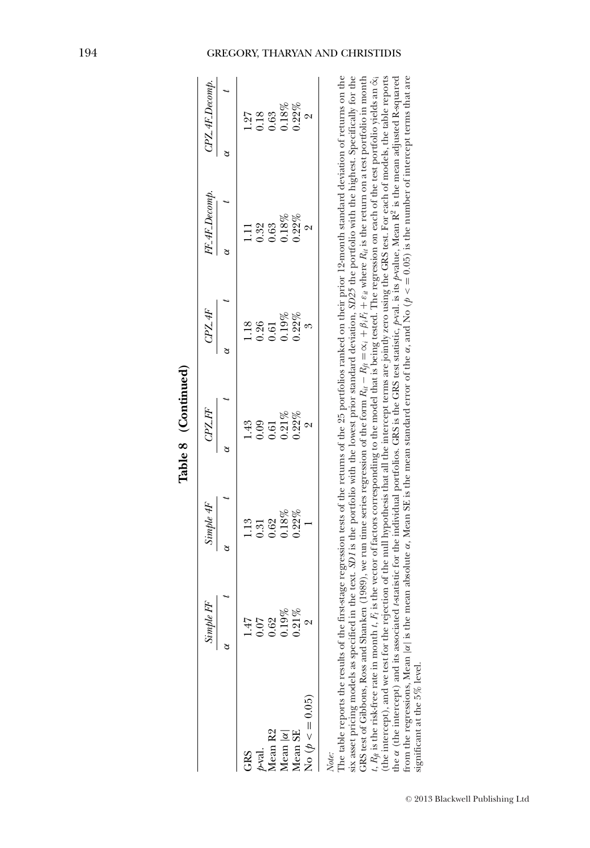|                    | Simple FF            | Simple 4F | CPZ FF         | CPL4F    | FF_4F_Decomp.                                                                                                                                                                                                                                                                                                                                                                                                               | $C\!P Z \!\!\!\! A \!\!\!\! F\!Decomp.$ |
|--------------------|----------------------|-----------|----------------|----------|-----------------------------------------------------------------------------------------------------------------------------------------------------------------------------------------------------------------------------------------------------------------------------------------------------------------------------------------------------------------------------------------------------------------------------|-----------------------------------------|
|                    |                      |           | ਠ              |          |                                                                                                                                                                                                                                                                                                                                                                                                                             |                                         |
| GRS                | 147                  | 1.13      | $\frac{43}{5}$ | 18       |                                                                                                                                                                                                                                                                                                                                                                                                                             | 1.27                                    |
| $p$ -val.          | 0.07                 | 0.31      | 0.09           | 0.26     | 0.32                                                                                                                                                                                                                                                                                                                                                                                                                        | 0.18                                    |
| Mean <sub>R2</sub> | 0.62                 | 0.62      | 1.61           | 0.61     | 0.63                                                                                                                                                                                                                                                                                                                                                                                                                        | 0.63                                    |
| Mean $ \alpha $    |                      | $0.18\%$  | $0.21\%$       | $0.19\%$ | $0.18\%$                                                                                                                                                                                                                                                                                                                                                                                                                    | 0.18%                                   |
| Mean SE            | $0.19\%$<br>$0.21\%$ | $0.22\%$  | $0.22\%$       | $0.22\%$ | $0.22\%$                                                                                                                                                                                                                                                                                                                                                                                                                    | $0.22\%$                                |
| No ( $p < 0.05$ )  |                      |           |                |          | 2                                                                                                                                                                                                                                                                                                                                                                                                                           |                                         |
| Note:              |                      |           |                |          | The table reports the results of the first-stage regression tests of the returns of the 25 portfolios ranked on their prior 12-month standard deviation of returns on the<br>six asset pricing models as specified in the text. SD1 is the portfolio with the lowest prior standard deviation, SD25 the portfolio with the highest. Specifically for the                                                                    |                                         |
|                    |                      |           |                |          | $t$ , $R_q$ is the risk-free rate in month $t$ , $F_i$ is the vector of factors corresponding to the model that is being tested. The regression on each of the test portfolio yields an $\hat{\alpha}_i$<br>GRS test of Gibbons, Ross and Shanken (1989), we run time series regression of the form $R_{il} - R_{il} = \alpha_i + \beta_i R_l + \varepsilon_{il}$ where $R_{il}$ is the return on a test portfolio in month |                                         |
|                    |                      |           |                |          | (the intercept), and we test for the rejection of the null hypothesis that all the intercept terms are jointly zero using the GRS test. For each of models, the table reports<br>the $\alpha$ (the intercept) and its associated t-statistic for the individual portfolios. GRS is the GRS test statistic, p-val. is its p-value, Mean R <sup>2</sup> is the mean adjusted R-squared                                        |                                         |

| f |   |
|---|---|
|   |   |
|   | ۱ |
|   |   |
|   |   |
|   |   |
|   |   |
|   |   |
|   |   |
|   |   |
|   |   |
|   |   |
|   |   |
|   |   |
| ŕ | ì |

ਦ੍ਰੇ

from the regressions, Mean |α| is the mean absolute α, Mean SE is the mean standard error of the α, and No (*p* < = 0.05) is the number of intercept terms that are significant at the 5% level.

### 194 GREGORY, THARYAN AND CHRISTIDIS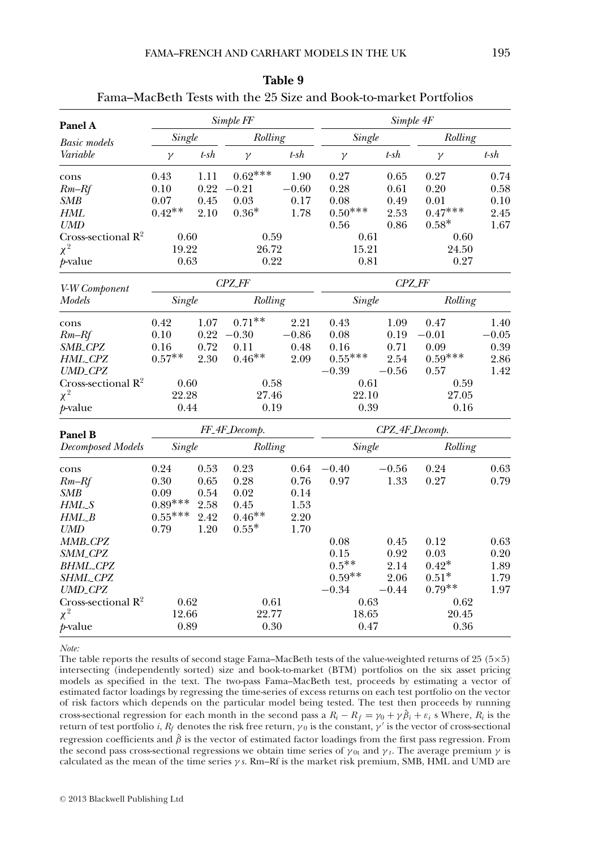| Panel A                        |           |                   | Simple FF     |         |               | Simple 4F      |           |         |
|--------------------------------|-----------|-------------------|---------------|---------|---------------|----------------|-----------|---------|
| <b>Basic models</b>            | Single    |                   | Rolling       |         | <b>Single</b> |                | Rolling   |         |
| Variable                       | $\gamma$  | $t$ -sh           | $\gamma$      | $t$ -sh | γ             | $t$ -sh        | $\gamma$  | $t$ -sh |
| cons                           | 0.43      | 1.11              | $0.62***$     | 1.90    | 0.27          | 0.65           | 0.27      | 0.74    |
| $Rm-Rf$                        | 0.10      | 0.22              | $-0.21$       | $-0.60$ | 0.28          | 0.61           | 0.20      | 0.58    |
| SMB                            | 0.07      | 0.45              | 0.03          | 0.17    | 0.08          | 0.49           | 0.01      | 0.10    |
| HML                            | $0.42**$  | 2.10              | $0.36*$       | 1.78    | $0.50***$     | 2.53           | $0.47***$ | 2.45    |
| UMD                            |           |                   |               |         | 0.56          | 0.86           | $0.58*$   | 1.67    |
| Cross-sectional $R^2$          | 0.60      |                   | 0.59          |         | 0.61          |                | 0.60      |         |
| $\chi^2$                       | 19.22     |                   | 26.72         |         | 15.21         |                | 24.50     |         |
| $p$ -value                     | 0.63      |                   | 0.22          |         | 0.81          |                | 0.27      |         |
| V-W Component                  |           |                   | <b>CPZ_FF</b> |         |               | <b>CPZ_FF</b>  |           |         |
| Models                         | Single    |                   | Rolling       |         | Single        |                | Rolling   |         |
| cons                           | 0.42      | 1.07              | $0.71**$      | 2.21    | 0.43          | 1.09           | 0.47      | 1.40    |
| $Rm-Rf$                        | 0.10      | 0.22              | $-0.30$       | $-0.86$ | 0.08          | 0.19           | $-0.01$   | $-0.05$ |
| SMB_CPZ                        | 0.16      | 0.72              | 0.11          | 0.48    | 0.16          | 0.71           | 0.09      | 0.39    |
| HML_CPZ                        | $0.57**$  | 2.30              | $0.46**$      | 2.09    | $0.55***$     | 2.54           | $0.59***$ | 2.86    |
| UMD_CPZ                        |           |                   |               |         | $-0.39$       | $-0.56$        | 0.57      | 1.42    |
| Cross-sectional $R^2$          | 0.60      |                   | 0.58          |         | 0.61          |                | 0.59      |         |
| $\chi^2$                       | 22.28     |                   | 27.46         |         | 22.10         |                | 27.05     |         |
| <i>t</i> -value                | 0.44      |                   | 0.19          |         | 0.39          |                | 0.16      |         |
| Panel B                        |           |                   | FF_4F_Decomp. |         |               | CPZ_4F_Decomp. |           |         |
| Decomposed Models              |           | Single<br>Rolling |               |         | Single        |                | Rolling   |         |
| cons                           | 0.24      | 0.53              | 0.23          | 0.64    | $-0.40$       | $-0.56$        | 0.24      | 0.63    |
| $Rm-Rf$                        | 0.30      | 0.65              | 0.28          | 0.76    | 0.97          | 1.33           | 0.27      | 0.79    |
| <b>SMB</b>                     | 0.09      | 0.54              | 0.02          | 0.14    |               |                |           |         |
| HML_S                          | $0.89***$ | 2.58              | 0.45          | 1.53    |               |                |           |         |
| $HML_B$                        | $0.55***$ | 2.42              | $0.46**$      | 2.20    |               |                |           |         |
| <b>UMD</b>                     | 0.79      | 1.20              | $0.55*$       | 1.70    |               |                |           |         |
| MMB <sub>-</sub> CPZ           |           |                   |               |         | 0.08          | 0.45           | 0.12      | 0.63    |
| SMM_CPZ                        |           |                   |               |         | 0.15          | 0.92           | 0.03      | 0.20    |
| <b>BHML_CPZ</b>                |           |                   |               |         | $0.5***$      | 2.14           | $0.42*$   | 1.89    |
| SHML_CPZ                       |           |                   |               |         | $0.59**$      | 2.06           | $0.51*$   | 1.79    |
| <b>UMD_CPZ</b>                 |           |                   |               |         | $-0.34$       | $-0.44$        | $0.79**$  | 1.97    |
| Cross-sectional $\mathbb{R}^2$ | 0.62      |                   | 0.61          |         | 0.63          |                | 0.62      |         |
| $\chi^2$                       | 12.66     |                   | 22.77         |         | 18.65         |                | 20.45     |         |
| $p$ -value                     | 0.89      |                   | 0.30          |         | 0.47          |                | 0.36      |         |

| Table 9 |                                                                   |
|---------|-------------------------------------------------------------------|
|         | Fama–MacBeth Tests with the 25 Size and Book-to-market Portfolios |

*Note:*

The table reports the results of second stage Fama–MacBeth tests of the value-weighted returns of 25 (5×5) intersecting (independently sorted) size and book-to-market (BTM) portfolios on the six asset pricing models as specified in the text. The two-pass Fama–MacBeth test, proceeds by estimating a vector of estimated factor loadings by regressing the time-series of excess returns on each test portfolio on the vector of risk factors which depends on the particular model being tested. The test then proceeds by running cross-sectional regression for each month in the second pass a  $R_i - R_f = \gamma_0 + \gamma \hat{\beta}_i + \varepsilon_i$  s Where,  $R_i$  is the return of test portfolio *i*, *R<sub>f</sub>* denotes the risk free return,  $γ_0$  is the constant,  $γ'$  is the vector of cross-sectional regression coefficients and  $\hat{\beta}$  is the vector of estimated factor loadings from the first pass regression. From the second pass cross-sectional regressions we obtain time series of  $\gamma_{0t}$  and  $\gamma_t$ . The average premium  $\gamma$  is calculated as the mean of the time series γ *s*. Rm–Rf is the market risk premium, SMB, HML and UMD are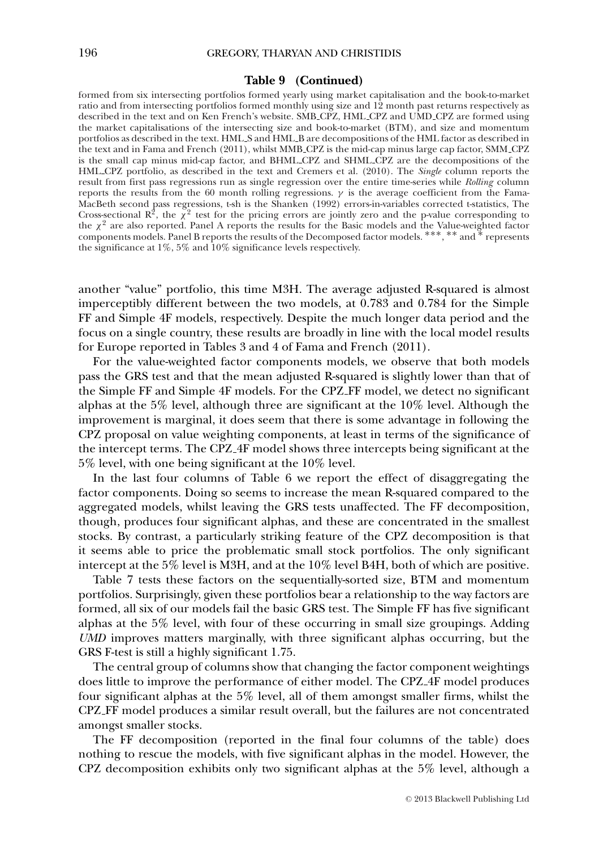### **Table 9 (Continued)**

formed from six intersecting portfolios formed yearly using market capitalisation and the book-to-market ratio and from intersecting portfolios formed monthly using size and 12 month past returns respectively as described in the text and on Ken French's website. SMB CPZ, HML CPZ and UMD CPZ are formed using the market capitalisations of the intersecting size and book-to-market (BTM), and size and momentum portfolios as described in the text. HML S and HML B are decompositions of the HML factor as described in the text and in Fama and French (2011), whilst MMB CPZ is the mid-cap minus large cap factor, SMM CPZ is the small cap minus mid-cap factor, and BHML CPZ and SHML CPZ are the decompositions of the HML CPZ portfolio, as described in the text and Cremers et al. (2010). The *Single* column reports the result from first pass regressions run as single regression over the entire time-series while *Rolling* column reports the results from the 60 month rolling regressions.  $γ$  is the average coefficient from the Fama-MacBeth second pass regressions, t-sh is the Shanken (1992) errors-in-variables corrected t-statistics, The Cross-sectional  $\mathbb{R}^2$ , the  $\chi^2$  test for the pricing errors are jointly zero and the p-value corresponding the  $\chi^2$  are also reported. Panel A reports the results for the Basic models and the Value-weighted factor components models. Panel B reports the results of the Decomposed factor models. ∗∗∗, ∗∗ and ∗ represents the significance at 1%, 5% and 10% significance levels respectively.

another "value" portfolio, this time M3H. The average adjusted R-squared is almost imperceptibly different between the two models, at 0.783 and 0.784 for the Simple FF and Simple 4F models, respectively. Despite the much longer data period and the focus on a single country, these results are broadly in line with the local model results for Europe reported in Tables 3 and 4 of Fama and French (2011).

For the value-weighted factor components models, we observe that both models pass the GRS test and that the mean adjusted R-squared is slightly lower than that of the Simple FF and Simple 4F models. For the CPZ FF model, we detect no significant alphas at the 5% level, although three are significant at the 10% level. Although the improvement is marginal, it does seem that there is some advantage in following the CPZ proposal on value weighting components, at least in terms of the significance of the intercept terms. The CPZ 4F model shows three intercepts being significant at the 5% level, with one being significant at the 10% level.

In the last four columns of Table 6 we report the effect of disaggregating the factor components. Doing so seems to increase the mean R-squared compared to the aggregated models, whilst leaving the GRS tests unaffected. The FF decomposition, though, produces four significant alphas, and these are concentrated in the smallest stocks. By contrast, a particularly striking feature of the CPZ decomposition is that it seems able to price the problematic small stock portfolios. The only significant intercept at the 5% level is M3H, and at the 10% level B4H, both of which are positive.

Table 7 tests these factors on the sequentially-sorted size, BTM and momentum portfolios. Surprisingly, given these portfolios bear a relationship to the way factors are formed, all six of our models fail the basic GRS test. The Simple FF has five significant alphas at the 5% level, with four of these occurring in small size groupings. Adding *UMD* improves matters marginally, with three significant alphas occurring, but the GRS F-test is still a highly significant 1.75.

The central group of columns show that changing the factor component weightings does little to improve the performance of either model. The CPZ 4F model produces four significant alphas at the 5% level, all of them amongst smaller firms, whilst the CPZ FF model produces a similar result overall, but the failures are not concentrated amongst smaller stocks.

The FF decomposition (reported in the final four columns of the table) does nothing to rescue the models, with five significant alphas in the model. However, the CPZ decomposition exhibits only two significant alphas at the 5% level, although a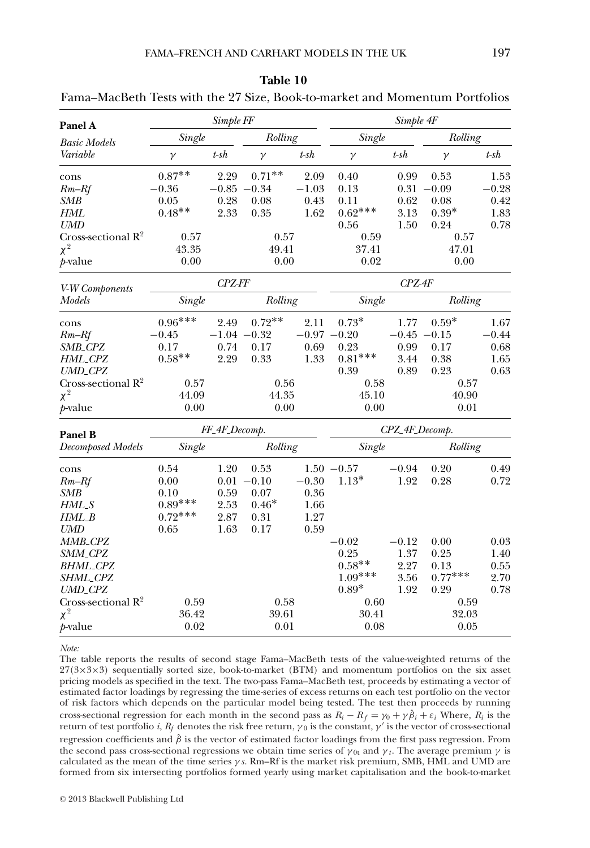| Panel A                        |           | Simple FF      |               |         |                | Simple 4F |               |         |
|--------------------------------|-----------|----------------|---------------|---------|----------------|-----------|---------------|---------|
| <b>Basic Models</b>            | Single    |                | Rolling       |         | Single         |           | Rolling       |         |
| Variable                       | $\gamma$  | $t$ -sh        | $\gamma$      | $t$ -sh | $\gamma$       | $t$ -sh   | $\gamma$      | t-sh    |
| cons                           | $0.87**$  | 2.29           | $0.71**$      | 2.09    | 0.40           | 0.99      | 0.53          | 1.53    |
| $Rm-Rf$                        | $-0.36$   | $-0.85$        | $-0.34$       | $-1.03$ | 0.13           | $0.31\,$  | $-0.09$       | $-0.28$ |
| SMB                            | 0.05      | 0.28           | 0.08          | 0.43    | 0.11           | 0.62      | 0.08          | 0.42    |
| <b>HML</b>                     | $0.48**$  | 2.33           | 0.35          | 1.62    | $0.62***$      | 3.13      | $0.39*$       | 1.83    |
| <b>UMD</b>                     |           |                |               |         | 0.56           | 1.50      | 0.24          | 0.78    |
| Cross-sectional $R^2$          | 0.57      |                | 0.57          |         | 0.59           |           | 0.57          |         |
| $\chi^2$                       | 43.35     |                | 49.41         |         | 37.41          |           | 47.01         |         |
| <i>t</i> -value                | 0.00      |                | 0.00          |         | 0.02           |           | 0.00          |         |
| V-W Components                 |           | CPZ-FF         |               |         |                | $CPZ-4F$  |               |         |
| Models                         | Single    |                | Rolling       |         | Single         |           | Rolling       |         |
| cons                           | $0.96***$ | 2.49           | $0.72**$      | 2.11    | $0.73*$        | 1.77      | $0.59*$       | 1.67    |
| $Rm-Rf$                        | $-0.45$   | $-1.04 - 0.32$ |               | $-0.97$ | $-0.20$        |           | $-0.45 -0.15$ | $-0.44$ |
| SMB_CPZ                        | 0.17      | 0.74           | 0.17          | 0.69    | 0.23           | 0.99      | 0.17          | 0.68    |
| HML_CPZ                        | $0.58**$  | 2.29           | 0.33          | 1.33    | $0.81***$      | 3.44      | 0.38          | 1.65    |
| <b>UMD_CPZ</b>                 |           |                |               |         | 0.39           | 0.89      | 0.23          | 0.63    |
| Cross-sectional $R^2$          | 0.57      |                | 0.56          |         | 0.58           |           | 0.57          |         |
| $\chi^2$                       | 44.09     |                | 44.35         |         | 45.10          |           | 40.90         |         |
| <i>p</i> -value                | 0.00      |                | 0.00          |         | 0.00           |           | 0.01          |         |
| Panel B                        |           | FF_4F_Decomp.  |               |         | CPZ_4F_Decomp. |           |               |         |
| <b>Decomposed Models</b>       | Single    |                | Rolling       |         | Single         |           | Rolling       |         |
| cons                           | 0.54      | 1.20           | 0.53          |         | $1.50 - 0.57$  | $-0.94$   | 0.20          | 0.49    |
| $Rm-Rf$                        | 0.00      |                | $0.01 - 0.10$ | $-0.30$ | $1.13*$        | 1.92      | 0.28          | 0.72    |
| SMB                            | 0.10      | 0.59           | 0.07          | 0.36    |                |           |               |         |
| HML_S                          | $0.89***$ | 2.53           | $0.46*$       | 1.66    |                |           |               |         |
| $HML$ _B                       | $0.72***$ | 2.87           | 0.31          | 1.27    |                |           |               |         |
| UMD                            | 0.65      | 1.63           | 0.17          | 0.59    |                |           |               |         |
| MMB_CPZ                        |           |                |               |         | $-0.02$        | $-0.12$   | 0.00          | 0.03    |
| SMM_CPZ                        |           |                |               |         | 0.25           | 1.37      | 0.25          | 1.40    |
| <b>BHML_CPZ</b>                |           |                |               |         | $0.58**$       | 2.27      | 0.13          | 0.55    |
| SHML_CPZ                       |           |                |               |         | $1.09***$      | 3.56      | $0.77***$     | 2.70    |
| <b>UMD_CPZ</b>                 |           |                |               |         | $0.89^{\ast}$  | 1.92      | 0.29          | 0.78    |
| Cross-sectional $\mathbb{R}^2$ | 0.59      |                | 0.58          |         | 0.60           |           | 0.59          |         |
| $\chi^2$                       | 36.42     |                | 39.61         |         | 30.41          |           | 32.03         |         |
| $p$ -value                     | 0.02      |                | 0.01          |         | 0.08           |           | 0.05          |         |

| Table 10                                                                    |  |
|-----------------------------------------------------------------------------|--|
| Fama–MacBeth Tests with the 27 Size, Book-to-market and Momentum Portfolios |  |

*Note:*

The table reports the results of second stage Fama–MacBeth tests of the value-weighted returns of the 27(3×3×3) sequentially sorted size, book-to-market (BTM) and momentum portfolios on the six asset pricing models as specified in the text. The two-pass Fama–MacBeth test, proceeds by estimating a vector of estimated factor loadings by regressing the time-series of excess returns on each test portfolio on the vector of risk factors which depends on the particular model being tested. The test then proceeds by running cross-sectional regression for each month in the second pass as  $R_i - R_f = \gamma_0 + \gamma \hat{\beta}_i + \varepsilon_i$  Where,  $R_i$  is the return of test portfolio *i*, *R<sub>f</sub>* denotes the risk free return,  $γ_0$  is the constant,  $γ'$  is the vector of cross-sectional regression coefficients and  $\hat{\beta}$  is the vector of estimated factor loadings from the first pass regression. From the second pass cross-sectional regressions we obtain time series of  $\gamma_{0t}$  and  $\gamma_t$ . The average premium  $\gamma$  is calculated as the mean of the time series γ *s*. Rm–Rf is the market risk premium, SMB, HML and UMD are formed from six intersecting portfolios formed yearly using market capitalisation and the book-to-market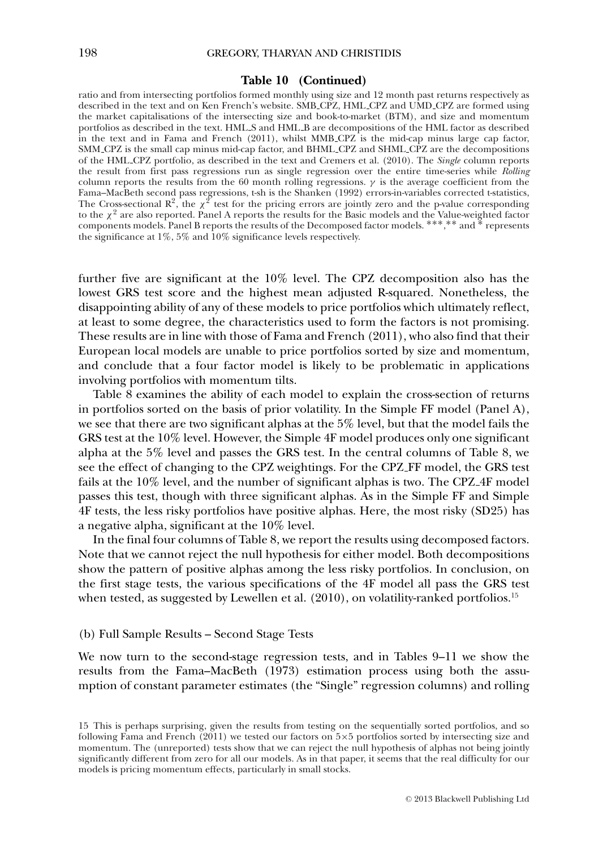### **Table 10 (Continued)**

ratio and from intersecting portfolios formed monthly using size and 12 month past returns respectively as described in the text and on Ken French's website. SMB CPZ, HML CPZ and UMD CPZ are formed using the market capitalisations of the intersecting size and book-to-market (BTM), and size and momentum portfolios as described in the text. HML S and HML B are decompositions of the HML factor as described in the text and in Fama and French (2011), whilst MMB CPZ is the mid-cap minus large cap factor, SMM CPZ is the small cap minus mid-cap factor, and BHML CPZ and SHML CPZ are the decompositions of the HML CPZ portfolio, as described in the text and Cremers et al. (2010). The *Single* column reports the result from first pass regressions run as single regression over the entire time-series while *Rolling* column reports the results from the 60 month rolling regressions.  $\gamma$  is the average coefficient from the Fama–MacBeth second pass regressions, t-sh is the Shanken (1992) errors-in-variables corrected t-statistics,<br>The Cross-sectional R<sup>2</sup>, the  $\chi^2$  test for the pricing errors are jointly zero and the p-value corresponding to the  $\chi^2$  are also reported. Panel A reports the results for the Basic models and the Value-weighted factor components models. Panel B reports the results of the Decomposed factor models. ∗∗∗, ∗∗ and ∗ represents the significance at 1%, 5% and 10% significance levels respectively.

further five are significant at the 10% level. The CPZ decomposition also has the lowest GRS test score and the highest mean adjusted R-squared. Nonetheless, the disappointing ability of any of these models to price portfolios which ultimately reflect, at least to some degree, the characteristics used to form the factors is not promising. These results are in line with those of Fama and French (2011), who also find that their European local models are unable to price portfolios sorted by size and momentum, and conclude that a four factor model is likely to be problematic in applications involving portfolios with momentum tilts.

Table 8 examines the ability of each model to explain the cross-section of returns in portfolios sorted on the basis of prior volatility. In the Simple FF model (Panel A), we see that there are two significant alphas at the 5% level, but that the model fails the GRS test at the 10% level. However, the Simple 4F model produces only one significant alpha at the 5% level and passes the GRS test. In the central columns of Table 8, we see the effect of changing to the CPZ weightings. For the CPZ FF model, the GRS test fails at the 10% level, and the number of significant alphas is two. The CPZ 4F model passes this test, though with three significant alphas. As in the Simple FF and Simple 4F tests, the less risky portfolios have positive alphas. Here, the most risky (SD25) has a negative alpha, significant at the 10% level.

In the final four columns of Table 8, we report the results using decomposed factors. Note that we cannot reject the null hypothesis for either model. Both decompositions show the pattern of positive alphas among the less risky portfolios. In conclusion, on the first stage tests, the various specifications of the 4F model all pass the GRS test when tested, as suggested by Lewellen et al.  $(2010)$ , on volatility-ranked portfolios.<sup>15</sup>

### (b) Full Sample Results – Second Stage Tests

We now turn to the second-stage regression tests, and in Tables 9–11 we show the results from the Fama–MacBeth (1973) estimation process using both the assumption of constant parameter estimates (the "Single" regression columns) and rolling

<sup>15</sup> This is perhaps surprising, given the results from testing on the sequentially sorted portfolios, and so following Fama and French (2011) we tested our factors on 5×5 portfolios sorted by intersecting size and momentum. The (unreported) tests show that we can reject the null hypothesis of alphas not being jointly significantly different from zero for all our models. As in that paper, it seems that the real difficulty for our models is pricing momentum effects, particularly in small stocks.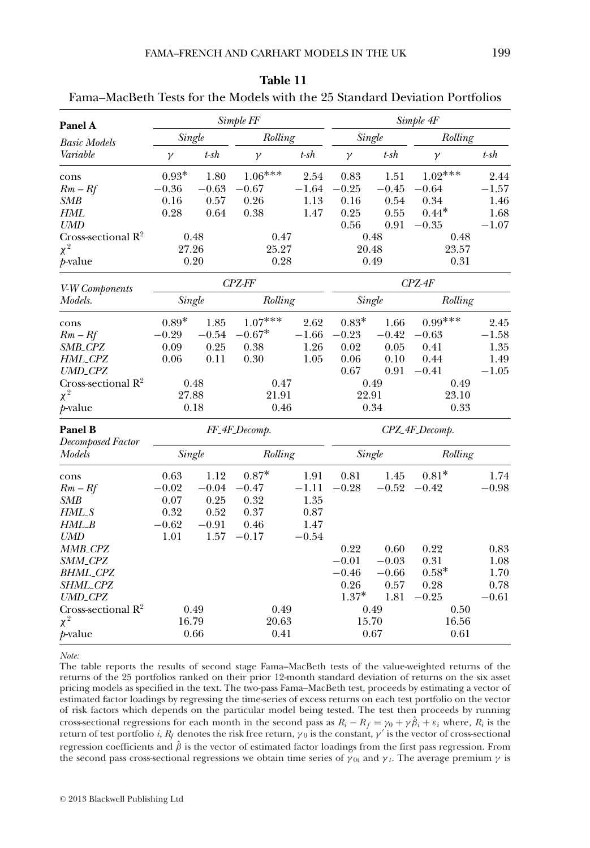| Panel A                        |          |         | Simple FF     |         |                |          | Simple 4F |            |
|--------------------------------|----------|---------|---------------|---------|----------------|----------|-----------|------------|
| <b>Basic Models</b>            |          | Single  | Rolling       |         |                | Single   | Rolling   |            |
| Variable                       | $\gamma$ | $t$ -sh | $\gamma$      | $t$ -sh | $\gamma$       | $t$ -sh  | $\gamma$  | $t$ -sh    |
| cons                           | $0.93*$  | 1.80    | $1.06***$     | 2.54    | 0.83           | 1.51     | $1.02***$ | 2.44       |
| $Rm - Rf$                      | $-0.36$  | $-0.63$ | $-0.67$       | $-1.64$ | $-0.25$        | $-0.45$  | $-0.64$   | $-1.57\,$  |
| SMB                            | 0.16     | 0.57    | 0.26          | 1.13    | 0.16           | 0.54     | 0.34      | 1.46       |
| <b>HML</b>                     | 0.28     | 0.64    | 0.38          | 1.47    | 0.25           | 0.55     | $0.44*$   | 1.68       |
| UMD                            |          |         |               |         | 0.56           | 0.91     | $-0.35$   | $-1.07$    |
| Cross-sectional $R^2$          |          | 0.48    | 0.47          |         |                | 0.48     | 0.48      |            |
| $\chi^2$                       |          | 27.26   | 25.27         |         | 20.48          |          | 23.57     |            |
| $p$ -value                     |          | 0.20    | 0.28          |         |                | 0.49     | 0.31      |            |
| V-W Components                 |          |         | CPZ-FF        |         |                |          | $CPZ-4F$  |            |
| Models.                        |          | Single  | Rolling       |         |                | Single   | Rolling   |            |
| cons                           | $0.89*$  | 1.85    | $1.07***$     | 2.62    | $0.83*$        | 1.66     | $0.99***$ | 2.45       |
| $Rm - Rf$                      | $-0.29$  | $-0.54$ | $-0.67*$      | $-1.66$ | $-0.23$        | $-0.42$  | $-0.63$   | $-1.58$    |
| SMB_CPZ                        | 0.09     | 0.25    | 0.38          | 1.26    | 0.02           | 0.05     | 0.41      | 1.35       |
| HML_CPZ                        | 0.06     | 0.11    | 0.30          | 1.05    | 0.06           | 0.10     | 0.44      | 1.49       |
| <b>UMD_CPZ</b>                 |          |         |               |         | 0.67           | 0.91     | $-0.41$   | $-1.05$    |
| Cross-sectional $\mathbb{R}^2$ |          | 0.48    | 0.47          |         |                | 0.49     | 0.49      |            |
| $\chi^2$                       |          | 27.88   | 21.91         |         | 22.91          |          | 23.10     |            |
| $p$ -value                     |          | 0.18    | 0.46          |         | 0.34           |          | 0.33      |            |
| Panel B                        |          |         | FF_4F_Decomp. |         | CPZ_4F_Decomp. |          |           |            |
| <b>Decomposed Factor</b>       |          |         |               |         |                |          |           |            |
| Models                         |          | Single  | Rolling       |         | Single         |          | Rolling   |            |
| cons                           | 0.63     | 1.12    | $0.87*$       | 1.91    | 0.81           | 1.45     | $0.81*$   | 1.74       |
| $Rm - Rf$                      | $-0.02$  | $-0.04$ | $-0.47$       | $-1.11$ | $-0.28$        | $-0.52$  | $-0.42$   | $-0.98$    |
| SMB                            | 0.07     | 0.25    | 0.32          | 1.35    |                |          |           |            |
| HML_S                          | 0.32     | 0.52    | 0.37          | 0.87    |                |          |           |            |
| $HML_B$                        | $-0.62$  | $-0.91$ | 0.46          | 1.47    |                |          |           |            |
| <b>UMD</b>                     | 1.01     | 1.57    | $-0.17$       | $-0.54$ |                |          |           |            |
| MMB <sub>-CPZ</sub>            |          |         |               |         | 0.22           | $0.60\,$ | 0.22      | $\rm 0.83$ |
| SMM_CPZ                        |          |         |               |         | $-0.01$        | $-0.03$  | 0.31      | 1.08       |
| <b>BHML_CPZ</b>                |          |         |               |         | $-0.46$        | $-0.66$  | $0.58*$   | 1.70       |
| SHML_CPZ                       |          |         |               |         | 0.26           | 0.57     | 0.28      | 0.78       |
| <b>UMD_CPZ</b>                 |          |         |               |         | $1.37*$        | 1.81     | $-0.25$   | $-0.61$    |
| Cross-sectional $\mathbb{R}^2$ |          | 0.49    | 0.49          |         |                | 0.49     | 0.50      |            |
| $\chi^2$                       |          | 16.79   | 20.63         |         |                | 15.70    | 16.56     |            |
| $p$ -value                     |          | 0.66    | 0.41          |         |                | 0.67     | 0.61      |            |

| Table 11                                                                    |
|-----------------------------------------------------------------------------|
| Fama–MacBeth Tests for the Models with the 25 Standard Deviation Portfolios |

*Note:*

The table reports the results of second stage Fama–MacBeth tests of the value-weighted returns of the returns of the 25 portfolios ranked on their prior 12-month standard deviation of returns on the six asset pricing models as specified in the text. The two-pass Fama–MacBeth test, proceeds by estimating a vector of estimated factor loadings by regressing the time-series of excess returns on each test portfolio on the vector of risk factors which depends on the particular model being tested. The test then proceeds by running cross-sectional regressions for each month in the second pass as  $R_i - R_f = \gamma \hat{\theta}_i + \epsilon_i$  where,  $R_i$  is the return of test portfolio *i*, *R<sub>f</sub>* denotes the risk free return,  $γ_0$  is the constant,  $γ'$  is the vector of cross-sectional regression coefficients and  $\hat{\beta}$  is the vector of estimated factor loadings from the first pass regression. From the second pass cross-sectional regressions we obtain time series of  $\gamma_{0t}$  and  $\gamma_t$ . The average premium  $\gamma$  is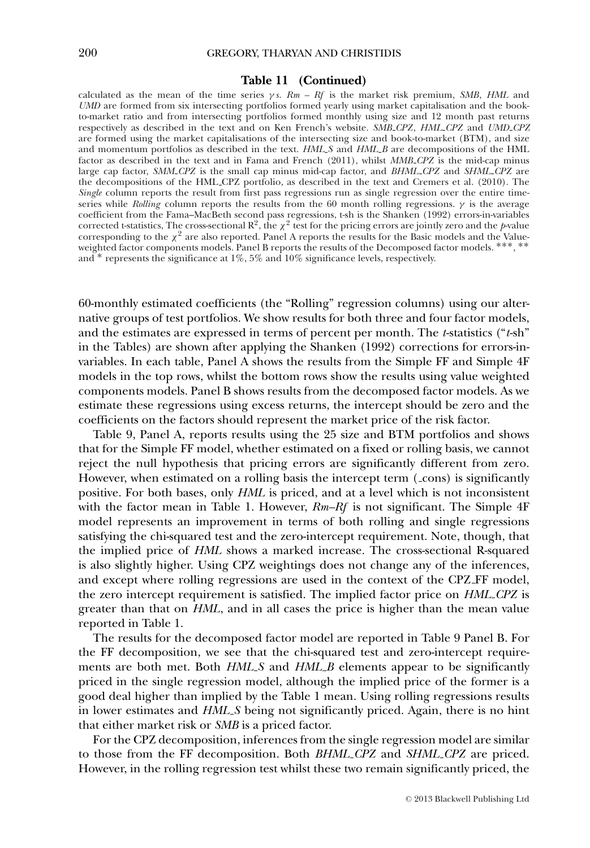### **Table 11 (Continued)**

calculated as the mean of the time series  $\gamma s$ .  $Rm - Rf$  is the market risk premium, *SMB*, *HML* and *UMD* are formed from six intersecting portfolios formed yearly using market capitalisation and the bookto-market ratio and from intersecting portfolios formed monthly using size and 12 month past returns respectively as described in the text and on Ken French's website. *SMB CPZ*, *HML CPZ* and *UMD CPZ* are formed using the market capitalisations of the intersecting size and book-to-market (BTM), and size and momentum portfolios as described in the text. *HML S* and *HML B* are decompositions of the HML factor as described in the text and in Fama and French (2011), whilst *MMB CPZ* is the mid-cap minus large cap factor, *SMM CPZ* is the small cap minus mid-cap factor, and *BHML CPZ* and *SHML CPZ* are the decompositions of the HML CPZ portfolio, as described in the text and Cremers et al. (2010). The *Single* column reports the result from first pass regressions run as single regression over the entire timeseries while *Rolling* column reports the results from the 60 month rolling regressions.  $\gamma$  is the average coefficient from the Fama–MacBeth second pass regressions, t-sh is the Shanken (1992) errors-in-variables<br>corrected t-statistics, The cross-sectional R<sup>2</sup>, the  $\chi^2$  test for the pricing errors are jointly zero and the corresponding to the  $\chi^2$  are also reported. Panel A reports the results for the Basic models and the Valueweighted factor components models. Panel B reports the results of the Decomposed factor models. \*\*\*, \*\* and ∗ represents the significance at 1%, 5% and 10% significance levels, respectively.

60-monthly estimated coefficients (the "Rolling" regression columns) using our alternative groups of test portfolios. We show results for both three and four factor models, and the estimates are expressed in terms of percent per month. The *t*-statistics ("*t*-sh" in the Tables) are shown after applying the Shanken (1992) corrections for errors-invariables. In each table, Panel A shows the results from the Simple FF and Simple 4F models in the top rows, whilst the bottom rows show the results using value weighted components models. Panel B shows results from the decomposed factor models. As we estimate these regressions using excess returns, the intercept should be zero and the coefficients on the factors should represent the market price of the risk factor.

Table 9, Panel A, reports results using the 25 size and BTM portfolios and shows that for the Simple FF model, whether estimated on a fixed or rolling basis, we cannot reject the null hypothesis that pricing errors are significantly different from zero. However, when estimated on a rolling basis the intercept term ( $\angle$ cons) is significantly positive. For both bases, only *HML* is priced, and at a level which is not inconsistent with the factor mean in Table 1. However, *Rm–Rf* is not significant. The Simple 4F model represents an improvement in terms of both rolling and single regressions satisfying the chi-squared test and the zero-intercept requirement. Note, though, that the implied price of *HML* shows a marked increase. The cross-sectional R-squared is also slightly higher. Using CPZ weightings does not change any of the inferences, and except where rolling regressions are used in the context of the CPZ FF model, the zero intercept requirement is satisfied. The implied factor price on *HML CPZ* is greater than that on *HML*, and in all cases the price is higher than the mean value reported in Table 1.

The results for the decomposed factor model are reported in Table 9 Panel B. For the FF decomposition, we see that the chi-squared test and zero-intercept requirements are both met. Both *HML S* and *HML B* elements appear to be significantly priced in the single regression model, although the implied price of the former is a good deal higher than implied by the Table 1 mean. Using rolling regressions results in lower estimates and *HML S* being not significantly priced. Again, there is no hint that either market risk or *SMB* is a priced factor.

For the CPZ decomposition, inferences from the single regression model are similar to those from the FF decomposition. Both *BHML CPZ* and *SHML CPZ* are priced. However, in the rolling regression test whilst these two remain significantly priced, the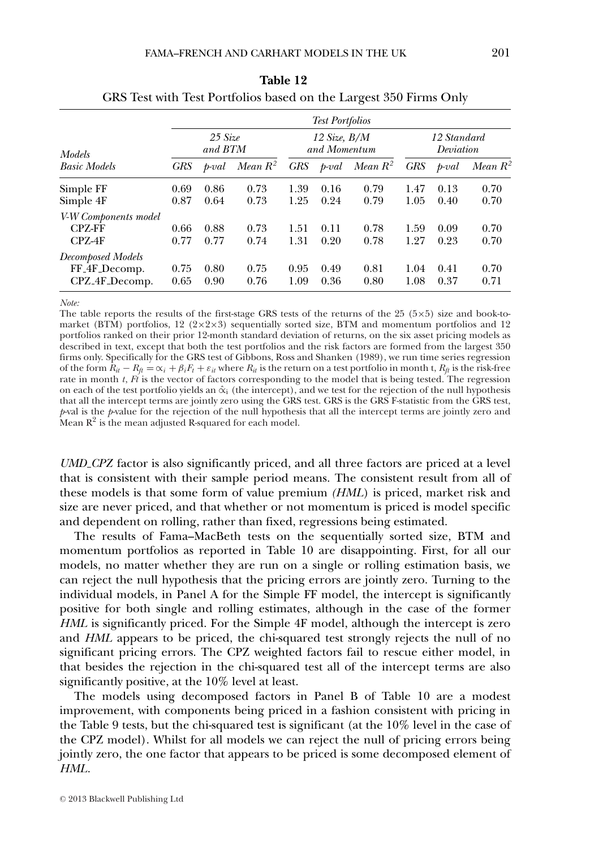### FAMA–FRENCH AND CARHART MODELS IN THE UK 201

|                                                                             |              |                              |              |              | <b>Test Portfolios</b>           |              |              |                          |              |
|-----------------------------------------------------------------------------|--------------|------------------------------|--------------|--------------|----------------------------------|--------------|--------------|--------------------------|--------------|
| <b>Models</b>                                                               |              | $25 \text{ Size}$<br>and BTM |              |              | $12$ Size, $B/M$<br>and Momentum |              |              | 12 Standard<br>Deviation |              |
| <b>Basic Models</b>                                                         | <b>GRS</b>   | $_{b$ -val                   | Mean $R^2$   | GRS          | $_{\text{t}}$                    | Mean $R^2$   | <b>GRS</b>   | $_{\text{1--}}$          | Mean $R^2$   |
| Simple FF<br>Simple 4F                                                      | 0.69<br>0.87 | 0.86<br>0.64                 | 0.73<br>0.73 | 1.39<br>1.25 | 0.16<br>0.24                     | 0.79<br>0.79 | 1.47<br>1.05 | 0.13<br>0.40             | 0.70<br>0.70 |
| V-W Components model<br><b>CPZ-FF</b><br>CPZ-4F                             | 0.66<br>0.77 | 0.88<br>0.77                 | 0.73<br>0.74 | 1.51<br>1.31 | 0.11<br>0.20                     | 0.78<br>0.78 | 1.59<br>1.27 | 0.09<br>0.23             | 0.70<br>0.70 |
| <b>Decomposed Models</b><br>FF <sub>-4F</sub> -Decomp.<br>$CPZ_4F_$ Decomp. | 0.75<br>0.65 | 0.80<br>0.90                 | 0.75<br>0.76 | 0.95<br>1.09 | 0.49<br>0.36                     | 0.81<br>0.80 | 1.04<br>1.08 | 0.41<br>0.37             | 0.70<br>0.71 |

| Table 12 |                                                                   |
|----------|-------------------------------------------------------------------|
|          | GRS Test with Test Portfolios based on the Largest 350 Firms Only |

*Note:*

The table reports the results of the first-stage GRS tests of the returns of the  $25$  ( $5\times5$ ) size and book-tomarket (BTM) portfolios, 12 ( $2 \times 2 \times 3$ ) sequentially sorted size, BTM and momentum portfolios and 12 portfolios ranked on their prior 12-month standard deviation of returns, on the six asset pricing models as described in text, except that both the test portfolios and the risk factors are formed from the largest 350 firms only. Specifically for the GRS test of Gibbons, Ross and Shanken (1989), we run time series regression of the form  $\hat{R}_{it} - R_{ti} = \alpha_i + \beta_i F_t + \varepsilon_{it}$  where  $R_{it}$  is the return on a test portfolio in month t,  $R_{ti}$  is the risk-free rate in month *t*, *Ft* is the vector of factors corresponding to the model that is being tested. The regression on each of the test portfolio yields an  $\hat{\alpha}_i$  (the intercept), and we test for the rejection of the null hypothesis that all the intercept terms are jointly zero using the GRS test. GRS is the GRS F-statistic from the GRS test, *p*-val is the *p*-value for the rejection of the null hypothesis that all the intercept terms are jointly zero and Mean  $R^2$  is the mean adjusted R-squared for each model.

*UMD CPZ* factor is also significantly priced, and all three factors are priced at a level that is consistent with their sample period means. The consistent result from all of these models is that some form of value premium *(HML*) is priced, market risk and size are never priced, and that whether or not momentum is priced is model specific and dependent on rolling, rather than fixed, regressions being estimated.

The results of Fama–MacBeth tests on the sequentially sorted size, BTM and momentum portfolios as reported in Table 10 are disappointing. First, for all our models, no matter whether they are run on a single or rolling estimation basis, we can reject the null hypothesis that the pricing errors are jointly zero. Turning to the individual models, in Panel A for the Simple FF model, the intercept is significantly positive for both single and rolling estimates, although in the case of the former *HML* is significantly priced. For the Simple 4F model, although the intercept is zero and *HML* appears to be priced, the chi-squared test strongly rejects the null of no significant pricing errors. The CPZ weighted factors fail to rescue either model, in that besides the rejection in the chi-squared test all of the intercept terms are also significantly positive, at the 10% level at least.

The models using decomposed factors in Panel B of Table 10 are a modest improvement, with components being priced in a fashion consistent with pricing in the Table 9 tests, but the chi-squared test is significant (at the 10% level in the case of the CPZ model). Whilst for all models we can reject the null of pricing errors being jointly zero, the one factor that appears to be priced is some decomposed element of *HML*.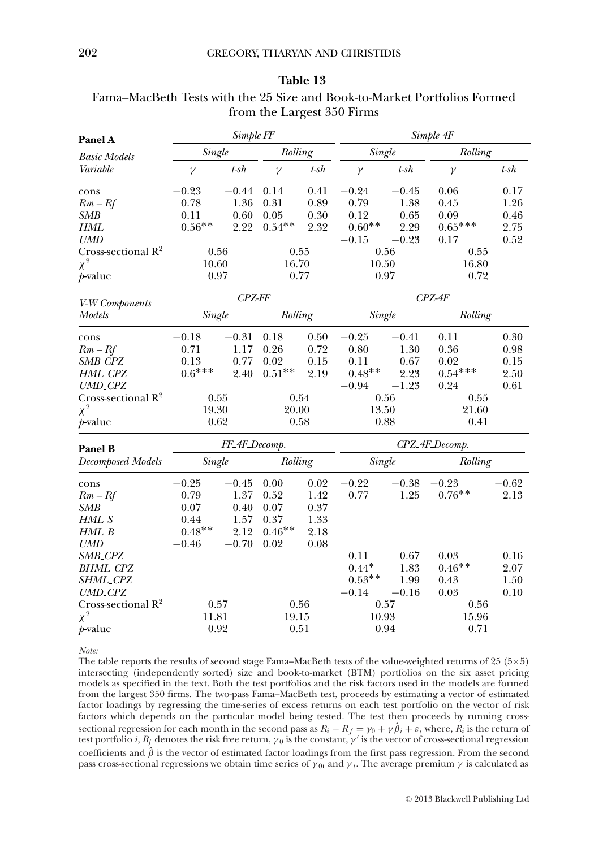|                                |               |               |          |            | from the Largest 350 Firms |            |           |         |  |
|--------------------------------|---------------|---------------|----------|------------|----------------------------|------------|-----------|---------|--|
| Panel A                        | Simple FF     |               |          |            |                            |            | Simple 4F |         |  |
| <b>Basic Models</b>            | Single        |               | Rolling  |            | Single                     |            | Rolling   |         |  |
| Variable                       | $\gamma$      | $t$ -s $h$    | $\gamma$ | $t$ -s $h$ | $\gamma$                   | $t$ -s $h$ | $\gamma$  | $t$ -sh |  |
| cons                           | $-0.23$       | $-0.44$       | 0.14     | 0.41       | $-0.24$                    | $-0.45$    | 0.06      | 0.17    |  |
| $Rm-Rf$                        | 0.78          | 1.36          | 0.31     | 0.89       | 0.79                       | 1.38       | 0.45      | 1.26    |  |
| SMB                            | 0.11          | 0.60          | 0.05     | $0.30\,$   | 0.12                       | 0.65       | 0.09      | 0.46    |  |
| HML                            | $0.56**$      | 2.22          | $0.54**$ | 2.32       | $0.60^{\ast\ast}$          | 2.29       | $0.65***$ | 2.75    |  |
| <b>UMD</b>                     |               |               |          |            | $-0.15$                    | $-0.23$    | 0.17      | 0.52    |  |
| Cross-sectional $R^2$          | 0.56          |               |          | 0.55       |                            | 0.56       |           | 0.55    |  |
| $\chi^2$                       | 10.60         |               | 16.70    |            | 10.50                      |            | 16.80     |         |  |
| p-value                        | 0.97          |               | 0.77     |            | 0.97                       |            | 0.72      |         |  |
| V-W Components                 | <b>CPZ-FF</b> |               |          | $CPZ-4F$   |                            |            |           |         |  |
| Models                         | Single        |               | Rolling  |            | Single                     |            | Rolling   |         |  |
| cons                           | $-0.18$       | $-0.31$       | 0.18     | 0.50       | $-0.25$                    | $-0.41$    | 0.11      | 0.30    |  |
| $Rm - Rf$                      | 0.71          | 1.17          | 0.26     | 0.72       | 0.80                       | 1.30       | 0.36      | 0.98    |  |
| SMB_CPZ                        | 0.13          | 0.77          | 0.02     | 0.15       | 0.11                       | 0.67       | 0.02      | 0.15    |  |
| HML_CPZ                        | $0.6***$      | 2.40          | $0.51**$ | 2.19       | $0.48**$                   | 2.23       | $0.54***$ | 2.50    |  |
| <b>UMD_CPZ</b>                 |               |               |          |            | $-0.94$                    | $-1.23$    | 0.24      | 0.61    |  |
| Cross-sectional $\mathbb{R}^2$ | 0.55          |               | 0.54     |            | 0.56                       |            | 0.55      |         |  |
| $\chi^2$                       | 19.30         |               | 20.00    |            | 13.50<br>21.60             |            |           |         |  |
| <i>t</i> -value                | 0.62          |               | 0.58     |            | 0.88<br>0.41               |            |           |         |  |
| Panel B                        |               | FF_4F_Decomp. |          |            | CPZ_4F_Decomp.             |            |           |         |  |
| <b>Decomposed Models</b>       | Single        |               | Rolling  |            | Single                     |            | Rolling   |         |  |
| cons                           | $-0.25$       | $-0.45$       | 0.00     | 0.02       | $-0.22$                    | $-0.38$    | $-0.23$   | $-0.62$ |  |
| $Rm-Rf$                        | 0.79          | 1.37          | 0.52     | 1.42       | 0.77                       | 1.25       | $0.76**$  | 2.13    |  |
| SMB                            | 0.07          | 0.40          | 0.07     | 0.37       |                            |            |           |         |  |
| $HML-S$                        | 0.44          | 1.57          | 0.37     | 1.33       |                            |            |           |         |  |
| HML_B                          | $0.48**$      | 2.12          | $0.46**$ | 2.18       |                            |            |           |         |  |
| <b>UMD</b>                     | $-0.46$       | $-0.70$       | 0.02     | 0.08       |                            |            |           |         |  |
| SMB <sub>-</sub> CPZ           |               |               |          |            | 0.11                       | 0.67       | 0.03      | 0.16    |  |
| BHML_CPZ                       |               |               |          |            | $0.44*$                    | 1.83       | $0.46**$  | 2.07    |  |
| SHML_CPZ                       |               |               |          |            | $0.53**$                   | 1.99       | 0.43      | 1.50    |  |
| <b>UMD_CPZ</b>                 |               |               |          |            | $-0.14$                    | $-0.16$    | 0.03      | 0.10    |  |
| Cross-sectional $\mathbb{R}^2$ | $0.57\,$      |               | 0.56     |            | 0.57                       |            |           | 0.56    |  |
| $\chi^2$                       | 11.81         |               | 19.15    |            | 10.93                      |            | 15.96     |         |  |
| $p$ -value                     |               | 0.92<br>0.51  |          |            | 0.94                       |            | 0.71      |         |  |

## **Table 13** Fama–MacBeth Tests with the 25 Size and Book-to-Market Portfolios Formed

*Note:*

The table reports the results of second stage Fama–MacBeth tests of the value-weighted returns of 25 ( $5\times5$ ) intersecting (independently sorted) size and book-to-market (BTM) portfolios on the six asset pricing models as specified in the text. Both the test portfolios and the risk factors used in the models are formed from the largest 350 firms. The two-pass Fama–MacBeth test, proceeds by estimating a vector of estimated factor loadings by regressing the time-series of excess returns on each test portfolio on the vector of risk factors which depends on the particular model being tested. The test then proceeds by running crosssectional regression for each month in the second pass as  $R_i - R_f = \gamma_0 + \gamma \hat{\beta}_i + \varepsilon_i$  where,  $R_i$  is the return of test portfolio *i*,  $R_f$  denotes the risk free return,  $\gamma_0$  is the constant,  $\gamma'$  is the vector of cros coefficients and  $\hat{\beta}$  is the vector of estimated factor loadings from the first pass regression. From the second pass cross-sectional regressions we obtain time series of  $\gamma_{0r}$  and  $\gamma_t$ . The average premium  $\gamma$  is calculated as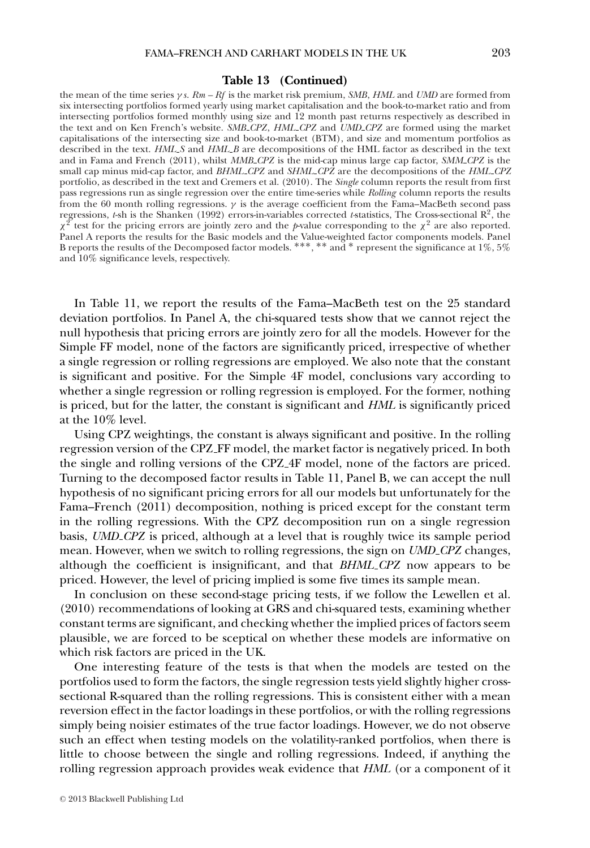#### **Table 13 (Continued)**

the mean of the time series γ *s*. *Rm – Rf* is the market risk premium, *SMB*, *HML* and *UMD* are formed from six intersecting portfolios formed yearly using market capitalisation and the book-to-market ratio and from intersecting portfolios formed monthly using size and 12 month past returns respectively as described in the text and on Ken French's website. *SMB CPZ*, *HML CPZ* and *UMD CPZ* are formed using the market capitalisations of the intersecting size and book-to-market (BTM), and size and momentum portfolios as described in the text. *HML* S and *HML B* are decompositions of the HML factor as described in the text and in Fama and French (2011), whilst *MMB CPZ* is the mid-cap minus large cap factor, *SMM CPZ* is the small cap minus mid-cap factor, and *BHML CPZ* and *SHML CPZ* are the decompositions of the *HML CPZ* portfolio, as described in the text and Cremers et al. (2010). The *Single* column reports the result from first pass regressions run as single regression over the entire time-series while *Rolling* column reports the results from the 60 month rolling regressions.  $\gamma$  is the average coefficient from the Fama–MacBeth second pass regressions, *t*-sh is the Shanken (1992) errors-in-variables corrected *t-*statistics, The Cross-sectional R2, the  $\chi^2$  test for the pricing errors are jointly zero and the *p*-value corresponding to the  $\chi^2$  are also reported. Panel A reports the results for the Basic models and the Value-weighted factor components models. Panel B reports the results of the Decomposed factor models.  $***$ ,  $**$  and  $*$  represent the significance at  $1\%$ ,  $5\%$ and 10% significance levels, respectively.

In Table 11, we report the results of the Fama–MacBeth test on the 25 standard deviation portfolios. In Panel A, the chi-squared tests show that we cannot reject the null hypothesis that pricing errors are jointly zero for all the models. However for the Simple FF model, none of the factors are significantly priced, irrespective of whether a single regression or rolling regressions are employed. We also note that the constant is significant and positive. For the Simple 4F model, conclusions vary according to whether a single regression or rolling regression is employed. For the former, nothing is priced, but for the latter, the constant is significant and *HML* is significantly priced at the 10% level.

Using CPZ weightings, the constant is always significant and positive. In the rolling regression version of the CPZ FF model, the market factor is negatively priced. In both the single and rolling versions of the CPZ 4F model, none of the factors are priced. Turning to the decomposed factor results in Table 11, Panel B, we can accept the null hypothesis of no significant pricing errors for all our models but unfortunately for the Fama–French (2011) decomposition, nothing is priced except for the constant term in the rolling regressions. With the CPZ decomposition run on a single regression basis, *UMD CPZ* is priced, although at a level that is roughly twice its sample period mean. However, when we switch to rolling regressions, the sign on *UMD CPZ* changes, although the coefficient is insignificant, and that *BHML CPZ* now appears to be priced. However, the level of pricing implied is some five times its sample mean.

In conclusion on these second-stage pricing tests, if we follow the Lewellen et al. (2010) recommendations of looking at GRS and chi-squared tests, examining whether constant terms are significant, and checking whether the implied prices of factors seem plausible, we are forced to be sceptical on whether these models are informative on which risk factors are priced in the UK.

One interesting feature of the tests is that when the models are tested on the portfolios used to form the factors, the single regression tests yield slightly higher crosssectional R-squared than the rolling regressions. This is consistent either with a mean reversion effect in the factor loadings in these portfolios, or with the rolling regressions simply being noisier estimates of the true factor loadings. However, we do not observe such an effect when testing models on the volatility-ranked portfolios, when there is little to choose between the single and rolling regressions. Indeed, if anything the rolling regression approach provides weak evidence that *HML* (or a component of it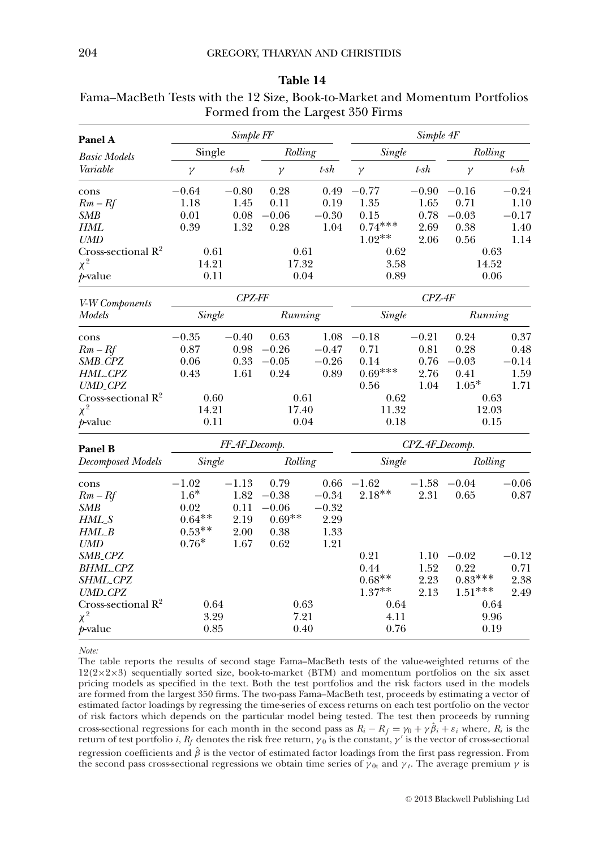|                                |               |               |          |         | POLITICA HOIII THE LAFTEST JJU PHINS |                |           |         |  |
|--------------------------------|---------------|---------------|----------|---------|--------------------------------------|----------------|-----------|---------|--|
| Panel A                        |               | Simple FF     |          |         |                                      | Simple 4F      |           |         |  |
| <b>Basic Models</b>            | Single        |               | Rolling  |         | Single                               |                |           | Rolling |  |
| Variable                       | $\gamma$      | $t$ -sh       | $\gamma$ | $t$ -sh | $\gamma$                             | $t$ -s $h$     | $\gamma$  | $t$ -sh |  |
| cons                           | $-0.64$       | $-0.80$       | 0.28     | 0.49    | $-0.77$                              | $-0.90$        | $-0.16$   | $-0.24$ |  |
| $Rm-Rf$                        | 1.18          | 1.45          | 0.11     | 0.19    | 1.35                                 | 1.65           | 0.71      | 1.10    |  |
| <b>SMB</b>                     | 0.01          | 0.08          | $-0.06$  | $-0.30$ | 0.15                                 | 0.78           | $-0.03$   | $-0.17$ |  |
| <b>HML</b>                     | 0.39          | 1.32          | 0.28     | 1.04    | $0.74***$                            | 2.69           | 0.38      | 1.40    |  |
| <b>UMD</b>                     |               |               |          |         | $1.02**$                             | 2.06           | 0.56      | 1.14    |  |
| Cross-sectional $R^2$          | 0.61          |               | 0.61     |         | 0.62                                 |                | 0.63      |         |  |
| $\chi^2$                       | 14.21         |               | 17.32    |         | 3.58                                 |                | 14.52     |         |  |
| $p$ -value                     | 0.11<br>0.04  |               | 0.89     |         | 0.06                                 |                |           |         |  |
| V-W Components                 | <b>CPZ-FF</b> |               | $CPZ-4F$ |         |                                      |                |           |         |  |
| Models                         | Single        |               | Running  |         | Single                               |                | Running   |         |  |
| cons                           | $-0.35$       | $-0.40$       | 0.63     | 1.08    | $-0.18$                              | $-0.21$        | 0.24      | 0.37    |  |
| $Rm - Rf$                      | 0.87          | 0.98          | $-0.26$  | $-0.47$ | 0.71                                 | 0.81           | 0.28      | 0.48    |  |
| SMB_CPZ                        | 0.06          | 0.33          | $-0.05$  | $-0.26$ | 0.14                                 | 0.76           | $-0.03$   | $-0.14$ |  |
| HML_CPZ                        | 0.43          | 1.61          | 0.24     | 0.89    | $0.69***$                            | 2.76           | 0.41      | 1.59    |  |
| $UMD\_CPZ$                     |               |               |          |         | 0.56                                 | 1.04           | $1.05*$   | 1.71    |  |
| Cross-sectional $\mathbb{R}^2$ | 0.60          |               | 0.61     |         | 0.62                                 |                |           | 0.63    |  |
| $\chi^2$                       | 14.21         |               | 17.40    |         |                                      | 11.32<br>12.03 |           |         |  |
| p-value                        | 0.11          |               | 0.04     |         | 0.18                                 |                |           | 0.15    |  |
| Panel B                        |               | FF_4F_Decomp. |          |         | CPZ_4F_Decomp.                       |                |           |         |  |
| <b>Decomposed Models</b>       | Single        |               | Rolling  |         | Single                               |                | Rolling   |         |  |
| cons                           | $-1.02$       | $-1.13$       | 0.79     | 0.66    | $-1.62$                              | $-1.58$        | $-0.04$   | $-0.06$ |  |
| $Rm-Rf$                        | $1.6*$        | 1.82          | $-0.38$  | $-0.34$ | $2.18**$                             | 2.31           | 0.65      | 0.87    |  |
| <b>SMB</b>                     | 0.02          | 0.11          | $-0.06$  | $-0.32$ |                                      |                |           |         |  |
| $HML-S$                        | $0.64**$      | 2.19          | $0.69**$ | 2.29    |                                      |                |           |         |  |
| HML_B                          | $0.53**$      | 2.00          | 0.38     | 1.33    |                                      |                |           |         |  |
| <b>UMD</b>                     | $0.76^{\ast}$ | 1.67          | 0.62     | 1.21    |                                      |                |           |         |  |
| SMB_CPZ                        |               |               |          |         | 0.21                                 | 1.10           | $-0.02$   | $-0.12$ |  |
| <b>BHML_CPZ</b>                |               |               |          |         | 0.44                                 | 1.52           | 0.22      | 0.71    |  |
| SHML_CPZ                       |               |               |          |         | $0.68**$                             | 2.23           | $0.83***$ | 2.38    |  |
| <b>UMD_CPZ</b>                 |               |               |          |         | $1.37**$                             | 2.13           | $1.51***$ | 2.49    |  |
| Cross-sectional $R^2$          | 0.64          |               | 0.63     |         | 0.64                                 |                |           | 0.64    |  |
| $\chi^2$                       | 3.29          |               | 7.21     |         | 4.11                                 |                | 9.96      |         |  |
| p-value                        | 0.85          |               | 0.40     |         | 0.76                                 |                | 0.19      |         |  |

| Table 14                                                                    |  |
|-----------------------------------------------------------------------------|--|
| Fama–MacBeth Tests with the 12 Size, Book-to-Market and Momentum Portfolios |  |
| Formed from the Largest 350 Firms                                           |  |

*Note:*

The table reports the results of second stage Fama–MacBeth tests of the value-weighted returns of the 12(2×2×3) sequentially sorted size, book-to-market (BTM) and momentum portfolios on the six asset pricing models as specified in the text. Both the test portfolios and the risk factors used in the models are formed from the largest 350 firms. The two-pass Fama–MacBeth test, proceeds by estimating a vector of estimated factor loadings by regressing the time-series of excess returns on each test portfolio on the vector of risk factors which depends on the particular model being tested. The test then proceeds by running cross-sectional regressions for each month in the second pass as  $R_i - R_f = \gamma_0 + \gamma \hat{\beta}_i + \varepsilon_i$  where,  $R_i$  is the return of test portfolio *i*,  $R_f$  denotes the risk free return,  $\gamma_0$  is the constant,  $\gamma'$  is the vector regression coefficients and  $\hat{\beta}$  is the vector of estimated factor loadings from the first pass regression. From the second pass cross-sectional regressions we obtain time series of  $\gamma_{0t}$  and  $\gamma_t$ . The average premium  $\gamma$  is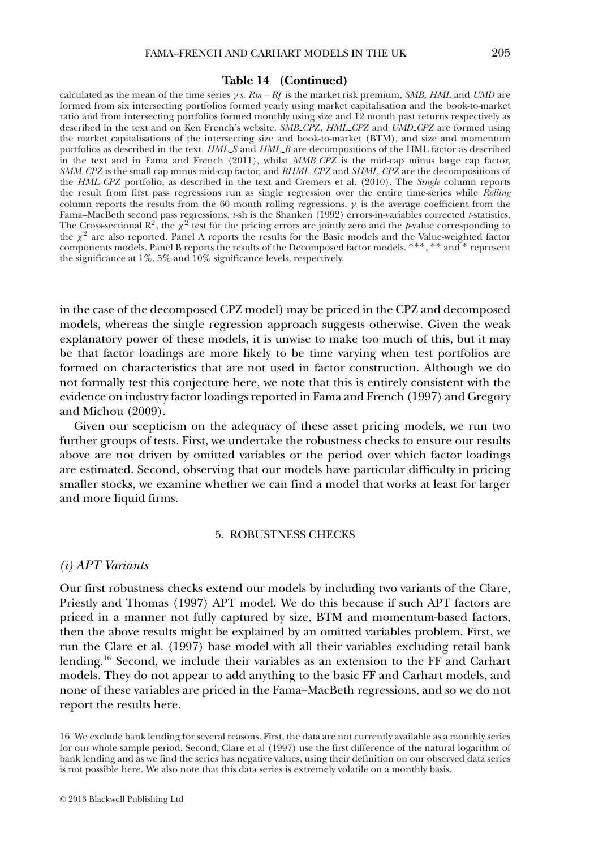#### **Table 14 (Continued)**

calculated as the mean of the time series γ *s*. *Rm – Rf* is the market risk premium, *SMB*, *HML* and *UMD* are formed from six intersecting portfolios formed yearly using market capitalisation and the book-to-market ratio and from intersecting portfolios formed monthly using size and 12 month past returns respectively as described in the text and on Ken French's website. *SMB CPZ*, *HML CPZ* and *UMD CPZ* are formed using the market capitalisations of the intersecting size and book-to-market (BTM), and size and momentum portfolios as described in the text. *HML S* and *HML B* are decompositions of the HML factor as described in the text and in Fama and French (2011), whilst *MMB CPZ* is the mid-cap minus large cap factor, *SMM CPZ* is the small cap minus mid-cap factor, and *BHML CPZ* and *SHML CPZ* are the decompositions of the *HML CPZ* portfolio, as described in the text and Cremers et al. (2010). The *Single* column reports the result from first pass regressions run as single regression over the entire time-series while *Rolling* column reports the results from the 60 month rolling regressions.  $\gamma$  is the average coefficient from the Fama–MacBeth second pass regressions, *t*-sh is the Shanken (1992) errors-in-variables corrected *t*-statistics, The Cross-sectional  $\mathbb{R}^2$ , the  $\chi^2$  test for the pricing errors are jointly zero and the *p*-value corresponding to the  $\chi^2$  are also reported. Panel A reports the results for the Basic models and the Value-weighted factor components models. Panel B reports the results of the Decomposed factor models. ∗∗∗, ∗∗ and ∗ represent the significance at 1%, 5% and 10% significance levels, respectively.

in the case of the decomposed CPZ model) may be priced in the CPZ and decomposed models, whereas the single regression approach suggests otherwise. Given the weak explanatory power of these models, it is unwise to make too much of this, but it may be that factor loadings are more likely to be time varying when test portfolios are formed on characteristics that are not used in factor construction. Although we do not formally test this conjecture here, we note that this is entirely consistent with the evidence on industry factor loadings reported in Fama and French (1997) and Gregory and Michou (2009).

Given our scepticism on the adequacy of these asset pricing models, we run two further groups of tests. First, we undertake the robustness checks to ensure our results above are not driven by omitted variables or the period over which factor loadings are estimated. Second, observing that our models have particular difficulty in pricing smaller stocks, we examine whether we can find a model that works at least for larger and more liquid firms.

### 5. ROBUSTNESS CHECKS

### *(i) APT Variants*

Our first robustness checks extend our models by including two variants of the Clare, Priestly and Thomas (1997) APT model. We do this because if such APT factors are priced in a manner not fully captured by size, BTM and momentum-based factors, then the above results might be explained by an omitted variables problem. First, we run the Clare et al. (1997) base model with all their variables excluding retail bank lending.16 Second, we include their variables as an extension to the FF and Carhart models. They do not appear to add anything to the basic FF and Carhart models, and none of these variables are priced in the Fama–MacBeth regressions, and so we do not report the results here.

<sup>16</sup> We exclude bank lending for several reasons. First, the data are not currently available as a monthly series for our whole sample period. Second, Clare et al (1997) use the first difference of the natural logarithm of bank lending and as we find the series has negative values, using their definition on our observed data series is not possible here. We also note that this data series is extremely volatile on a monthly basis.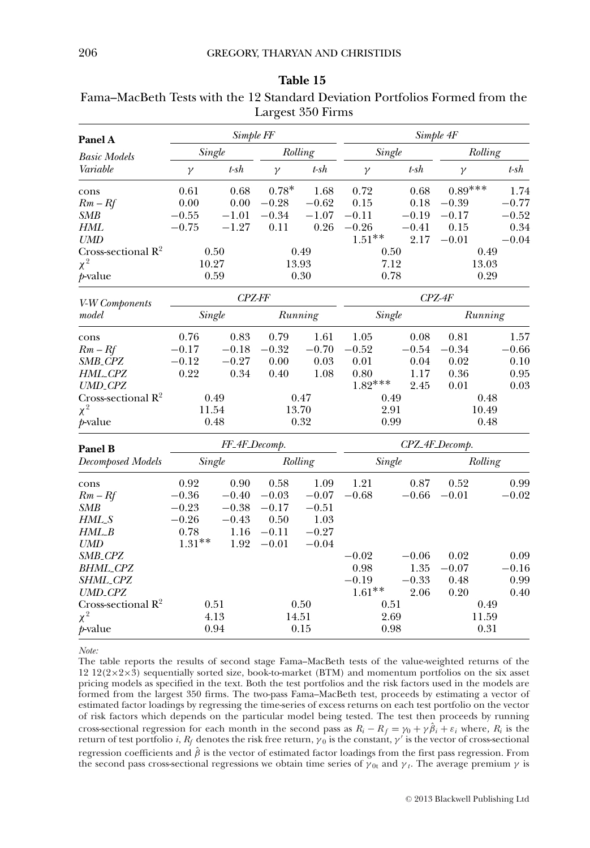| Panel A                        |               | Simple FF     | ಾ        |         | Simple 4F     |                |           |         |  |
|--------------------------------|---------------|---------------|----------|---------|---------------|----------------|-----------|---------|--|
| <b>Basic Models</b>            | Single        |               | Rolling  |         | Single        |                | Rolling   |         |  |
| Variable                       | $\gamma$      | t-sh          | $\gamma$ | $t$ -sh | $\gamma$      | $t$ -sh        | $\gamma$  | t-sh    |  |
| cons                           | 0.61          | 0.68          | $0.78*$  | 1.68    | 0.72          | 0.68           | $0.89***$ | 1.74    |  |
| $Rm-Rf$                        | 0.00          | 0.00          | $-0.28$  | $-0.62$ | 0.15          | 0.18           | $-0.39$   | $-0.77$ |  |
| <b>SMB</b>                     | $-0.55$       | $-1.01$       | $-0.34$  | $-1.07$ | $-0.11$       | $-0.19$        | $-0.17$   | $-0.52$ |  |
| HML                            | $-0.75$       | $-1.27$       | 0.11     | 0.26    | $-0.26$       | $-0.41$        | 0.15      | 0.34    |  |
| <b>UMD</b>                     |               |               |          |         | $1.51***$     | 2.17           | $-0.01$   | $-0.04$ |  |
| Cross-sectional $\mathbb{R}^2$ |               | 0.50          |          | 0.49    | 0.50          |                | 0.49      |         |  |
| $\chi^2$                       |               | 10.27         | 13.93    |         | 7.12          |                | 13.03     |         |  |
| <i>p</i> -value                | 0.59<br>0.30  |               |          | 0.78    |               | 0.29           |           |         |  |
| V-W Components                 | <b>CPZ-FF</b> |               |          |         | $CPZ-4F$      |                |           |         |  |
| model                          |               | Single        |          | Running | <b>Single</b> |                | Running   |         |  |
| cons                           | 0.76          | 0.83          | 0.79     | 1.61    | 1.05          | 0.08           | 0.81      | 1.57    |  |
| $Rm - Rf$                      | $-0.17$       | $-0.18$       | $-0.32$  | $-0.70$ | $-0.52$       | $-0.54$        | $-0.34$   | $-0.66$ |  |
| SMB_CPZ                        | $-0.12$       | $-0.27$       | 0.00     | 0.03    | 0.01          | 0.04           | 0.02      | 0.10    |  |
| HML_CPZ                        | 0.22          | 0.34          | 0.40     | 1.08    | 0.80          | 1.17           | 0.36      | 0.95    |  |
| <b>UMD_CPZ</b>                 |               |               |          |         | $1.82***$     | 2.45           | 0.01      | 0.03    |  |
| Cross-sectional $\mathbb{R}^2$ |               | 0.49          |          | 0.47    | 0.49          |                |           | 0.48    |  |
| $\chi^2$                       |               | 11.54         |          | 13.70   | 2.91          |                | 10.49     |         |  |
| p-value                        |               | 0.48          |          | 0.32    | 0.99          |                |           | 0.48    |  |
| Panel B                        |               | FF_4F_Decomp. |          |         |               | CPZ_4F_Decomp. |           |         |  |
| <b>Decomposed Models</b>       | Single        |               | Rolling  |         | Single        |                | Rolling   |         |  |
| cons                           | 0.92          | 0.90          | 0.58     | 1.09    | 1.21          | 0.87           | 0.52      | 0.99    |  |
| $Rm - Rf$                      | $-0.36$       | $-0.40$       | $-0.03$  | $-0.07$ | $-0.68$       | $-0.66$        | $-0.01$   | $-0.02$ |  |
| <b>SMB</b>                     | $-0.23$       | $-0.38$       | $-0.17$  | $-0.51$ |               |                |           |         |  |
| HML_S                          | $-0.26$       | $-0.43$       | 0.50     | 1.03    |               |                |           |         |  |
| $HML_B$                        | 0.78          | 1.16          | $-0.11$  | $-0.27$ |               |                |           |         |  |
| <b>UMD</b>                     | $1.31**$      | 1.92          | $-0.01$  | $-0.04$ |               |                |           |         |  |
| SMB_CPZ                        |               |               |          |         | $-0.02$       | $-0.06$        | 0.02      | 0.09    |  |
| <b>BHML_CPZ</b>                |               |               |          |         | 0.98          | 1.35           | $-0.07$   | $-0.16$ |  |
| SHML_CPZ                       |               |               |          |         | $-0.19$       | $-0.33$        | 0.48      | 0.99    |  |
| <b>UMD_CPZ</b>                 |               |               |          |         | $1.61**$      | 2.06           | 0.20      | 0.40    |  |
| Cross-sectional $R^2$          |               | 0.51          |          | 0.50    | 0.51          |                |           | 0.49    |  |
| $\chi^2$                       |               | 4.13          | 14.51    |         | 2.69          |                | 11.59     |         |  |
| <i>p</i> -value                |               | 0.94          |          | 0.15    |               | 0.98           |           | 0.31    |  |

| Table 15                                                                     |
|------------------------------------------------------------------------------|
| Fama–MacBeth Tests with the 12 Standard Deviation Portfolios Formed from the |
| Largest 350 Firms                                                            |

*Note:*

The table reports the results of second stage Fama–MacBeth tests of the value-weighted returns of the 12 12(2×2×3) sequentially sorted size, book-to-market (BTM) and momentum portfolios on the six asset pricing models as specified in the text. Both the test portfolios and the risk factors used in the models are formed from the largest 350 firms. The two-pass Fama–MacBeth test, proceeds by estimating a vector of estimated factor loadings by regressing the time-series of excess returns on each test portfolio on the vector of risk factors which depends on the particular model being tested. The test then proceeds by running cross-sectional regression for each month in the second pass as  $R_i - R_f = \gamma_0 + \gamma \hat{\beta}_i + \varepsilon_i$  where,  $R_i$  is the return of test portfolio *i*,  $R_f$  denotes the risk free return,  $\gamma_0$  is the constant,  $\gamma'$  is the vector o regression coefficients and  $\hat{\beta}$  is the vector of estimated factor loadings from the first pass regression. From the second pass cross-sectional regressions we obtain time series of  $\gamma_{0t}$  and  $\gamma_t$ . The average premium  $\gamma$  is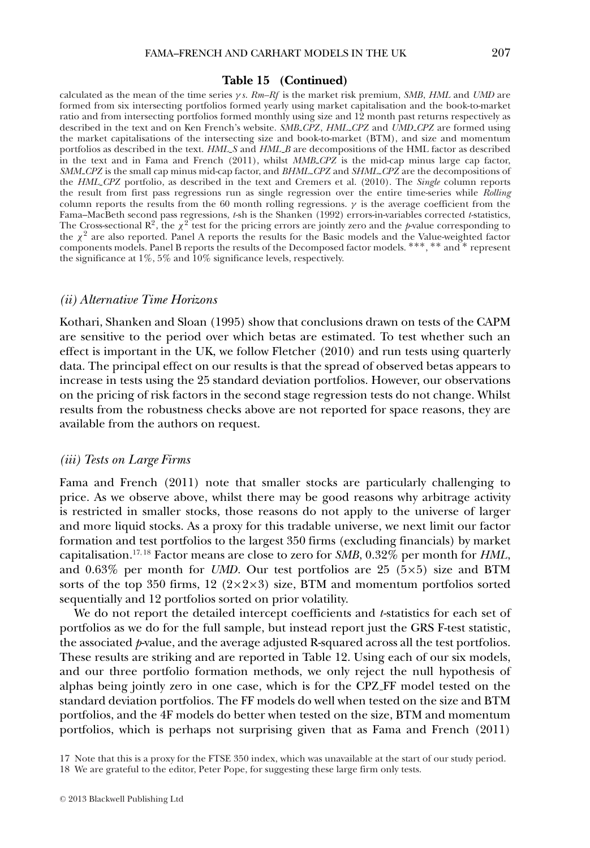#### **Table 15 (Continued)**

calculated as the mean of the time series γ *s*. *Rm–Rf* is the market risk premium, *SMB*, *HML* and *UMD* are formed from six intersecting portfolios formed yearly using market capitalisation and the book-to-market ratio and from intersecting portfolios formed monthly using size and 12 month past returns respectively as described in the text and on Ken French's website. *SMB CPZ*, *HML CPZ* and *UMD CPZ* are formed using the market capitalisations of the intersecting size and book-to-market (BTM), and size and momentum portfolios as described in the text. *HML S* and *HML B* are decompositions of the HML factor as described in the text and in Fama and French (2011), whilst *MMB CPZ* is the mid-cap minus large cap factor, *SMM CPZ* is the small cap minus mid-cap factor, and *BHML CPZ* and *SHML CPZ* are the decompositions of the *HML CPZ* portfolio, as described in the text and Cremers et al. (2010). The *Single* column reports the result from first pass regressions run as single regression over the entire time-series while *Rolling* column reports the results from the 60 month rolling regressions.  $\gamma$  is the average coefficient from the Fama–MacBeth second pass regressions, *t*-sh is the Shanken (1992) errors-in-variables corrected *t*-statistics, The Cross-sectional  $\mathbb{R}^2$ , the  $\chi^2$  test for the pricing errors are jointly zero and the *p*-value corresponding to the  $\chi^2$  are also reported. Panel A reports the results for the Basic models and the Value-weighted factor components models. Panel B reports the results of the Decomposed factor models. ∗∗∗, ∗∗ and ∗ represent the significance at 1%, 5% and 10% significance levels, respectively.

### *(ii) Alternative Time Horizons*

Kothari, Shanken and Sloan (1995) show that conclusions drawn on tests of the CAPM are sensitive to the period over which betas are estimated. To test whether such an effect is important in the UK, we follow Fletcher (2010) and run tests using quarterly data. The principal effect on our results is that the spread of observed betas appears to increase in tests using the 25 standard deviation portfolios. However, our observations on the pricing of risk factors in the second stage regression tests do not change. Whilst results from the robustness checks above are not reported for space reasons, they are available from the authors on request.

### *(iii) Tests on Large Firms*

Fama and French (2011) note that smaller stocks are particularly challenging to price. As we observe above, whilst there may be good reasons why arbitrage activity is restricted in smaller stocks, those reasons do not apply to the universe of larger and more liquid stocks. As a proxy for this tradable universe, we next limit our factor formation and test portfolios to the largest 350 firms (excluding financials) by market capitalisation.17,<sup>18</sup> Factor means are close to zero for *SMB*, 0.32% per month for *HML*, and 0.63% per month for *UMD*. Our test portfolios are 25 (5×5) size and BTM sorts of the top 350 firms, 12 ( $2 \times 2 \times 3$ ) size, BTM and momentum portfolios sorted sequentially and 12 portfolios sorted on prior volatility.

We do not report the detailed intercept coefficients and *t*-statistics for each set of portfolios as we do for the full sample, but instead report just the GRS F-test statistic, the associated *p*-value, and the average adjusted R-squared across all the test portfolios. These results are striking and are reported in Table 12. Using each of our six models, and our three portfolio formation methods, we only reject the null hypothesis of alphas being jointly zero in one case, which is for the CPZ FF model tested on the standard deviation portfolios. The FF models do well when tested on the size and BTM portfolios, and the 4F models do better when tested on the size, BTM and momentum portfolios, which is perhaps not surprising given that as Fama and French (2011)

17 Note that this is a proxy for the FTSE 350 index, which was unavailable at the start of our study period. 18 We are grateful to the editor, Peter Pope, for suggesting these large firm only tests.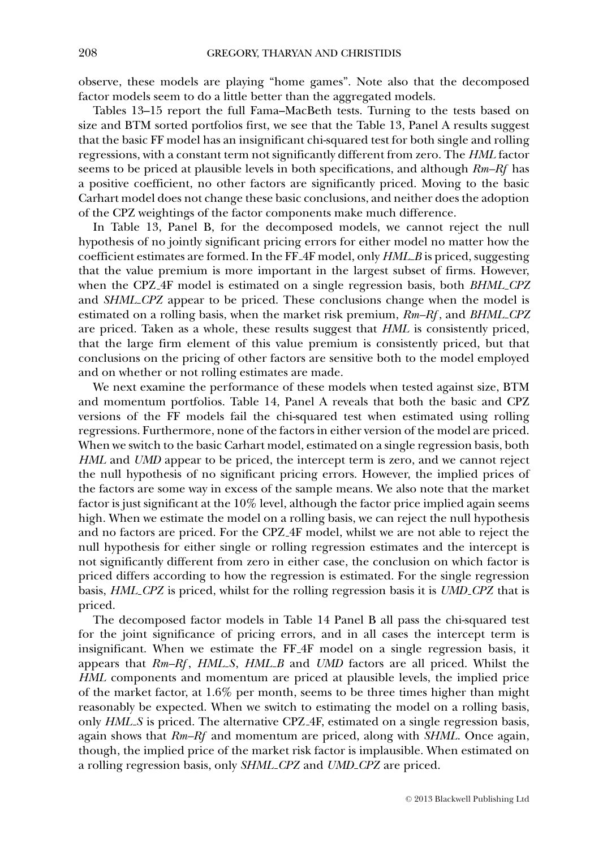observe, these models are playing "home games". Note also that the decomposed factor models seem to do a little better than the aggregated models.

Tables 13–15 report the full Fama–MacBeth tests. Turning to the tests based on size and BTM sorted portfolios first, we see that the Table 13, Panel A results suggest that the basic FF model has an insignificant chi-squared test for both single and rolling regressions, with a constant term not significantly different from zero. The *HML* factor seems to be priced at plausible levels in both specifications, and although *Rm–Rf* has a positive coefficient, no other factors are significantly priced. Moving to the basic Carhart model does not change these basic conclusions, and neither does the adoption of the CPZ weightings of the factor components make much difference.

In Table 13, Panel B, for the decomposed models, we cannot reject the null hypothesis of no jointly significant pricing errors for either model no matter how the coefficient estimates are formed. In the FF 4F model, only *HML B* is priced, suggesting that the value premium is more important in the largest subset of firms. However, when the CPZ 4F model is estimated on a single regression basis, both *BHML CPZ* and *SHML CPZ* appear to be priced. These conclusions change when the model is estimated on a rolling basis, when the market risk premium, *Rm–Rf* , and *BHML CPZ* are priced. Taken as a whole, these results suggest that *HML* is consistently priced, that the large firm element of this value premium is consistently priced, but that conclusions on the pricing of other factors are sensitive both to the model employed and on whether or not rolling estimates are made.

We next examine the performance of these models when tested against size, BTM and momentum portfolios. Table 14, Panel A reveals that both the basic and CPZ versions of the FF models fail the chi-squared test when estimated using rolling regressions. Furthermore, none of the factors in either version of the model are priced. When we switch to the basic Carhart model, estimated on a single regression basis, both *HML* and *UMD* appear to be priced, the intercept term is zero, and we cannot reject the null hypothesis of no significant pricing errors. However, the implied prices of the factors are some way in excess of the sample means. We also note that the market factor is just significant at the 10% level, although the factor price implied again seems high. When we estimate the model on a rolling basis, we can reject the null hypothesis and no factors are priced. For the CPZ 4F model, whilst we are not able to reject the null hypothesis for either single or rolling regression estimates and the intercept is not significantly different from zero in either case, the conclusion on which factor is priced differs according to how the regression is estimated. For the single regression basis, *HML CPZ* is priced, whilst for the rolling regression basis it is *UMD CPZ* that is priced.

The decomposed factor models in Table 14 Panel B all pass the chi-squared test for the joint significance of pricing errors, and in all cases the intercept term is insignificant. When we estimate the FF 4F model on a single regression basis, it appears that *Rm–Rf* , *HML S*, *HML B* and *UMD* factors are all priced. Whilst the *HML* components and momentum are priced at plausible levels, the implied price of the market factor, at 1.6% per month, seems to be three times higher than might reasonably be expected. When we switch to estimating the model on a rolling basis, only *HML S* is priced. The alternative CPZ 4F, estimated on a single regression basis, again shows that *Rm–Rf* and momentum are priced, along with *SHML*. Once again, though, the implied price of the market risk factor is implausible. When estimated on a rolling regression basis, only *SHML CPZ* and *UMD CPZ* are priced.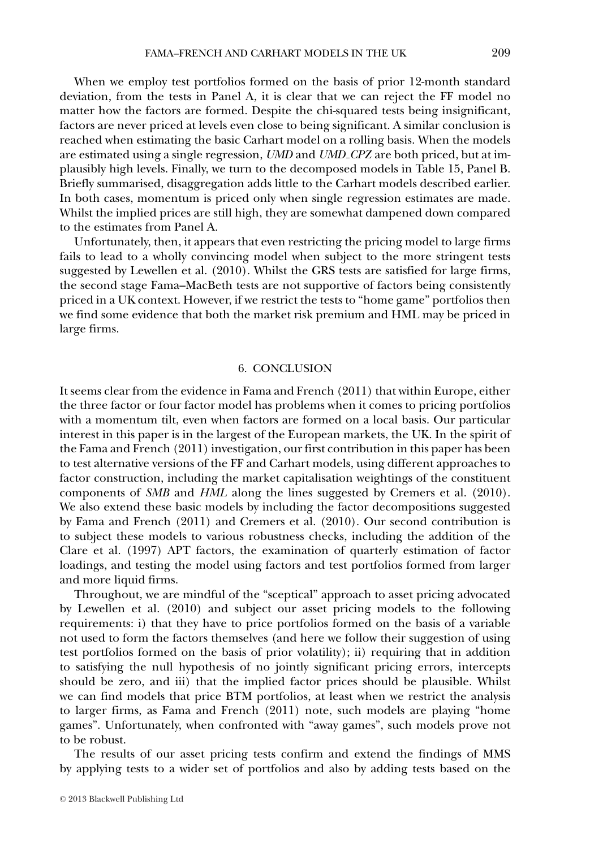When we employ test portfolios formed on the basis of prior 12-month standard deviation, from the tests in Panel A, it is clear that we can reject the FF model no matter how the factors are formed. Despite the chi-squared tests being insignificant, factors are never priced at levels even close to being significant. A similar conclusion is reached when estimating the basic Carhart model on a rolling basis. When the models are estimated using a single regression, *UMD* and *UMD CPZ* are both priced, but at implausibly high levels. Finally, we turn to the decomposed models in Table 15, Panel B. Briefly summarised, disaggregation adds little to the Carhart models described earlier. In both cases, momentum is priced only when single regression estimates are made. Whilst the implied prices are still high, they are somewhat dampened down compared to the estimates from Panel A.

Unfortunately, then, it appears that even restricting the pricing model to large firms fails to lead to a wholly convincing model when subject to the more stringent tests suggested by Lewellen et al. (2010). Whilst the GRS tests are satisfied for large firms, the second stage Fama–MacBeth tests are not supportive of factors being consistently priced in a UK context. However, if we restrict the tests to "home game" portfolios then we find some evidence that both the market risk premium and HML may be priced in large firms.

### 6. CONCLUSION

It seems clear from the evidence in Fama and French (2011) that within Europe, either the three factor or four factor model has problems when it comes to pricing portfolios with a momentum tilt, even when factors are formed on a local basis. Our particular interest in this paper is in the largest of the European markets, the UK. In the spirit of the Fama and French (2011) investigation, our first contribution in this paper has been to test alternative versions of the FF and Carhart models, using different approaches to factor construction, including the market capitalisation weightings of the constituent components of *SMB* and *HML* along the lines suggested by Cremers et al. (2010). We also extend these basic models by including the factor decompositions suggested by Fama and French (2011) and Cremers et al. (2010). Our second contribution is to subject these models to various robustness checks, including the addition of the Clare et al. (1997) APT factors, the examination of quarterly estimation of factor loadings, and testing the model using factors and test portfolios formed from larger and more liquid firms.

Throughout, we are mindful of the "sceptical" approach to asset pricing advocated by Lewellen et al. (2010) and subject our asset pricing models to the following requirements: i) that they have to price portfolios formed on the basis of a variable not used to form the factors themselves (and here we follow their suggestion of using test portfolios formed on the basis of prior volatility); ii) requiring that in addition to satisfying the null hypothesis of no jointly significant pricing errors, intercepts should be zero, and iii) that the implied factor prices should be plausible. Whilst we can find models that price BTM portfolios, at least when we restrict the analysis to larger firms, as Fama and French (2011) note, such models are playing "home games". Unfortunately, when confronted with "away games", such models prove not to be robust.

The results of our asset pricing tests confirm and extend the findings of MMS by applying tests to a wider set of portfolios and also by adding tests based on the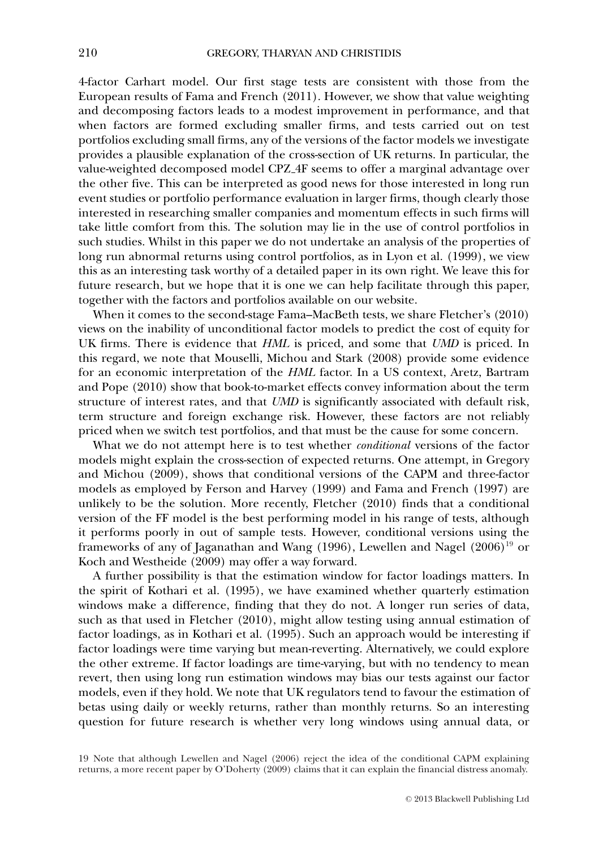4-factor Carhart model. Our first stage tests are consistent with those from the European results of Fama and French (2011). However, we show that value weighting and decomposing factors leads to a modest improvement in performance, and that when factors are formed excluding smaller firms, and tests carried out on test portfolios excluding small firms, any of the versions of the factor models we investigate provides a plausible explanation of the cross-section of UK returns. In particular, the value-weighted decomposed model CPZ 4F seems to offer a marginal advantage over the other five. This can be interpreted as good news for those interested in long run event studies or portfolio performance evaluation in larger firms, though clearly those interested in researching smaller companies and momentum effects in such firms will take little comfort from this. The solution may lie in the use of control portfolios in such studies. Whilst in this paper we do not undertake an analysis of the properties of long run abnormal returns using control portfolios, as in Lyon et al. (1999), we view this as an interesting task worthy of a detailed paper in its own right. We leave this for future research, but we hope that it is one we can help facilitate through this paper, together with the factors and portfolios available on our website.

When it comes to the second-stage Fama–MacBeth tests, we share Fletcher's (2010) views on the inability of unconditional factor models to predict the cost of equity for UK firms. There is evidence that *HML* is priced, and some that *UMD* is priced. In this regard, we note that Mouselli, Michou and Stark (2008) provide some evidence for an economic interpretation of the *HML* factor. In a US context, Aretz, Bartram and Pope (2010) show that book-to-market effects convey information about the term structure of interest rates, and that *UMD* is significantly associated with default risk, term structure and foreign exchange risk. However, these factors are not reliably priced when we switch test portfolios, and that must be the cause for some concern.

What we do not attempt here is to test whether *conditional* versions of the factor models might explain the cross-section of expected returns. One attempt, in Gregory and Michou (2009), shows that conditional versions of the CAPM and three-factor models as employed by Ferson and Harvey (1999) and Fama and French (1997) are unlikely to be the solution. More recently, Fletcher (2010) finds that a conditional version of the FF model is the best performing model in his range of tests, although it performs poorly in out of sample tests. However, conditional versions using the frameworks of any of Jaganathan and Wang (1996), Lewellen and Nagel (2006)<sup>19</sup> or Koch and Westheide (2009) may offer a way forward.

A further possibility is that the estimation window for factor loadings matters. In the spirit of Kothari et al. (1995), we have examined whether quarterly estimation windows make a difference, finding that they do not. A longer run series of data, such as that used in Fletcher (2010), might allow testing using annual estimation of factor loadings, as in Kothari et al. (1995). Such an approach would be interesting if factor loadings were time varying but mean-reverting. Alternatively, we could explore the other extreme. If factor loadings are time-varying, but with no tendency to mean revert, then using long run estimation windows may bias our tests against our factor models, even if they hold. We note that UK regulators tend to favour the estimation of betas using daily or weekly returns, rather than monthly returns. So an interesting question for future research is whether very long windows using annual data, or

19 Note that although Lewellen and Nagel (2006) reject the idea of the conditional CAPM explaining returns, a more recent paper by O'Doherty (2009) claims that it can explain the financial distress anomaly.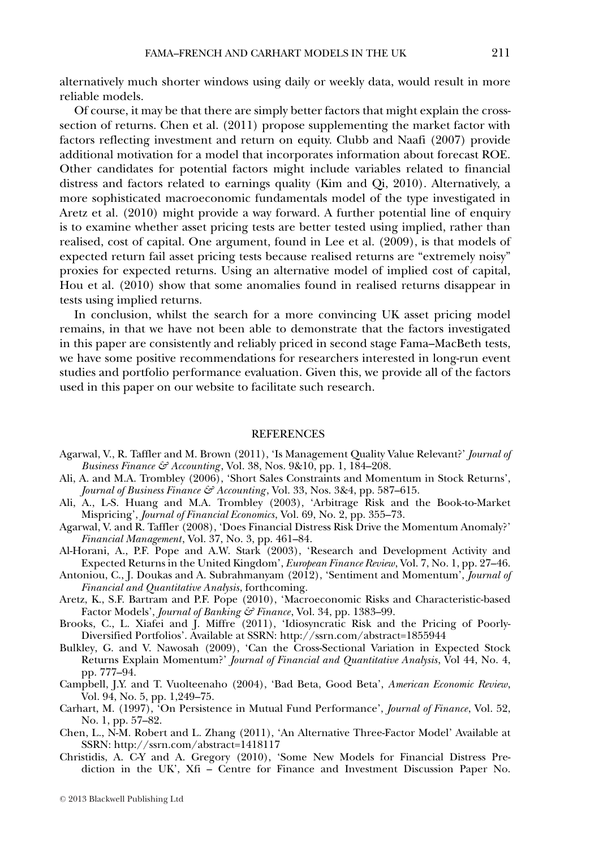alternatively much shorter windows using daily or weekly data, would result in more reliable models.

Of course, it may be that there are simply better factors that might explain the crosssection of returns. Chen et al. (2011) propose supplementing the market factor with factors reflecting investment and return on equity. Clubb and Naafi (2007) provide additional motivation for a model that incorporates information about forecast ROE. Other candidates for potential factors might include variables related to financial distress and factors related to earnings quality (Kim and Qi, 2010). Alternatively, a more sophisticated macroeconomic fundamentals model of the type investigated in Aretz et al. (2010) might provide a way forward. A further potential line of enquiry is to examine whether asset pricing tests are better tested using implied, rather than realised, cost of capital. One argument, found in Lee et al. (2009), is that models of expected return fail asset pricing tests because realised returns are "extremely noisy" proxies for expected returns. Using an alternative model of implied cost of capital, Hou et al. (2010) show that some anomalies found in realised returns disappear in tests using implied returns.

In conclusion, whilst the search for a more convincing UK asset pricing model remains, in that we have not been able to demonstrate that the factors investigated in this paper are consistently and reliably priced in second stage Fama–MacBeth tests, we have some positive recommendations for researchers interested in long-run event studies and portfolio performance evaluation. Given this, we provide all of the factors used in this paper on our website to facilitate such research.

### **REFERENCES**

- Agarwal, V., R. Taffler and M. Brown (2011), 'Is Management Quality Value Relevant?' *Journal of Business Finance & Accounting* , Vol. 38, Nos. 9&10, pp. 1, 184–208.
- Ali, A. and M.A. Trombley (2006), 'Short Sales Constraints and Momentum in Stock Returns', *Journal of Business Finance & Accounting* , Vol. 33, Nos. 3&4, pp. 587–615.
- Ali, A., L-S. Huang and M.A. Trombley (2003), 'Arbitrage Risk and the Book-to-Market Mispricing', *Journal of Financial Economics*, Vol. 69, No. 2, pp. 355–73.
- Agarwal, V. and R. Taffler (2008), 'Does Financial Distress Risk Drive the Momentum Anomaly?' *Financial Management*, Vol. 37, No. 3, pp. 461–84.
- Al-Horani, A., P.F. Pope and A.W. Stark (2003), 'Research and Development Activity and Expected Returns in the United Kingdom', *European Finance Review*, Vol. 7, No. 1, pp. 27–46.
- Antoniou, C., J. Doukas and A. Subrahmanyam (2012), 'Sentiment and Momentum', *Journal of Financial and Quantitative Analysis*, forthcoming.
- Aretz, K., S.F. Bartram and P.F. Pope (2010), 'Macroeconomic Risks and Characteristic-based Factor Models', *Journal of Banking & Finance*, Vol. 34, pp. 1383–99.
- Brooks, C., L. Xiafei and J. Miffre (2011), 'Idiosyncratic Risk and the Pricing of Poorly-Diversified Portfolios'. Available at SSRN: http://ssrn.com/abstract=1855944
- Bulkley, G. and V. Nawosah (2009), 'Can the Cross-Sectional Variation in Expected Stock Returns Explain Momentum?' *Journal of Financial and Quantitative Analysis*, Vol 44, No. 4, pp. 777–94.
- Campbell, J.Y. and T. Vuolteenaho (2004), 'Bad Beta, Good Beta', *American Economic Review*, Vol. 94, No. 5, pp. 1,249–75.
- Carhart, M. (1997), 'On Persistence in Mutual Fund Performance', *Journal of Finance*, Vol. 52, No. 1, pp. 57–82.
- Chen, L., N-M. Robert and L. Zhang (2011), 'An Alternative Three-Factor Model' Available at SSRN: http://ssrn.com/abstract=1418117
- Christidis, A. C-Y and A. Gregory (2010), 'Some New Models for Financial Distress Prediction in the UK', Xfi – Centre for Finance and Investment Discussion Paper No.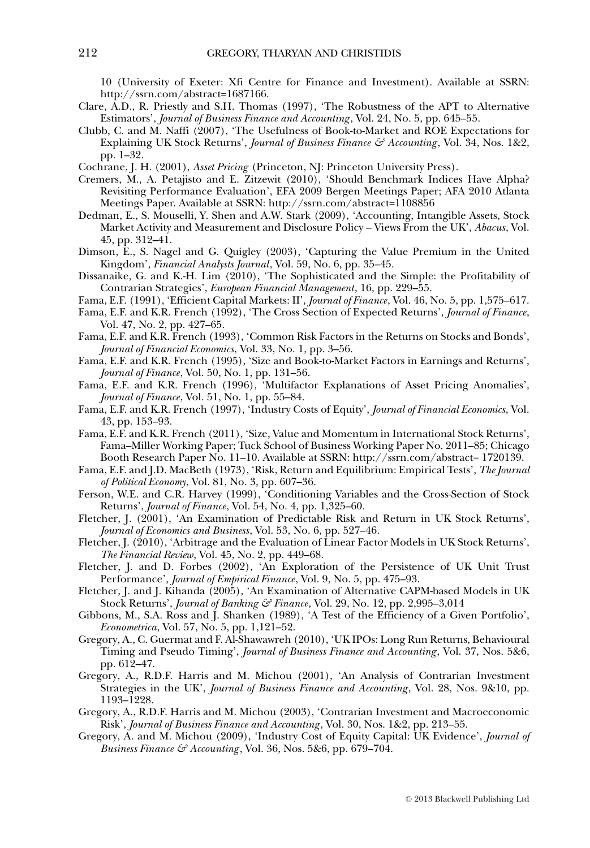10 (University of Exeter: Xfi Centre for Finance and Investment). Available at SSRN: http://ssrn.com/abstract=1687166.

- Clare, A.D., R. Priestly and S.H. Thomas (1997), 'The Robustness of the APT to Alternative Estimators', *Journal of Business Finance and Accounting* , Vol. 24, No. 5, pp. 645–55.
- Clubb, C. and M. Naffi (2007), 'The Usefulness of Book-to-Market and ROE Expectations for Explaining UK Stock Returns', *Journal of Business Finance & Accounting* , Vol. 34, Nos. 1&2, pp. 1–32.
- Cochrane, J. H. (2001), *Asset Pricing* (Princeton, NJ: Princeton University Press).
- Cremers, M., A. Petajisto and E. Zitzewit (2010), 'Should Benchmark Indices Have Alpha? Revisiting Performance Evaluation', EFA 2009 Bergen Meetings Paper; AFA 2010 Atlanta Meetings Paper. Available at SSRN: http://ssrn.com/abstract=1108856
- Dedman, E., S. Mouselli, Y. Shen and A.W. Stark (2009), 'Accounting, Intangible Assets, Stock Market Activity and Measurement and Disclosure Policy – Views From the UK', *Abacus*, Vol. 45, pp. 312–41.
- Dimson, E., S. Nagel and G. Quigley (2003), 'Capturing the Value Premium in the United Kingdom', *Financial Analysts Journal*, Vol. 59, No. 6, pp. 35–45.
- Dissanaike, G. and K.-H. Lim (2010), 'The Sophisticated and the Simple: the Profitability of Contrarian Strategies', *European Financial Management*, 16, pp. 229–55.
- Fama, E.F. (1991), 'Efficient Capital Markets: II', *Journal of Finance*, Vol. 46, No. 5, pp. 1,575–617.
- Fama, E.F. and K.R. French (1992), 'The Cross Section of Expected Returns', *Journal of Finance*, Vol. 47, No. 2, pp. 427–65.
- Fama, E.F. and K.R. French (1993), 'Common Risk Factors in the Returns on Stocks and Bonds', *Journal of Financial Economics*, Vol. 33, No. 1, pp. 3–56.
- Fama, E.F. and K.R. French (1995), 'Size and Book-to-Market Factors in Earnings and Returns', *Journal of Finance*, Vol. 50, No. 1, pp. 131–56.
- Fama, E.F. and K.R. French (1996), 'Multifactor Explanations of Asset Pricing Anomalies', *Journal of Finance*, Vol. 51, No. 1, pp. 55–84.
- Fama, E.F. and K.R. French (1997), 'Industry Costs of Equity', *Journal of Financial Economics*, Vol. 43, pp. 153–93.
- Fama, E.F. and K.R. French (2011), 'Size, Value and Momentum in International Stock Returns', Fama–Miller Working Paper; Tuck School of Business Working Paper No. 2011–85; Chicago Booth Research Paper No. 11–10. Available at SSRN: http://ssrn.com/abstract= 1720139.
- Fama, E.F. and J.D. MacBeth (1973), 'Risk, Return and Equilibrium: Empirical Tests', *The Journal of Political Economy*, Vol. 81, No. 3, pp. 607–36.
- Ferson, W.E. and C.R. Harvey (1999), 'Conditioning Variables and the Cross-Section of Stock Returns', *Journal of Finance*, Vol. 54, No. 4, pp. 1,325–60.
- Fletcher, J. (2001), 'An Examination of Predictable Risk and Return in UK Stock Returns', *Journal of Economics and Business*, Vol. 53, No. 6, pp. 527–46.
- Fletcher, J. (2010), 'Arbitrage and the Evaluation of Linear Factor Models in UK Stock Returns', *The Financial Review*, Vol. 45, No. 2, pp. 449–68.
- Fletcher, J. and D. Forbes (2002), 'An Exploration of the Persistence of UK Unit Trust Performance', *Journal of Empirical Finance*, Vol. 9, No. 5, pp. 475–93.
- Fletcher, J. and J. Kihanda (2005), 'An Examination of Alternative CAPM-based Models in UK Stock Returns', *Journal of Banking & Finance*, Vol. 29, No. 12, pp. 2,995–3,014
- Gibbons, M., S.A. Ross and J. Shanken (1989), 'A Test of the Efficiency of a Given Portfolio', *Econometrica*, Vol. 57, No. 5, pp. 1,121–52.
- Gregory, A., C. Guermat and F. Al-Shawawreh (2010), 'UK IPOs: Long Run Returns, Behavioural Timing and Pseudo Timing', *Journal of Business Finance and Accounting* , Vol. 37, Nos. 5&6, pp. 612–47.
- Gregory, A., R.D.F. Harris and M. Michou (2001), 'An Analysis of Contrarian Investment Strategies in the UK', *Journal of Business Finance and Accounting* , Vol. 28, Nos. 9&10, pp. 1193–1228.
- Gregory, A., R.D.F. Harris and M. Michou (2003), 'Contrarian Investment and Macroeconomic Risk', *Journal of Business Finance and Accounting* , Vol. 30, Nos. 1&2, pp. 213–55.
- Gregory, A. and M. Michou (2009), 'Industry Cost of Equity Capital: UK Evidence', *Journal of Business Finance & Accounting* , Vol. 36, Nos. 5&6, pp. 679–704.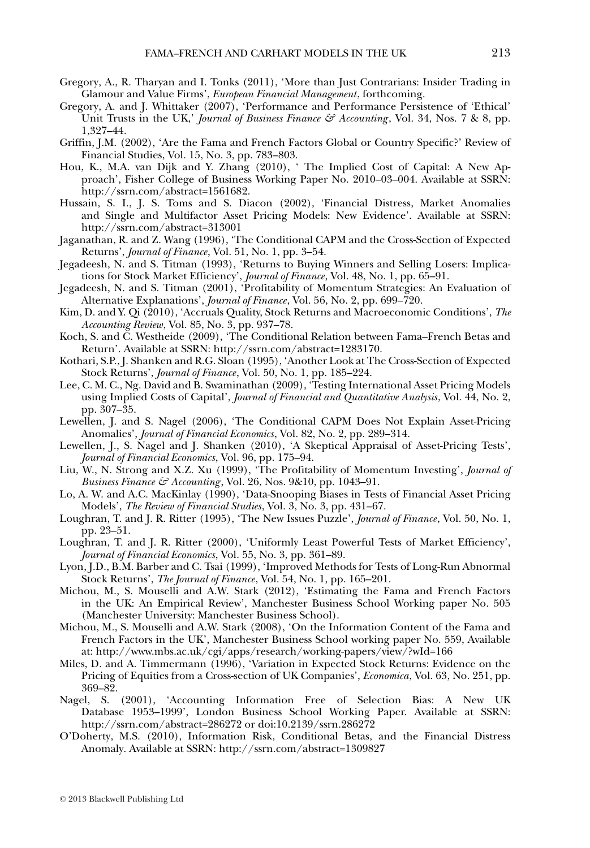- Gregory, A., R. Tharyan and I. Tonks (2011), 'More than Just Contrarians: Insider Trading in Glamour and Value Firms', *European Financial Management*, forthcoming.
- Gregory, A. and J. Whittaker (2007), 'Performance and Performance Persistence of 'Ethical' Unit Trusts in the UK,' *Journal of Business Finance & Accounting*, Vol. 34, Nos. 7 & 8, pp. 1,327–44.
- Griffin, J.M. (2002), 'Are the Fama and French Factors Global or Country Specific?' Review of Financial Studies, Vol. 15, No. 3, pp. 783–803.
- Hou, K., M.A. van Dijk and Y. Zhang (2010), ' The Implied Cost of Capital: A New Approach', Fisher College of Business Working Paper No. 2010-03-004. Available at SSRN: http://ssrn.com/abstract=1561682.
- Hussain, S. I., J. S. Toms and S. Diacon (2002), 'Financial Distress, Market Anomalies and Single and Multifactor Asset Pricing Models: New Evidence'. Available at SSRN: http://ssrn.com/abstract=313001
- Jaganathan, R. and Z. Wang (1996), 'The Conditional CAPM and the Cross-Section of Expected Returns', *Journal of Finance*, Vol. 51, No. 1, pp. 3–54.
- Jegadeesh, N. and S. Titman (1993), 'Returns to Buying Winners and Selling Losers: Implications for Stock Market Efficiency', *Journal of Finance*, Vol. 48, No. 1, pp. 65–91.
- Jegadeesh, N. and S. Titman (2001), 'Profitability of Momentum Strategies: An Evaluation of Alternative Explanations', *Journal of Finance*, Vol. 56, No. 2, pp. 699–720.
- Kim, D. and Y. Qi (2010), 'Accruals Quality, Stock Returns and Macroeconomic Conditions', *The Accounting Review*, Vol. 85, No. 3, pp. 937–78.
- Koch, S. and C. Westheide (2009), 'The Conditional Relation between Fama–French Betas and Return'. Available at SSRN: http://ssrn.com/abstract=1283170.
- Kothari, S.P., J. Shanken and R.G. Sloan (1995), 'Another Look at The Cross-Section of Expected Stock Returns', *Journal of Finance*, Vol. 50, No. 1, pp. 185–224.
- Lee, C. M. C., Ng. David and B. Swaminathan (2009), 'Testing International Asset Pricing Models using Implied Costs of Capital', *Journal of Financial and Quantitative Analysis*, Vol. 44, No. 2, pp. 307–35.
- Lewellen, J. and S. Nagel (2006), 'The Conditional CAPM Does Not Explain Asset-Pricing Anomalies', *Journal of Financial Economics*, Vol. 82, No. 2, pp. 289–314.
- Lewellen, J., S. Nagel and J. Shanken (2010), 'A Skeptical Appraisal of Asset-Pricing Tests', *Journal of Financial Economics*, Vol. 96, pp. 175–94.
- Liu, W., N. Strong and X.Z. Xu (1999), 'The Profitability of Momentum Investing', *Journal of Business Finance & Accounting* , Vol. 26, Nos. 9&10, pp. 1043–91.
- Lo, A. W. and A.C. MacKinlay (1990), 'Data-Snooping Biases in Tests of Financial Asset Pricing Models', *The Review of Financial Studies*, Vol. 3, No. 3, pp. 431–67.
- Loughran, T. and J. R. Ritter (1995), 'The New Issues Puzzle', *Journal of Finance*, Vol. 50, No. 1, pp. 23–51.
- Loughran, T. and J. R. Ritter (2000), 'Uniformly Least Powerful Tests of Market Efficiency', *Journal of Financial Economics*, Vol. 55, No. 3, pp. 361–89.
- Lyon, J.D., B.M. Barber and C. Tsai (1999), 'Improved Methods for Tests of Long-Run Abnormal Stock Returns', *The Journal of Finance*, Vol. 54, No. 1, pp. 165–201.
- Michou, M., S. Mouselli and A.W. Stark (2012), 'Estimating the Fama and French Factors in the UK: An Empirical Review', Manchester Business School Working paper No. 505 (Manchester University: Manchester Business School).
- Michou, M., S. Mouselli and A.W. Stark (2008), 'On the Information Content of the Fama and French Factors in the UK', Manchester Business School working paper No. 559, Available at: http://www.mbs.ac.uk/cgi/apps/research/working-papers/view/?wId=166
- Miles, D. and A. Timmermann (1996), 'Variation in Expected Stock Returns: Evidence on the Pricing of Equities from a Cross-section of UK Companies', *Economica*, Vol. 63, No. 251, pp. 369–82.
- Nagel, S. (2001), 'Accounting Information Free of Selection Bias: A New UK Database 1953–1999', London Business School Working Paper. Available at SSRN: http://ssrn.com/abstract=286272 or doi:10.2139/ssrn.286272
- O'Doherty, M.S. (2010), Information Risk, Conditional Betas, and the Financial Distress Anomaly. Available at SSRN: http://ssrn.com/abstract=1309827